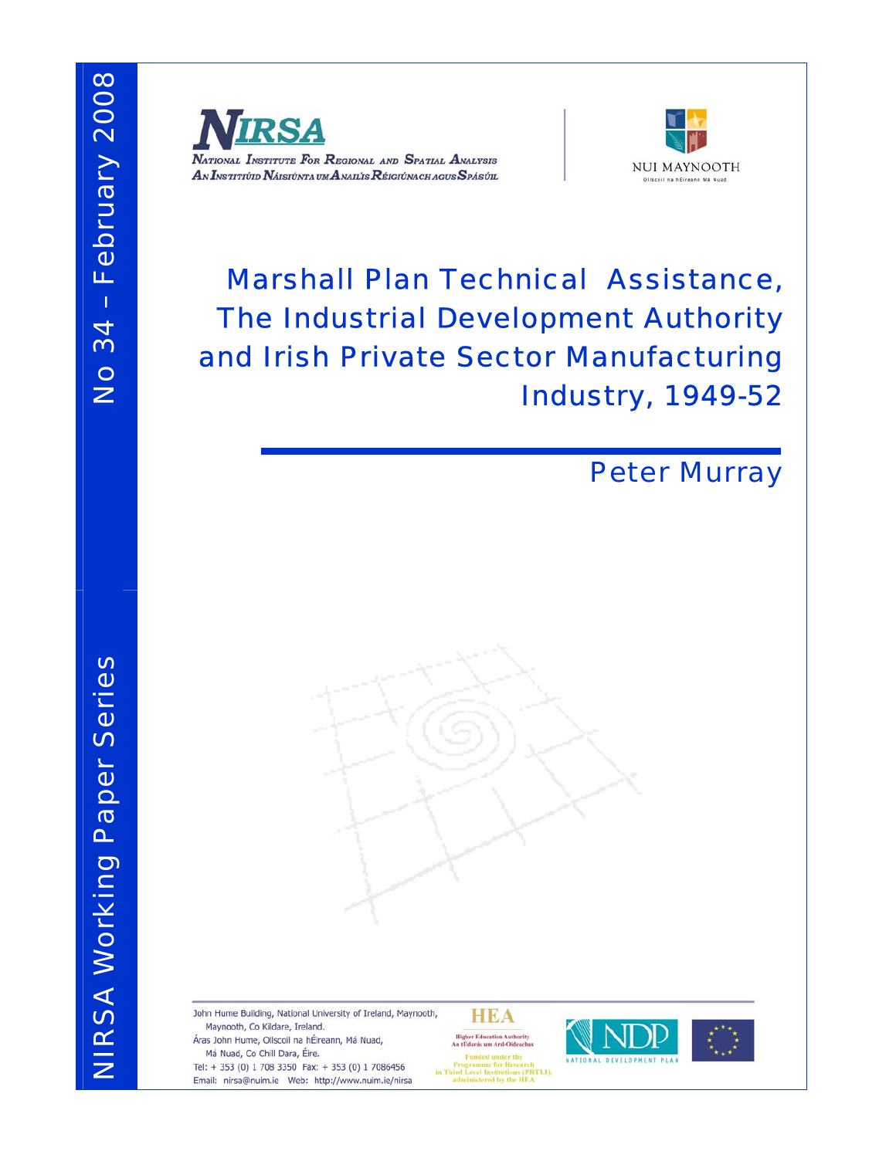



# Marshall Plan Technical Assistance, The Industrial Development Authority and Irish Private Sector Manufacturing Industry, 1949-52

# Peter Murray

John Hume Building, National University of Ireland, Maynooth, **HEA** Maynooth, Co Kildare, Ireland. **Higher Education Authority<br>An tÚdarás um Ard-Oideachas** Áras John Hume, Ollscoil na hÉireann, Má Nuad, Má Nuad, Co Chill Dara, Éire. Programme for Research<br>in Third Level Institutions (PRTLI),<br>administered by the HEA Tel: + 353 (0) 1 708 3350 Fax: + 353 (0) 1 7086456 Email: nirsa@nuim.ie Web: http://www.nuim.ie/nirsa

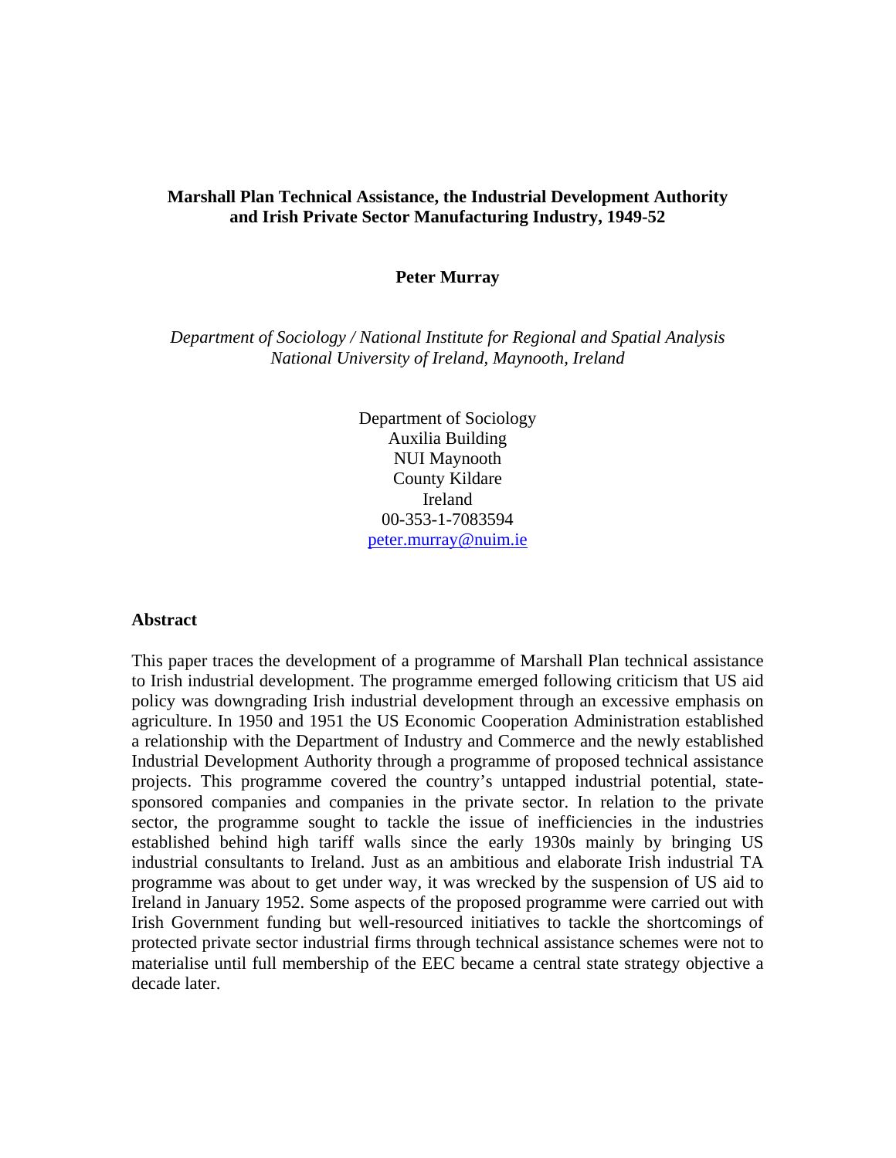## **Marshall Plan Technical Assistance, the Industrial Development Authority and Irish Private Sector Manufacturing Industry, 1949-52**

### **Peter Murray**

*Department of Sociology / National Institute for Regional and Spatial Analysis National University of Ireland, Maynooth, Ireland* 

> Department of Sociology Auxilia Building NUI Maynooth County Kildare Ireland 00-353-1-7083594 peter.murray@nuim.ie

#### **Abstract**

This paper traces the development of a programme of Marshall Plan technical assistance to Irish industrial development. The programme emerged following criticism that US aid policy was downgrading Irish industrial development through an excessive emphasis on agriculture. In 1950 and 1951 the US Economic Cooperation Administration established a relationship with the Department of Industry and Commerce and the newly established Industrial Development Authority through a programme of proposed technical assistance projects. This programme covered the country's untapped industrial potential, statesponsored companies and companies in the private sector. In relation to the private sector, the programme sought to tackle the issue of inefficiencies in the industries established behind high tariff walls since the early 1930s mainly by bringing US industrial consultants to Ireland. Just as an ambitious and elaborate Irish industrial TA programme was about to get under way, it was wrecked by the suspension of US aid to Ireland in January 1952. Some aspects of the proposed programme were carried out with Irish Government funding but well-resourced initiatives to tackle the shortcomings of protected private sector industrial firms through technical assistance schemes were not to materialise until full membership of the EEC became a central state strategy objective a decade later.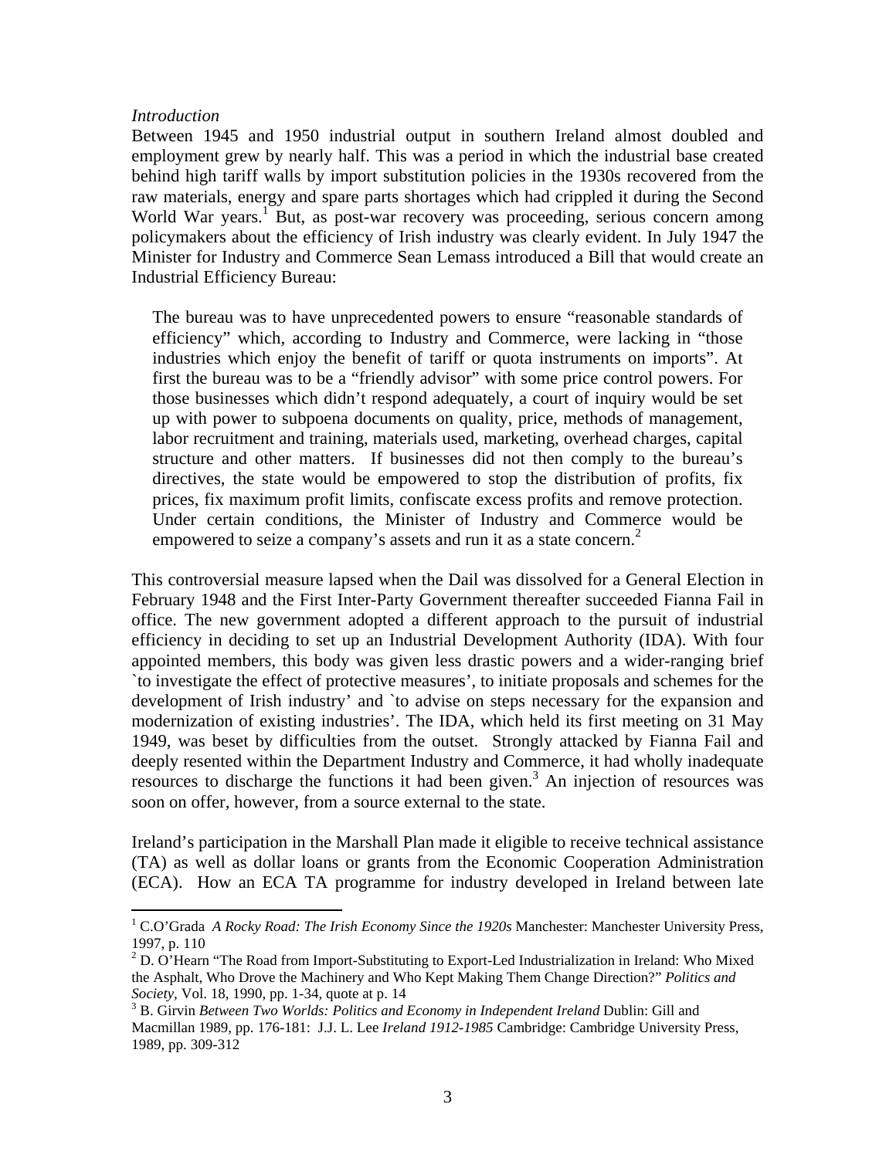### *Introduction*

 $\overline{a}$ 

Between 1945 and 1950 industrial output in southern Ireland almost doubled and employment grew by nearly half. This was a period in which the industrial base created behind high tariff walls by import substitution policies in the 1930s recovered from the raw materials, energy and spare parts shortages which had crippled it during the Second World War years.<sup>1</sup> But, as post-war recovery was proceeding, serious concern among policymakers about the efficiency of Irish industry was clearly evident. In July 1947 the Minister for Industry and Commerce Sean Lemass introduced a Bill that would create an Industrial Efficiency Bureau:

The bureau was to have unprecedented powers to ensure "reasonable standards of efficiency" which, according to Industry and Commerce, were lacking in "those industries which enjoy the benefit of tariff or quota instruments on imports". At first the bureau was to be a "friendly advisor" with some price control powers. For those businesses which didn't respond adequately, a court of inquiry would be set up with power to subpoena documents on quality, price, methods of management, labor recruitment and training, materials used, marketing, overhead charges, capital structure and other matters. If businesses did not then comply to the bureau's directives, the state would be empowered to stop the distribution of profits, fix prices, fix maximum profit limits, confiscate excess profits and remove protection. Under certain conditions, the Minister of Industry and Commerce would be empowered to seize a company's assets and run it as a state concern.<sup>2</sup>

This controversial measure lapsed when the Dail was dissolved for a General Election in February 1948 and the First Inter-Party Government thereafter succeeded Fianna Fail in office. The new government adopted a different approach to the pursuit of industrial efficiency in deciding to set up an Industrial Development Authority (IDA). With four appointed members, this body was given less drastic powers and a wider-ranging brief `to investigate the effect of protective measures', to initiate proposals and schemes for the development of Irish industry' and `to advise on steps necessary for the expansion and modernization of existing industries'. The IDA, which held its first meeting on 31 May 1949, was beset by difficulties from the outset. Strongly attacked by Fianna Fail and deeply resented within the Department Industry and Commerce, it had wholly inadequate resources to discharge the functions it had been given.<sup>3</sup> An injection of resources was soon on offer, however, from a source external to the state.

Ireland's participation in the Marshall Plan made it eligible to receive technical assistance (TA) as well as dollar loans or grants from the Economic Cooperation Administration (ECA). How an ECA TA programme for industry developed in Ireland between late

<sup>&</sup>lt;sup>1</sup> C.O'Grada *A Rocky Road: The Irish Economy Since the 1920s Manchester: Manchester University Press,* 1997, p. 110

 $2^2$  D. O'Hearn "The Road from Import-Substituting to Export-Led Industrialization in Ireland: Who Mixed the Asphalt, Who Drove the Machinery and Who Kept Making Them Change Direction?" *Politics and Society*, Vol. 18, 1990, pp. 1-34, quote at p. 14

<sup>&</sup>lt;sup>3</sup> B. Girvin *Between Two Worlds: Politics and Economy in Independent Ireland Dublin: Gill and* Macmillan 1989, pp. 176-181: J.J. L. Lee *Ireland 1912-1985* Cambridge: Cambridge University Press, 1989, pp. 309-312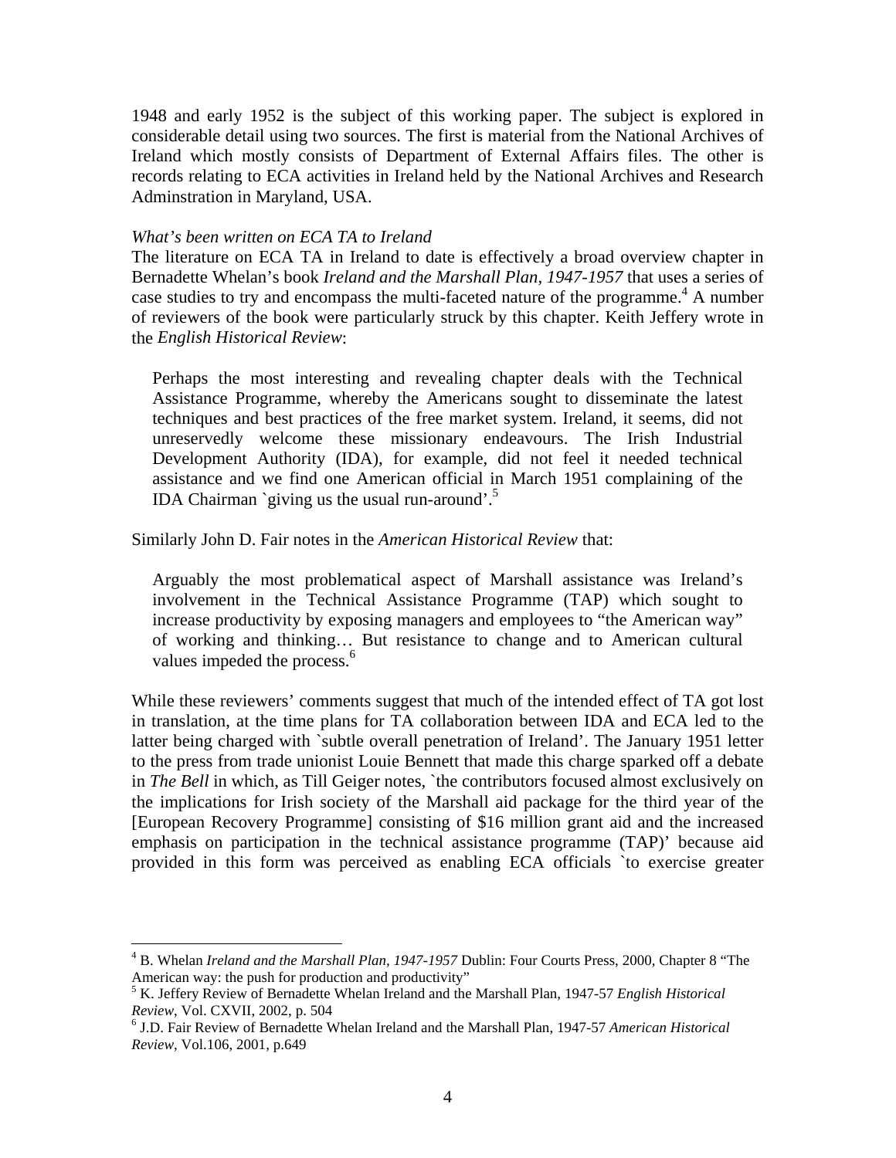1948 and early 1952 is the subject of this working paper. The subject is explored in considerable detail using two sources. The first is material from the National Archives of Ireland which mostly consists of Department of External Affairs files. The other is records relating to ECA activities in Ireland held by the National Archives and Research Adminstration in Maryland, USA.

### *What's been written on ECA TA to Ireland*

 $\overline{a}$ 

The literature on ECA TA in Ireland to date is effectively a broad overview chapter in Bernadette Whelan's book *Ireland and the Marshall Plan, 1947-1957* that uses a series of case studies to try and encompass the multi-faceted nature of the programme.<sup>4</sup> A number of reviewers of the book were particularly struck by this chapter. Keith Jeffery wrote in the *English Historical Review*:

Perhaps the most interesting and revealing chapter deals with the Technical Assistance Programme, whereby the Americans sought to disseminate the latest techniques and best practices of the free market system. Ireland, it seems, did not unreservedly welcome these missionary endeavours. The Irish Industrial Development Authority (IDA), for example, did not feel it needed technical assistance and we find one American official in March 1951 complaining of the IDA Chairman `giving us the usual run-around'. $5$ 

Similarly John D. Fair notes in the *American Historical Review* that:

Arguably the most problematical aspect of Marshall assistance was Ireland's involvement in the Technical Assistance Programme (TAP) which sought to increase productivity by exposing managers and employees to "the American way" of working and thinking… But resistance to change and to American cultural values impeded the process.<sup>6</sup>

While these reviewers' comments suggest that much of the intended effect of TA got lost in translation, at the time plans for TA collaboration between IDA and ECA led to the latter being charged with `subtle overall penetration of Ireland'. The January 1951 letter to the press from trade unionist Louie Bennett that made this charge sparked off a debate in *The Bell* in which, as Till Geiger notes, `the contributors focused almost exclusively on the implications for Irish society of the Marshall aid package for the third year of the [European Recovery Programme] consisting of \$16 million grant aid and the increased emphasis on participation in the technical assistance programme (TAP)' because aid provided in this form was perceived as enabling ECA officials `to exercise greater

<sup>4</sup> B. Whelan *Ireland and the Marshall Plan, 1947-1957* Dublin: Four Courts Press, 2000, Chapter 8 "The American way: the push for production and productivity"

<sup>5</sup> K. Jeffery Review of Bernadette Whelan Ireland and the Marshall Plan, 1947-57 *English Historical Review*, Vol. CXVII, 2002, p. 504 6

J.D. Fair Review of Bernadette Whelan Ireland and the Marshall Plan, 1947-57 *American Historical Review*, Vol.106, 2001, p.649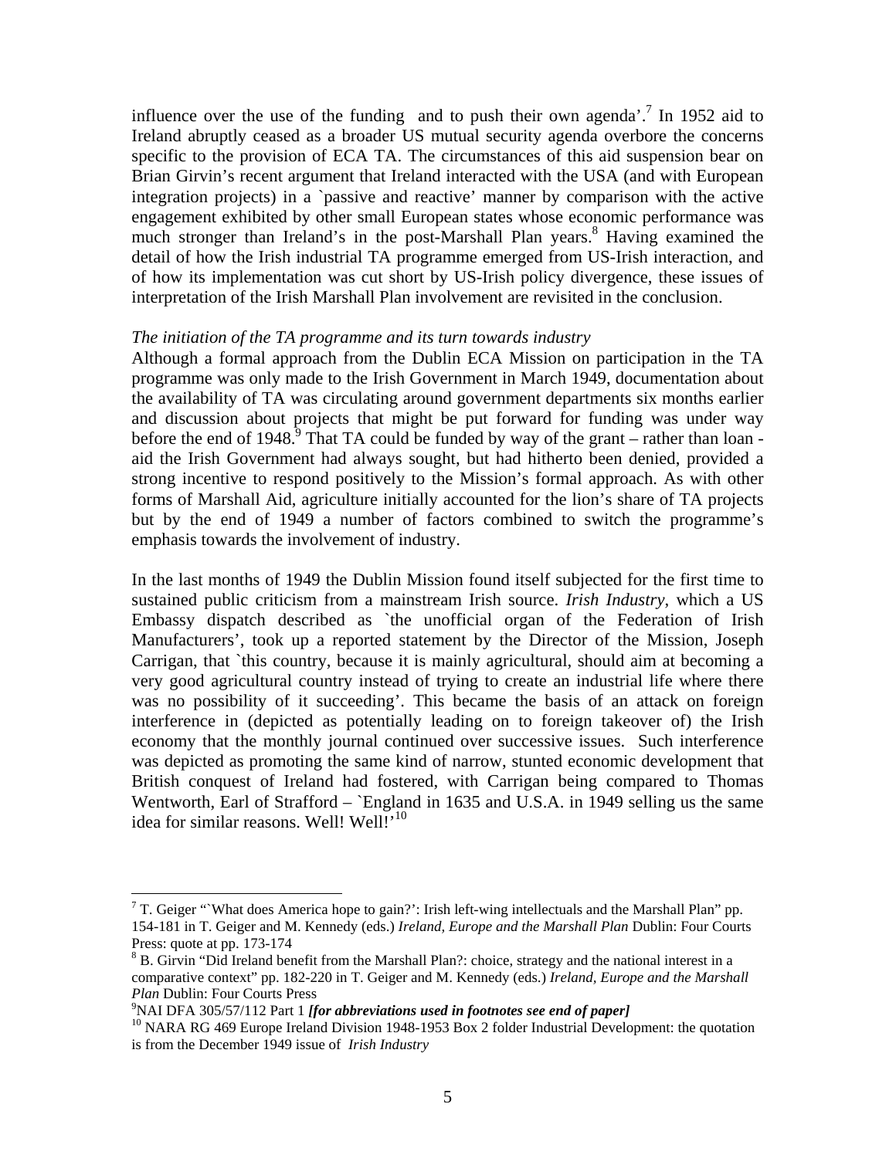influence over the use of the funding and to push their own agenda'.<sup>7</sup> In 1952 aid to Ireland abruptly ceased as a broader US mutual security agenda overbore the concerns specific to the provision of ECA TA. The circumstances of this aid suspension bear on Brian Girvin's recent argument that Ireland interacted with the USA (and with European integration projects) in a `passive and reactive' manner by comparison with the active engagement exhibited by other small European states whose economic performance was much stronger than Ireland's in the post-Marshall Plan years.<sup>8</sup> Having examined the detail of how the Irish industrial TA programme emerged from US-Irish interaction, and of how its implementation was cut short by US-Irish policy divergence, these issues of interpretation of the Irish Marshall Plan involvement are revisited in the conclusion.

### *The initiation of the TA programme and its turn towards industry*

Although a formal approach from the Dublin ECA Mission on participation in the TA programme was only made to the Irish Government in March 1949, documentation about the availability of TA was circulating around government departments six months earlier and discussion about projects that might be put forward for funding was under way before the end of 1948.<sup>9</sup> That TA could be funded by way of the grant – rather than loan aid the Irish Government had always sought, but had hitherto been denied, provided a strong incentive to respond positively to the Mission's formal approach. As with other forms of Marshall Aid, agriculture initially accounted for the lion's share of TA projects but by the end of 1949 a number of factors combined to switch the programme's emphasis towards the involvement of industry.

In the last months of 1949 the Dublin Mission found itself subjected for the first time to sustained public criticism from a mainstream Irish source. *Irish Industry*, which a US Embassy dispatch described as `the unofficial organ of the Federation of Irish Manufacturers', took up a reported statement by the Director of the Mission, Joseph Carrigan, that `this country, because it is mainly agricultural, should aim at becoming a very good agricultural country instead of trying to create an industrial life where there was no possibility of it succeeding'. This became the basis of an attack on foreign interference in (depicted as potentially leading on to foreign takeover of) the Irish economy that the monthly journal continued over successive issues. Such interference was depicted as promoting the same kind of narrow, stunted economic development that British conquest of Ireland had fostered, with Carrigan being compared to Thomas Wentworth, Earl of Strafford – `England in 1635 and U.S.A. in 1949 selling us the same idea for similar reasons. Well! Well!'<sup>10</sup>

T. Geiger "What does America hope to gain?': Irish left-wing intellectuals and the Marshall Plan" pp. 154-181 in T. Geiger and M. Kennedy (eds.) *Ireland, Europe and the Marshall Plan* Dublin: Four Courts Press: quote at pp. 173-174

<sup>&</sup>lt;sup>8</sup> B. Girvin "Did Ireland benefit from the Marshall Plan?: choice, strategy and the national interest in a comparative context" pp. 182-220 in T. Geiger and M. Kennedy (eds.) *Ireland, Europe and the Marshall Plan* Dublin: Four Courts Press<br><sup>9</sup>NAI DFA 305/57/112 Part 1 *[for abbreviations used in footnotes see end of paper]* 

<sup>&</sup>lt;sup>10</sup> NARA RG 469 Europe Ireland Division 1948-1953 Box 2 folder Industrial Development: the quotation is from the December 1949 issue of *Irish Industry*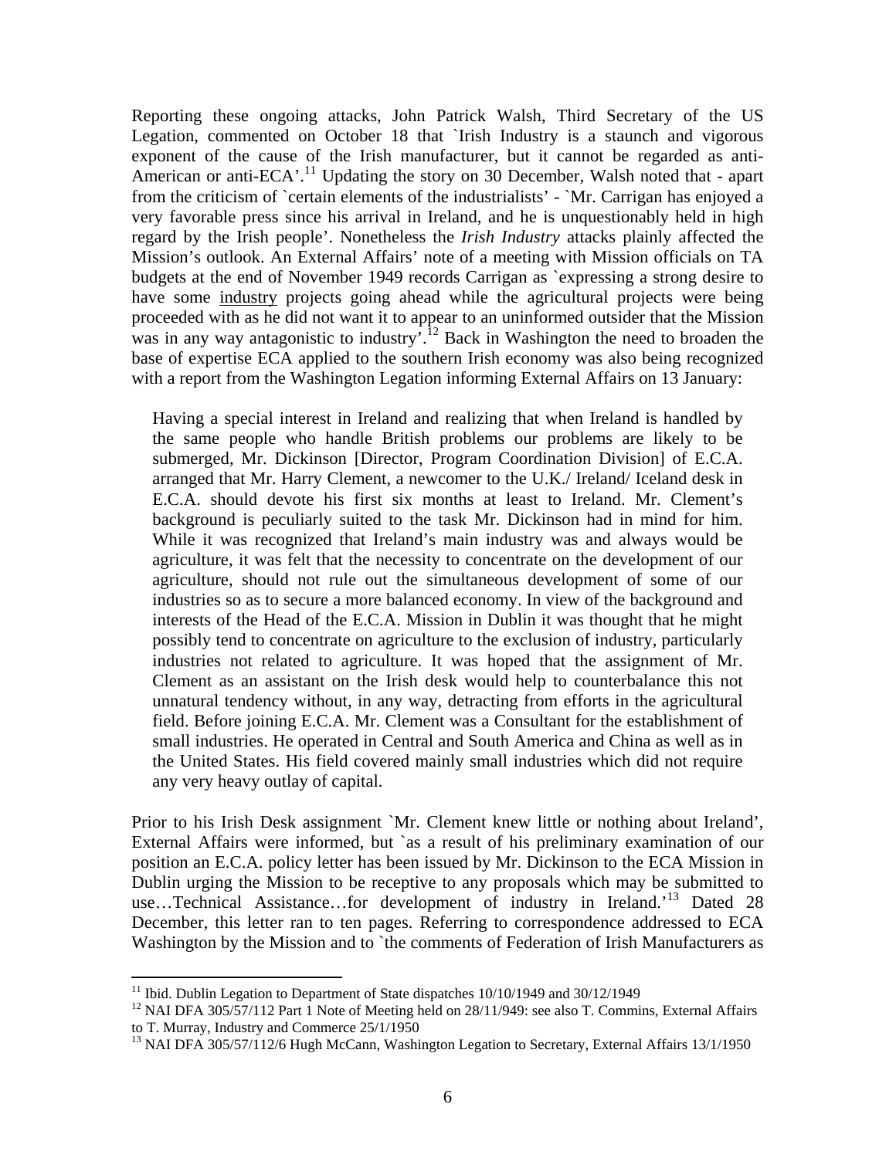Reporting these ongoing attacks, John Patrick Walsh, Third Secretary of the US Legation, commented on October 18 that `Irish Industry is a staunch and vigorous exponent of the cause of the Irish manufacturer, but it cannot be regarded as anti-American or anti-ECA'.<sup>11</sup> Updating the story on 30 December, Walsh noted that - apart from the criticism of `certain elements of the industrialists' - `Mr. Carrigan has enjoyed a very favorable press since his arrival in Ireland, and he is unquestionably held in high regard by the Irish people'. Nonetheless the *Irish Industry* attacks plainly affected the Mission's outlook. An External Affairs' note of a meeting with Mission officials on TA budgets at the end of November 1949 records Carrigan as `expressing a strong desire to have some industry projects going ahead while the agricultural projects were being proceeded with as he did not want it to appear to an uninformed outsider that the Mission was in any way antagonistic to industry.<sup>12</sup> Back in Washington the need to broaden the base of expertise ECA applied to the southern Irish economy was also being recognized with a report from the Washington Legation informing External Affairs on 13 January:

Having a special interest in Ireland and realizing that when Ireland is handled by the same people who handle British problems our problems are likely to be submerged, Mr. Dickinson [Director, Program Coordination Division] of E.C.A. arranged that Mr. Harry Clement, a newcomer to the U.K./ Ireland/ Iceland desk in E.C.A. should devote his first six months at least to Ireland. Mr. Clement's background is peculiarly suited to the task Mr. Dickinson had in mind for him. While it was recognized that Ireland's main industry was and always would be agriculture, it was felt that the necessity to concentrate on the development of our agriculture, should not rule out the simultaneous development of some of our industries so as to secure a more balanced economy. In view of the background and interests of the Head of the E.C.A. Mission in Dublin it was thought that he might possibly tend to concentrate on agriculture to the exclusion of industry, particularly industries not related to agriculture. It was hoped that the assignment of Mr. Clement as an assistant on the Irish desk would help to counterbalance this not unnatural tendency without, in any way, detracting from efforts in the agricultural field. Before joining E.C.A. Mr. Clement was a Consultant for the establishment of small industries. He operated in Central and South America and China as well as in the United States. His field covered mainly small industries which did not require any very heavy outlay of capital.

Prior to his Irish Desk assignment `Mr. Clement knew little or nothing about Ireland', External Affairs were informed, but `as a result of his preliminary examination of our position an E.C.A. policy letter has been issued by Mr. Dickinson to the ECA Mission in Dublin urging the Mission to be receptive to any proposals which may be submitted to use...Technical Assistance...for development of industry in Ireland.<sup>13</sup> Dated 28 December, this letter ran to ten pages. Referring to correspondence addressed to ECA Washington by the Mission and to `the comments of Federation of Irish Manufacturers as

 $11$  Ibid. Dublin Legation to Department of State dispatches  $10/10/1949$  and  $30/12/1949$ 

<sup>&</sup>lt;sup>12</sup> NAI DFA 305/57/112 Part 1 Note of Meeting held on 28/11/949: see also T. Commins, External Affairs to T. Murray, Industry and Commerce 25/1/1950

<sup>&</sup>lt;sup>13</sup> NAI DFA 305/57/112/6 Hugh McCann, Washington Legation to Secretary, External Affairs 13/1/1950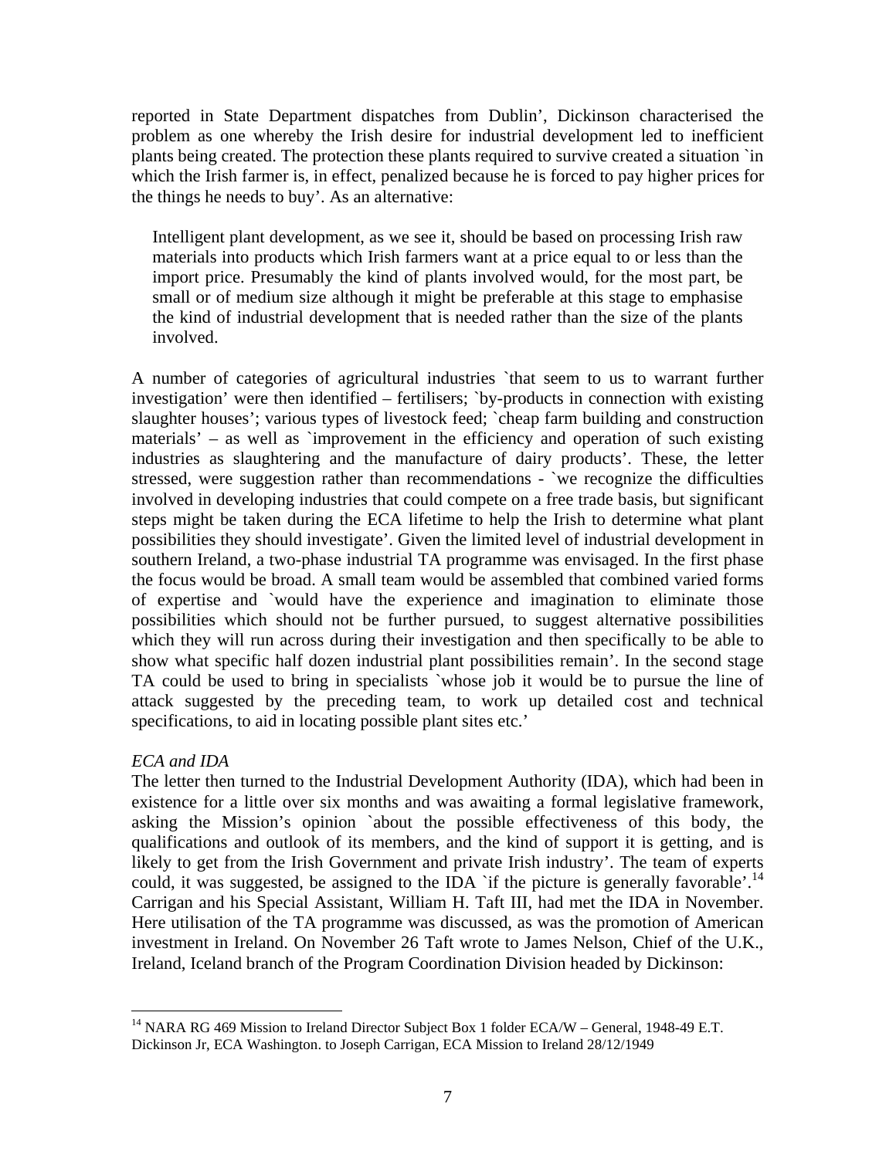reported in State Department dispatches from Dublin', Dickinson characterised the problem as one whereby the Irish desire for industrial development led to inefficient plants being created. The protection these plants required to survive created a situation `in which the Irish farmer is, in effect, penalized because he is forced to pay higher prices for the things he needs to buy'. As an alternative:

Intelligent plant development, as we see it, should be based on processing Irish raw materials into products which Irish farmers want at a price equal to or less than the import price. Presumably the kind of plants involved would, for the most part, be small or of medium size although it might be preferable at this stage to emphasise the kind of industrial development that is needed rather than the size of the plants involved.

A number of categories of agricultural industries `that seem to us to warrant further investigation' were then identified – fertilisers; `by-products in connection with existing slaughter houses'; various types of livestock feed; `cheap farm building and construction materials' – as well as `improvement in the efficiency and operation of such existing industries as slaughtering and the manufacture of dairy products'. These, the letter stressed, were suggestion rather than recommendations - `we recognize the difficulties involved in developing industries that could compete on a free trade basis, but significant steps might be taken during the ECA lifetime to help the Irish to determine what plant possibilities they should investigate'. Given the limited level of industrial development in southern Ireland, a two-phase industrial TA programme was envisaged. In the first phase the focus would be broad. A small team would be assembled that combined varied forms of expertise and `would have the experience and imagination to eliminate those possibilities which should not be further pursued, to suggest alternative possibilities which they will run across during their investigation and then specifically to be able to show what specific half dozen industrial plant possibilities remain'. In the second stage TA could be used to bring in specialists `whose job it would be to pursue the line of attack suggested by the preceding team, to work up detailed cost and technical specifications, to aid in locating possible plant sites etc.'

### *ECA and IDA*

1

The letter then turned to the Industrial Development Authority (IDA), which had been in existence for a little over six months and was awaiting a formal legislative framework, asking the Mission's opinion `about the possible effectiveness of this body, the qualifications and outlook of its members, and the kind of support it is getting, and is likely to get from the Irish Government and private Irish industry'. The team of experts could, it was suggested, be assigned to the IDA 'if the picture is generally favorable'.<sup>14</sup> Carrigan and his Special Assistant, William H. Taft III, had met the IDA in November. Here utilisation of the TA programme was discussed, as was the promotion of American investment in Ireland. On November 26 Taft wrote to James Nelson, Chief of the U.K., Ireland, Iceland branch of the Program Coordination Division headed by Dickinson:

<sup>&</sup>lt;sup>14</sup> NARA RG 469 Mission to Ireland Director Subject Box 1 folder ECA/W – General, 1948-49 E.T. Dickinson Jr, ECA Washington. to Joseph Carrigan, ECA Mission to Ireland 28/12/1949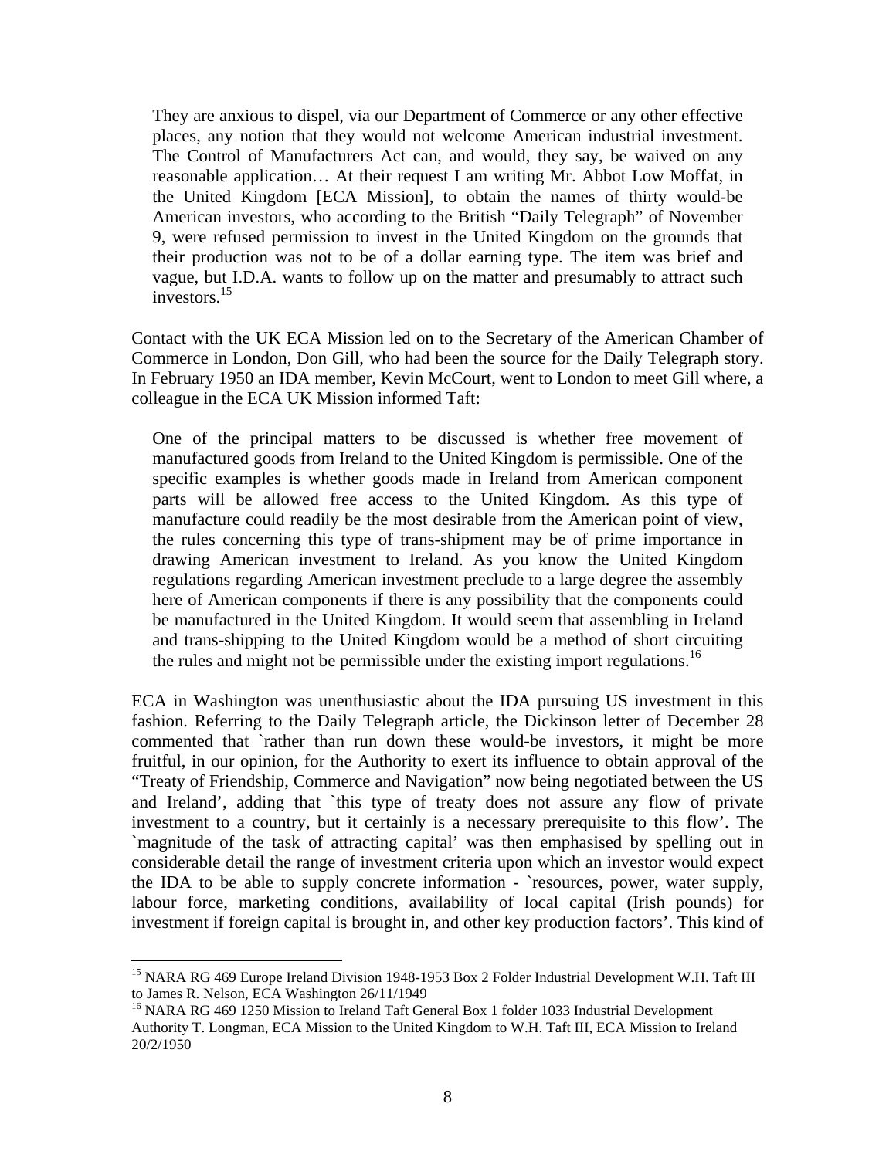They are anxious to dispel, via our Department of Commerce or any other effective places, any notion that they would not welcome American industrial investment. The Control of Manufacturers Act can, and would, they say, be waived on any reasonable application… At their request I am writing Mr. Abbot Low Moffat, in the United Kingdom [ECA Mission], to obtain the names of thirty would-be American investors, who according to the British "Daily Telegraph" of November 9, were refused permission to invest in the United Kingdom on the grounds that their production was not to be of a dollar earning type. The item was brief and vague, but I.D.A. wants to follow up on the matter and presumably to attract such investors.15

Contact with the UK ECA Mission led on to the Secretary of the American Chamber of Commerce in London, Don Gill, who had been the source for the Daily Telegraph story. In February 1950 an IDA member, Kevin McCourt, went to London to meet Gill where, a colleague in the ECA UK Mission informed Taft:

One of the principal matters to be discussed is whether free movement of manufactured goods from Ireland to the United Kingdom is permissible. One of the specific examples is whether goods made in Ireland from American component parts will be allowed free access to the United Kingdom. As this type of manufacture could readily be the most desirable from the American point of view, the rules concerning this type of trans-shipment may be of prime importance in drawing American investment to Ireland. As you know the United Kingdom regulations regarding American investment preclude to a large degree the assembly here of American components if there is any possibility that the components could be manufactured in the United Kingdom. It would seem that assembling in Ireland and trans-shipping to the United Kingdom would be a method of short circuiting the rules and might not be permissible under the existing import regulations.<sup>16</sup>

ECA in Washington was unenthusiastic about the IDA pursuing US investment in this fashion. Referring to the Daily Telegraph article, the Dickinson letter of December 28 commented that `rather than run down these would-be investors, it might be more fruitful, in our opinion, for the Authority to exert its influence to obtain approval of the "Treaty of Friendship, Commerce and Navigation" now being negotiated between the US and Ireland', adding that `this type of treaty does not assure any flow of private investment to a country, but it certainly is a necessary prerequisite to this flow'. The `magnitude of the task of attracting capital' was then emphasised by spelling out in considerable detail the range of investment criteria upon which an investor would expect the IDA to be able to supply concrete information - `resources, power, water supply, labour force, marketing conditions, availability of local capital (Irish pounds) for investment if foreign capital is brought in, and other key production factors'. This kind of

<sup>&</sup>lt;sup>15</sup> NARA RG 469 Europe Ireland Division 1948-1953 Box 2 Folder Industrial Development W.H. Taft III to James R. Nelson, ECA Washington 26/11/1949

<sup>&</sup>lt;sup>16</sup> NARA RG 469 1250 Mission to Ireland Taft General Box 1 folder 1033 Industrial Development Authority T. Longman, ECA Mission to the United Kingdom to W.H. Taft III, ECA Mission to Ireland 20/2/1950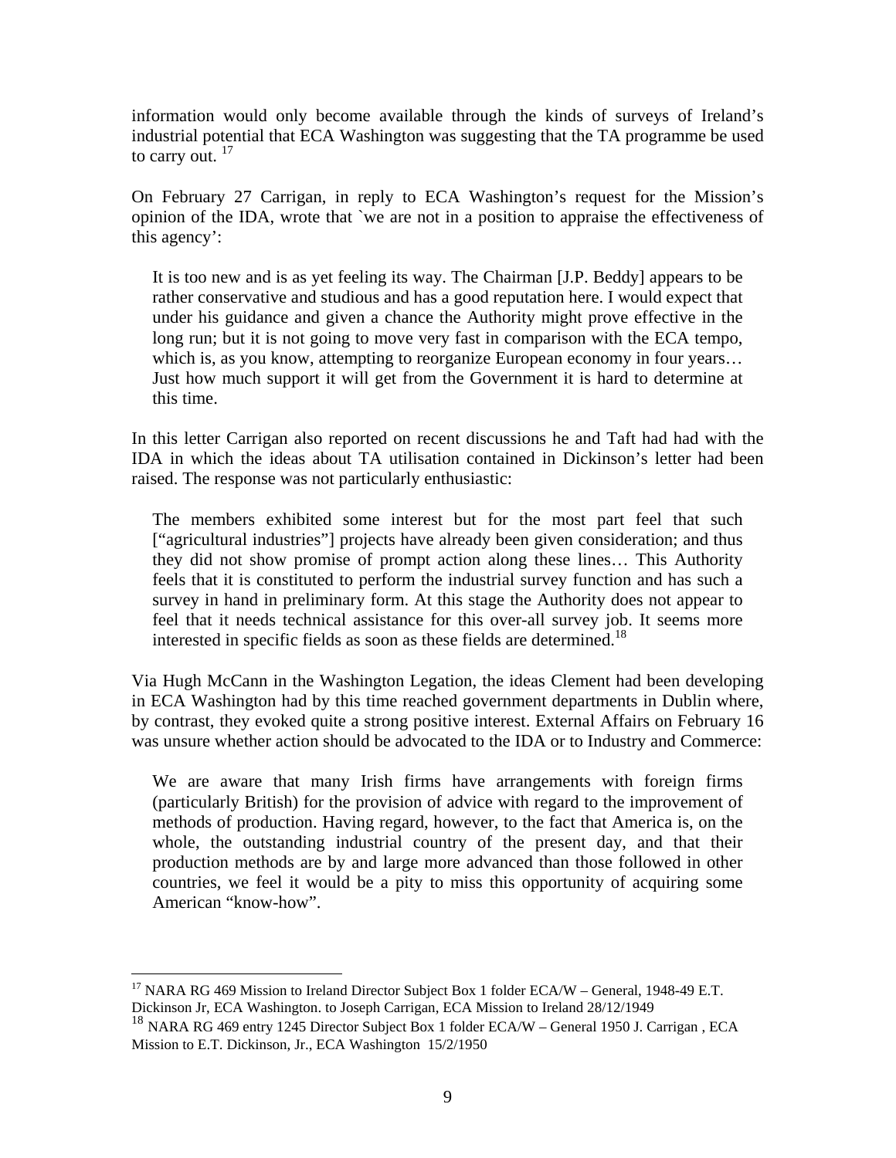information would only become available through the kinds of surveys of Ireland's industrial potential that ECA Washington was suggesting that the TA programme be used to carry out.  $17$ 

On February 27 Carrigan, in reply to ECA Washington's request for the Mission's opinion of the IDA, wrote that `we are not in a position to appraise the effectiveness of this agency':

It is too new and is as yet feeling its way. The Chairman [J.P. Beddy] appears to be rather conservative and studious and has a good reputation here. I would expect that under his guidance and given a chance the Authority might prove effective in the long run; but it is not going to move very fast in comparison with the ECA tempo, which is, as you know, attempting to reorganize European economy in four years... Just how much support it will get from the Government it is hard to determine at this time.

In this letter Carrigan also reported on recent discussions he and Taft had had with the IDA in which the ideas about TA utilisation contained in Dickinson's letter had been raised. The response was not particularly enthusiastic:

The members exhibited some interest but for the most part feel that such ["agricultural industries"] projects have already been given consideration; and thus they did not show promise of prompt action along these lines… This Authority feels that it is constituted to perform the industrial survey function and has such a survey in hand in preliminary form. At this stage the Authority does not appear to feel that it needs technical assistance for this over-all survey job. It seems more interested in specific fields as soon as these fields are determined.<sup>18</sup>

Via Hugh McCann in the Washington Legation, the ideas Clement had been developing in ECA Washington had by this time reached government departments in Dublin where, by contrast, they evoked quite a strong positive interest. External Affairs on February 16 was unsure whether action should be advocated to the IDA or to Industry and Commerce:

We are aware that many Irish firms have arrangements with foreign firms (particularly British) for the provision of advice with regard to the improvement of methods of production. Having regard, however, to the fact that America is, on the whole, the outstanding industrial country of the present day, and that their production methods are by and large more advanced than those followed in other countries, we feel it would be a pity to miss this opportunity of acquiring some American "know-how".

 $\overline{a}$ <sup>17</sup> NARA RG 469 Mission to Ireland Director Subject Box 1 folder ECA/W – General, 1948-49 E.T. Dickinson Jr, ECA Washington. to Joseph Carrigan, ECA Mission to Ireland 28/12/1949

<sup>&</sup>lt;sup>18</sup> NARA RG 469 entry 1245 Director Subject Box 1 folder ECA/W – General 1950 J. Carrigan, ECA Mission to E.T. Dickinson, Jr., ECA Washington 15/2/1950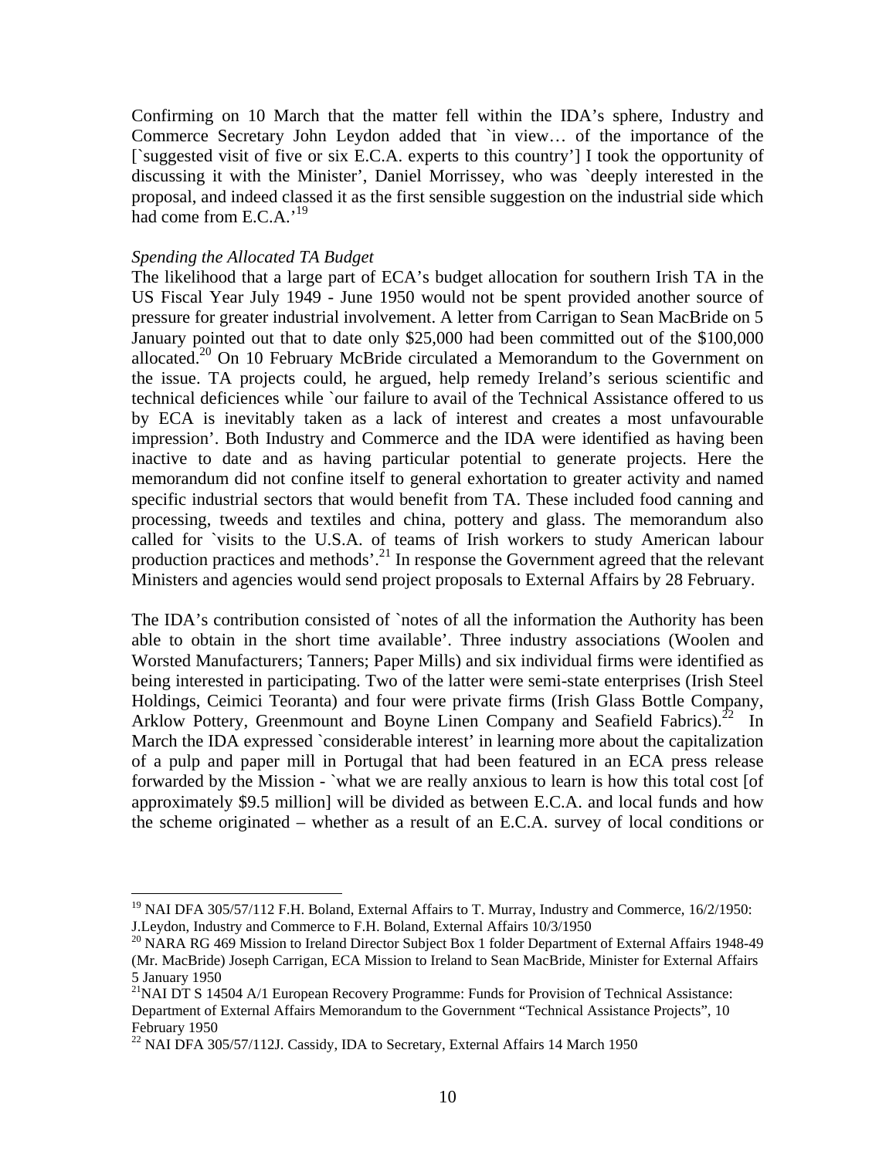Confirming on 10 March that the matter fell within the IDA's sphere, Industry and Commerce Secretary John Leydon added that `in view… of the importance of the [`suggested visit of five or six E.C.A. experts to this country'] I took the opportunity of discussing it with the Minister', Daniel Morrissey, who was `deeply interested in the proposal, and indeed classed it as the first sensible suggestion on the industrial side which had come from  $E.C.A.^{19}$ 

### *Spending the Allocated TA Budget*

<u>.</u>

The likelihood that a large part of ECA's budget allocation for southern Irish TA in the US Fiscal Year July 1949 - June 1950 would not be spent provided another source of pressure for greater industrial involvement. A letter from Carrigan to Sean MacBride on 5 January pointed out that to date only \$25,000 had been committed out of the \$100,000 allocated.<sup>20</sup> On 10 February McBride circulated a Memorandum to the Government on the issue. TA projects could, he argued, help remedy Ireland's serious scientific and technical deficiences while `our failure to avail of the Technical Assistance offered to us by ECA is inevitably taken as a lack of interest and creates a most unfavourable impression'. Both Industry and Commerce and the IDA were identified as having been inactive to date and as having particular potential to generate projects. Here the memorandum did not confine itself to general exhortation to greater activity and named specific industrial sectors that would benefit from TA. These included food canning and processing, tweeds and textiles and china, pottery and glass. The memorandum also called for `visits to the U.S.A. of teams of Irish workers to study American labour production practices and methods'.<sup>21</sup> In response the Government agreed that the relevant Ministers and agencies would send project proposals to External Affairs by 28 February.

The IDA's contribution consisted of `notes of all the information the Authority has been able to obtain in the short time available'. Three industry associations (Woolen and Worsted Manufacturers; Tanners; Paper Mills) and six individual firms were identified as being interested in participating. Two of the latter were semi-state enterprises (Irish Steel Holdings, Ceimici Teoranta) and four were private firms (Irish Glass Bottle Company, Arklow Pottery, Greenmount and Boyne Linen Company and Seafield Fabrics).<sup>22</sup> In March the IDA expressed `considerable interest' in learning more about the capitalization of a pulp and paper mill in Portugal that had been featured in an ECA press release forwarded by the Mission - `what we are really anxious to learn is how this total cost [of approximately \$9.5 million] will be divided as between E.C.A. and local funds and how the scheme originated – whether as a result of an E.C.A. survey of local conditions or

<sup>&</sup>lt;sup>19</sup> NAI DFA 305/57/112 F.H. Boland, External Affairs to T. Murray, Industry and Commerce, 16/2/1950: J.Leydon, Industry and Commerce to F.H. Boland, External Affairs 10/3/1950

<sup>&</sup>lt;sup>20</sup> NARA RG 469 Mission to Ireland Director Subject Box 1 folder Department of External Affairs 1948-49 (Mr. MacBride) Joseph Carrigan, ECA Mission to Ireland to Sean MacBride, Minister for External Affairs 5 January 1950

 $^{21}$ NAI DT S 14504 A/1 European Recovery Programme: Funds for Provision of Technical Assistance: Department of External Affairs Memorandum to the Government "Technical Assistance Projects", 10 February 1950

<sup>&</sup>lt;sup>22</sup> NAI DFA 305/57/112J. Cassidy, IDA to Secretary, External Affairs 14 March 1950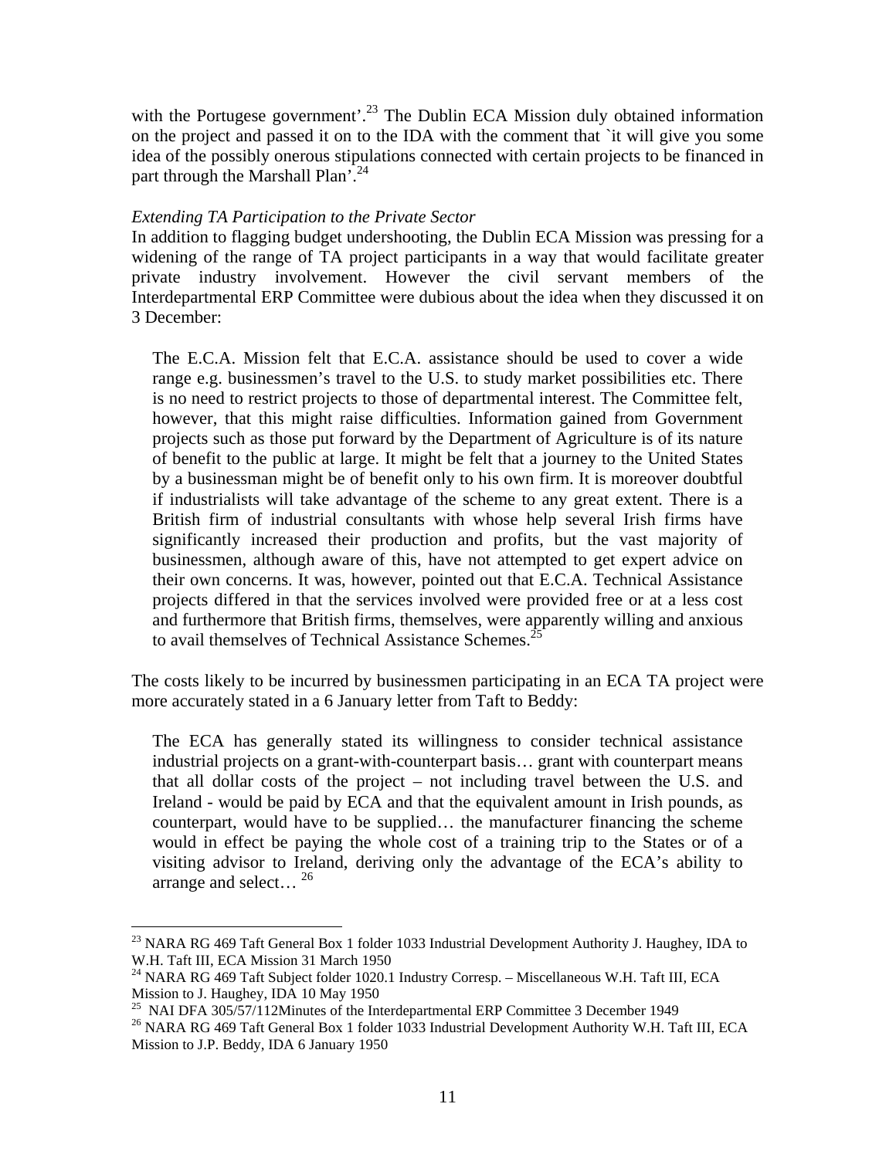with the Portugese government'.<sup>23</sup> The Dublin ECA Mission duly obtained information on the project and passed it on to the IDA with the comment that `it will give you some idea of the possibly onerous stipulations connected with certain projects to be financed in part through the Marshall Plan'.<sup>24</sup>

### *Extending TA Participation to the Private Sector*

In addition to flagging budget undershooting, the Dublin ECA Mission was pressing for a widening of the range of TA project participants in a way that would facilitate greater private industry involvement. However the civil servant members of the Interdepartmental ERP Committee were dubious about the idea when they discussed it on 3 December:

The E.C.A. Mission felt that E.C.A. assistance should be used to cover a wide range e.g. businessmen's travel to the U.S. to study market possibilities etc. There is no need to restrict projects to those of departmental interest. The Committee felt, however, that this might raise difficulties. Information gained from Government projects such as those put forward by the Department of Agriculture is of its nature of benefit to the public at large. It might be felt that a journey to the United States by a businessman might be of benefit only to his own firm. It is moreover doubtful if industrialists will take advantage of the scheme to any great extent. There is a British firm of industrial consultants with whose help several Irish firms have significantly increased their production and profits, but the vast majority of businessmen, although aware of this, have not attempted to get expert advice on their own concerns. It was, however, pointed out that E.C.A. Technical Assistance projects differed in that the services involved were provided free or at a less cost and furthermore that British firms, themselves, were apparently willing and anxious to avail themselves of Technical Assistance Schemes.<sup>2</sup>

The costs likely to be incurred by businessmen participating in an ECA TA project were more accurately stated in a 6 January letter from Taft to Beddy:

The ECA has generally stated its willingness to consider technical assistance industrial projects on a grant-with-counterpart basis… grant with counterpart means that all dollar costs of the project – not including travel between the U.S. and Ireland - would be paid by ECA and that the equivalent amount in Irish pounds, as counterpart, would have to be supplied… the manufacturer financing the scheme would in effect be paying the whole cost of a training trip to the States or of a visiting advisor to Ireland, deriving only the advantage of the ECA's ability to arrange and select...  $^{26}$ 

<sup>&</sup>lt;sup>23</sup> NARA RG 469 Taft General Box 1 folder 1033 Industrial Development Authority J. Haughey, IDA to W.H. Taft III, ECA Mission 31 March 1950

<sup>&</sup>lt;sup>24</sup> NARA RG 469 Taft Subject folder 1020.1 Industry Corresp. - Miscellaneous W.H. Taft III, ECA Mission to J. Haughey, IDA 10 May 1950<br><sup>25</sup> NAI DFA 305/57/112Minutes of the Interdepartmental ERP Committee 3 December 1949

<sup>&</sup>lt;sup>26</sup> NARA RG 469 Taft General Box 1 folder 1033 Industrial Development Authority W.H. Taft III, ECA Mission to J.P. Beddy, IDA 6 January 1950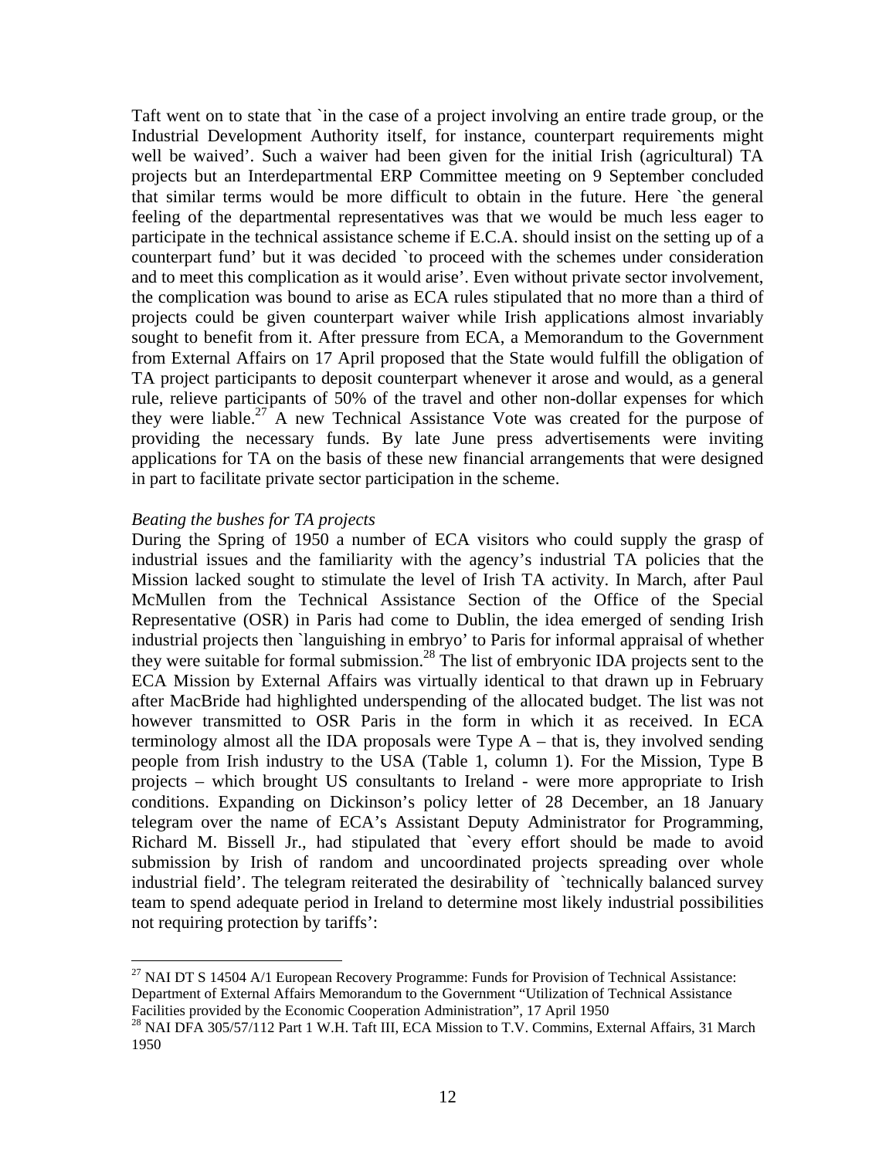Taft went on to state that `in the case of a project involving an entire trade group, or the Industrial Development Authority itself, for instance, counterpart requirements might well be waived'. Such a waiver had been given for the initial Irish (agricultural) TA projects but an Interdepartmental ERP Committee meeting on 9 September concluded that similar terms would be more difficult to obtain in the future. Here `the general feeling of the departmental representatives was that we would be much less eager to participate in the technical assistance scheme if E.C.A. should insist on the setting up of a counterpart fund' but it was decided `to proceed with the schemes under consideration and to meet this complication as it would arise'. Even without private sector involvement, the complication was bound to arise as ECA rules stipulated that no more than a third of projects could be given counterpart waiver while Irish applications almost invariably sought to benefit from it. After pressure from ECA, a Memorandum to the Government from External Affairs on 17 April proposed that the State would fulfill the obligation of TA project participants to deposit counterpart whenever it arose and would, as a general rule, relieve participants of 50% of the travel and other non-dollar expenses for which they were liable.<sup>27</sup> A new Technical Assistance Vote was created for the purpose of providing the necessary funds. By late June press advertisements were inviting applications for TA on the basis of these new financial arrangements that were designed in part to facilitate private sector participation in the scheme.

### *Beating the bushes for TA projects*

1

During the Spring of 1950 a number of ECA visitors who could supply the grasp of industrial issues and the familiarity with the agency's industrial TA policies that the Mission lacked sought to stimulate the level of Irish TA activity. In March, after Paul McMullen from the Technical Assistance Section of the Office of the Special Representative (OSR) in Paris had come to Dublin, the idea emerged of sending Irish industrial projects then `languishing in embryo' to Paris for informal appraisal of whether they were suitable for formal submission.<sup>28</sup> The list of embryonic IDA projects sent to the ECA Mission by External Affairs was virtually identical to that drawn up in February after MacBride had highlighted underspending of the allocated budget. The list was not however transmitted to OSR Paris in the form in which it as received. In ECA terminology almost all the IDA proposals were Type A – that is, they involved sending people from Irish industry to the USA (Table 1, column 1). For the Mission, Type B projects – which brought US consultants to Ireland - were more appropriate to Irish conditions. Expanding on Dickinson's policy letter of 28 December, an 18 January telegram over the name of ECA's Assistant Deputy Administrator for Programming, Richard M. Bissell Jr., had stipulated that `every effort should be made to avoid submission by Irish of random and uncoordinated projects spreading over whole industrial field'. The telegram reiterated the desirability of `technically balanced survey team to spend adequate period in Ireland to determine most likely industrial possibilities not requiring protection by tariffs':

 $^{27}$  NAI DT S 14504 A/1 European Recovery Programme: Funds for Provision of Technical Assistance: Department of External Affairs Memorandum to the Government "Utilization of Technical Assistance<br>Facilities provided by the Economic Cooperation Administration", 17 April 1950

<sup>&</sup>lt;sup>28</sup> NAI DFA 305/57/112 Part 1 W.H. Taft III, ECA Mission to T.V. Commins, External Affairs, 31 March 1950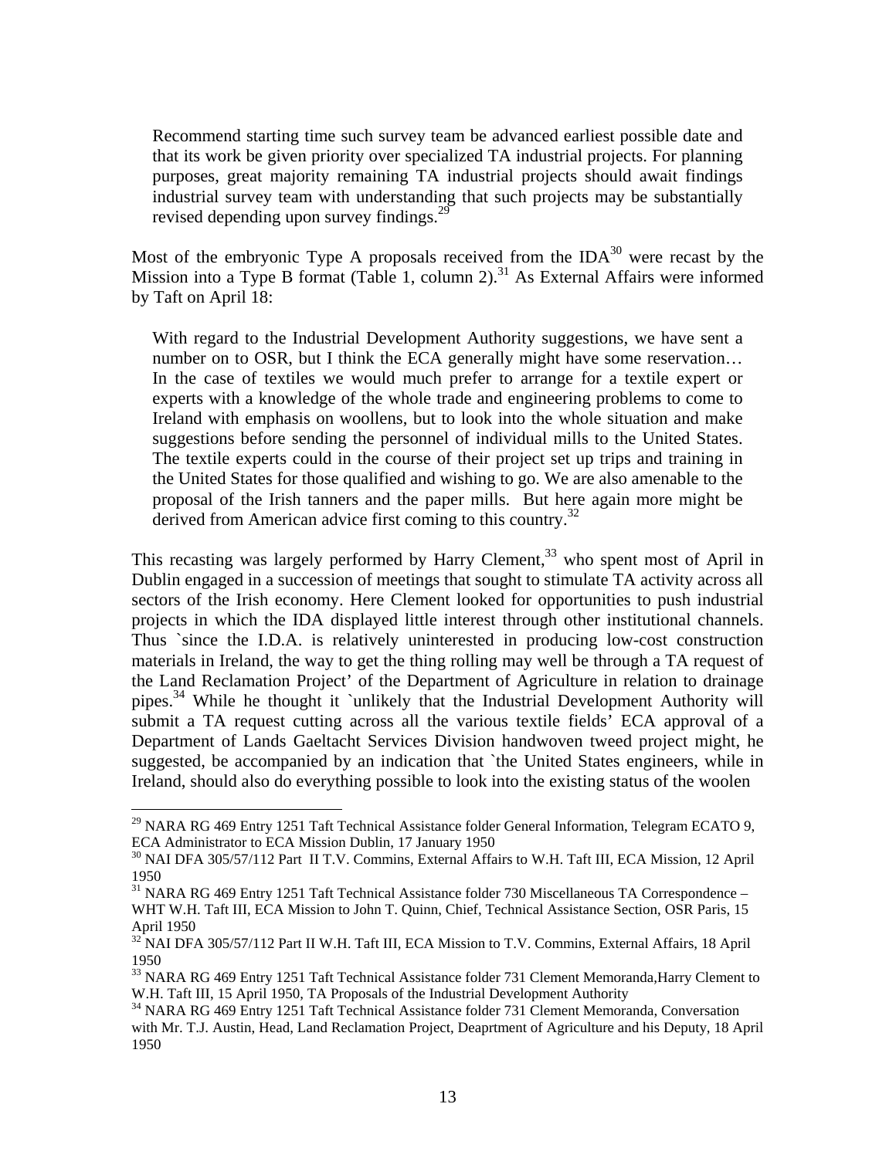Recommend starting time such survey team be advanced earliest possible date and that its work be given priority over specialized TA industrial projects. For planning purposes, great majority remaining TA industrial projects should await findings industrial survey team with understanding that such projects may be substantially revised depending upon survey findings.<sup>29</sup>

Most of the embryonic Type A proposals received from the  $IDA^{30}$  were recast by the Mission into a Type B format (Table 1, column 2).<sup>31</sup> As External Affairs were informed by Taft on April 18:

With regard to the Industrial Development Authority suggestions, we have sent a number on to OSR, but I think the ECA generally might have some reservation... In the case of textiles we would much prefer to arrange for a textile expert or experts with a knowledge of the whole trade and engineering problems to come to Ireland with emphasis on woollens, but to look into the whole situation and make suggestions before sending the personnel of individual mills to the United States. The textile experts could in the course of their project set up trips and training in the United States for those qualified and wishing to go. We are also amenable to the proposal of the Irish tanners and the paper mills. But here again more might be derived from American advice first coming to this country.<sup>32</sup>

This recasting was largely performed by Harry Clement, $33$  who spent most of April in Dublin engaged in a succession of meetings that sought to stimulate TA activity across all sectors of the Irish economy. Here Clement looked for opportunities to push industrial projects in which the IDA displayed little interest through other institutional channels. Thus `since the I.D.A. is relatively uninterested in producing low-cost construction materials in Ireland, the way to get the thing rolling may well be through a TA request of the Land Reclamation Project' of the Department of Agriculture in relation to drainage pipes.34 While he thought it `unlikely that the Industrial Development Authority will submit a TA request cutting across all the various textile fields' ECA approval of a Department of Lands Gaeltacht Services Division handwoven tweed project might, he suggested, be accompanied by an indication that `the United States engineers, while in Ireland, should also do everything possible to look into the existing status of the woolen

1

<sup>&</sup>lt;sup>29</sup> NARA RG 469 Entry 1251 Taft Technical Assistance folder General Information, Telegram ECATO 9, ECA Administrator to ECA Mission Dublin, 17 January 1950

<sup>&</sup>lt;sup>30</sup> NAI DFA 305/57/112 Part II T.V. Commins, External Affairs to W.H. Taft III, ECA Mission, 12 April 1950

<sup>&</sup>lt;sup>31</sup> NARA RG 469 Entry 1251 Taft Technical Assistance folder 730 Miscellaneous TA Correspondence – WHT W.H. Taft III, ECA Mission to John T. Quinn, Chief, Technical Assistance Section, OSR Paris, 15 April 1950

<sup>&</sup>lt;sup>32</sup> NAI DFA 305/57/112 Part II W.H. Taft III, ECA Mission to T.V. Commins, External Affairs, 18 April 1950

<sup>&</sup>lt;sup>33</sup> NARA RG 469 Entry 1251 Taft Technical Assistance folder 731 Clement Memoranda, Harry Clement to W.H. Taft III, 15 April 1950, TA Proposals of the Industrial Development Authority

<sup>&</sup>lt;sup>34</sup> NARA RG 469 Entry 1251 Taft Technical Assistance folder 731 Clement Memoranda, Conversation with Mr. T.J. Austin, Head, Land Reclamation Project, Deaprtment of Agriculture and his Deputy, 18 April 1950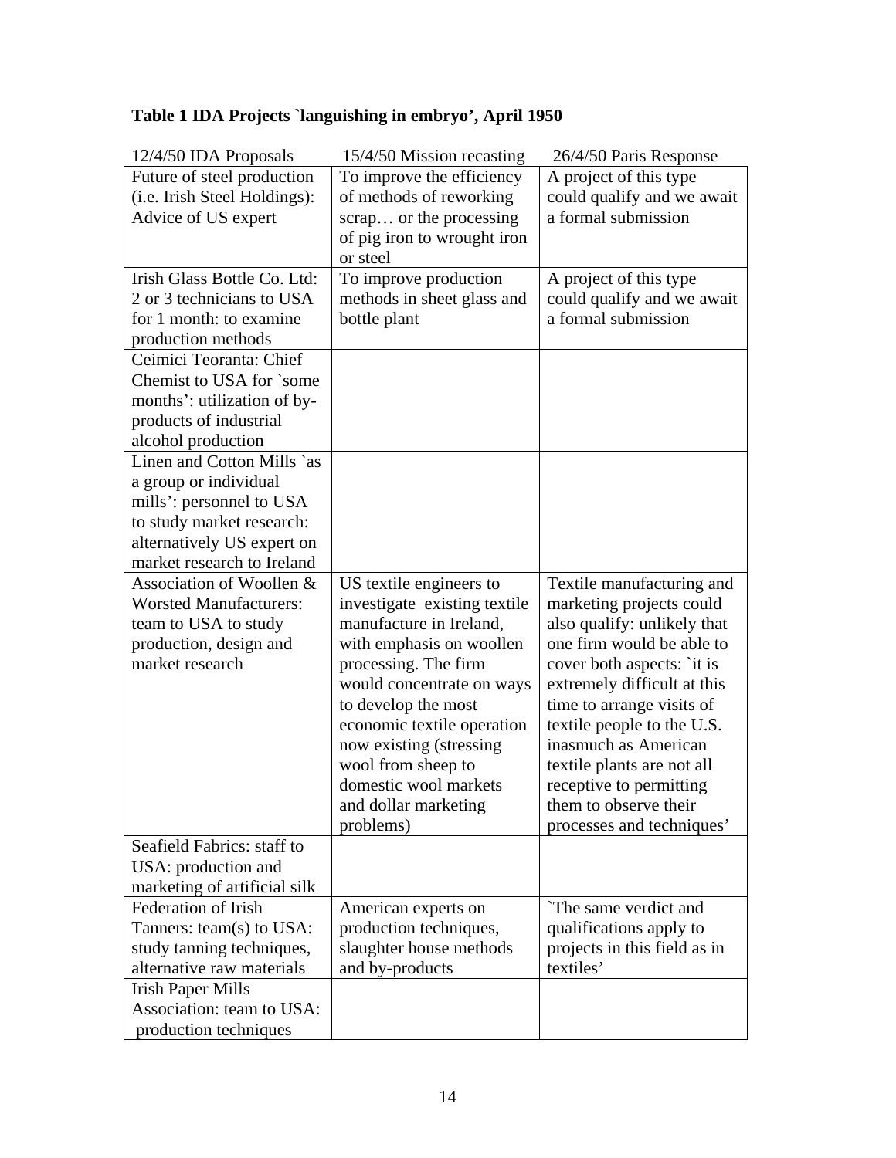# **Table 1 IDA Projects `languishing in embryo', April 1950**

| 12/4/50 IDA Proposals         | 15/4/50 Mission recasting                   | 26/4/50 Paris Response                                |
|-------------------------------|---------------------------------------------|-------------------------------------------------------|
| Future of steel production    | To improve the efficiency                   | A project of this type                                |
| (i.e. Irish Steel Holdings):  | of methods of reworking                     | could qualify and we await                            |
| Advice of US expert           | scrap or the processing                     | a formal submission                                   |
|                               | of pig iron to wrought iron                 |                                                       |
|                               | or steel                                    |                                                       |
| Irish Glass Bottle Co. Ltd:   | To improve production                       | A project of this type                                |
| 2 or 3 technicians to USA     | methods in sheet glass and                  | could qualify and we await                            |
| for 1 month: to examine       | bottle plant                                | a formal submission                                   |
| production methods            |                                             |                                                       |
| Ceimici Teoranta: Chief       |                                             |                                                       |
| Chemist to USA for `some      |                                             |                                                       |
| months': utilization of by-   |                                             |                                                       |
| products of industrial        |                                             |                                                       |
| alcohol production            |                                             |                                                       |
| Linen and Cotton Mills `as    |                                             |                                                       |
| a group or individual         |                                             |                                                       |
| mills': personnel to USA      |                                             |                                                       |
| to study market research:     |                                             |                                                       |
| alternatively US expert on    |                                             |                                                       |
| market research to Ireland    |                                             |                                                       |
| Association of Woollen &      | US textile engineers to                     | Textile manufacturing and                             |
| <b>Worsted Manufacturers:</b> | investigate existing textile                | marketing projects could                              |
| team to USA to study          | manufacture in Ireland,                     | also qualify: unlikely that                           |
| production, design and        | with emphasis on woollen                    | one firm would be able to                             |
| market research               | processing. The firm                        | cover both aspects: `it is                            |
|                               | would concentrate on ways                   | extremely difficult at this                           |
|                               | to develop the most                         | time to arrange visits of                             |
|                               | economic textile operation                  | textile people to the U.S.<br>inasmuch as American    |
|                               | now existing (stressing                     |                                                       |
|                               | wool from sheep to<br>domestic wool markets | textile plants are not all<br>receptive to permitting |
|                               |                                             | them to observe their                                 |
|                               | and dollar marketing<br>problems)           | processes and techniques'                             |
| Seafield Fabrics: staff to    |                                             |                                                       |
| USA: production and           |                                             |                                                       |
| marketing of artificial silk  |                                             |                                                       |
| Federation of Irish           | American experts on                         | The same verdict and                                  |
| Tanners: team(s) to USA:      | production techniques,                      | qualifications apply to                               |
| study tanning techniques,     | slaughter house methods                     | projects in this field as in                          |
| alternative raw materials     | and by-products                             | textiles'                                             |
| <b>Irish Paper Mills</b>      |                                             |                                                       |
| Association: team to USA:     |                                             |                                                       |
| production techniques         |                                             |                                                       |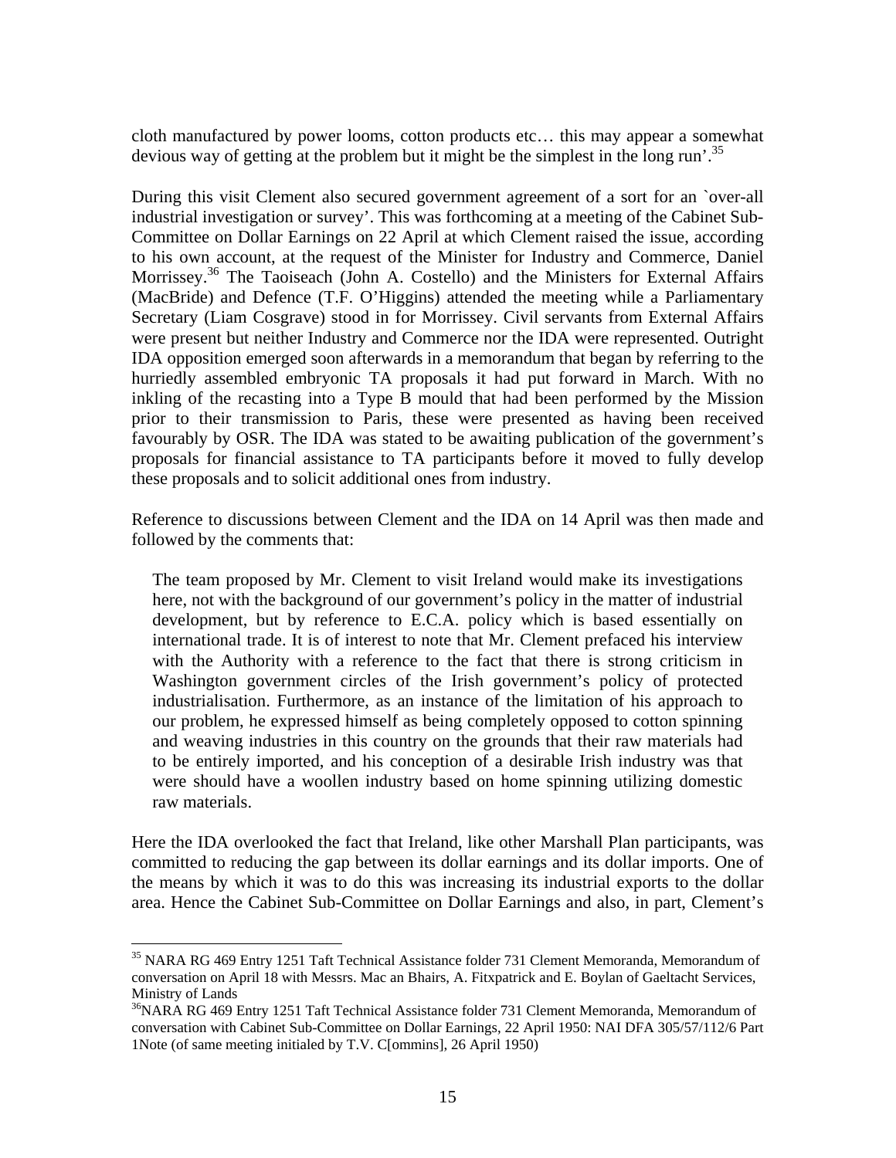cloth manufactured by power looms, cotton products etc… this may appear a somewhat devious way of getting at the problem but it might be the simplest in the long run<sup>'.35</sup>

During this visit Clement also secured government agreement of a sort for an `over-all industrial investigation or survey'. This was forthcoming at a meeting of the Cabinet Sub-Committee on Dollar Earnings on 22 April at which Clement raised the issue, according to his own account, at the request of the Minister for Industry and Commerce, Daniel Morrissey.<sup>36</sup> The Taoiseach (John A. Costello) and the Ministers for External Affairs (MacBride) and Defence (T.F. O'Higgins) attended the meeting while a Parliamentary Secretary (Liam Cosgrave) stood in for Morrissey. Civil servants from External Affairs were present but neither Industry and Commerce nor the IDA were represented. Outright IDA opposition emerged soon afterwards in a memorandum that began by referring to the hurriedly assembled embryonic TA proposals it had put forward in March. With no inkling of the recasting into a Type B mould that had been performed by the Mission prior to their transmission to Paris, these were presented as having been received favourably by OSR. The IDA was stated to be awaiting publication of the government's proposals for financial assistance to TA participants before it moved to fully develop these proposals and to solicit additional ones from industry.

Reference to discussions between Clement and the IDA on 14 April was then made and followed by the comments that:

The team proposed by Mr. Clement to visit Ireland would make its investigations here, not with the background of our government's policy in the matter of industrial development, but by reference to E.C.A. policy which is based essentially on international trade. It is of interest to note that Mr. Clement prefaced his interview with the Authority with a reference to the fact that there is strong criticism in Washington government circles of the Irish government's policy of protected industrialisation. Furthermore, as an instance of the limitation of his approach to our problem, he expressed himself as being completely opposed to cotton spinning and weaving industries in this country on the grounds that their raw materials had to be entirely imported, and his conception of a desirable Irish industry was that were should have a woollen industry based on home spinning utilizing domestic raw materials.

Here the IDA overlooked the fact that Ireland, like other Marshall Plan participants, was committed to reducing the gap between its dollar earnings and its dollar imports. One of the means by which it was to do this was increasing its industrial exports to the dollar area. Hence the Cabinet Sub-Committee on Dollar Earnings and also, in part, Clement's

<sup>&</sup>lt;sup>35</sup> NARA RG 469 Entry 1251 Taft Technical Assistance folder 731 Clement Memoranda, Memorandum of conversation on April 18 with Messrs. Mac an Bhairs, A. Fitxpatrick and E. Boylan of Gaeltacht Services, Ministry of Lands

<sup>&</sup>lt;sup>36</sup>NARA RG 469 Entry 1251 Taft Technical Assistance folder 731 Clement Memoranda, Memorandum of conversation with Cabinet Sub-Committee on Dollar Earnings, 22 April 1950: NAI DFA 305/57/112/6 Part 1Note (of same meeting initialed by T.V. C[ommins], 26 April 1950)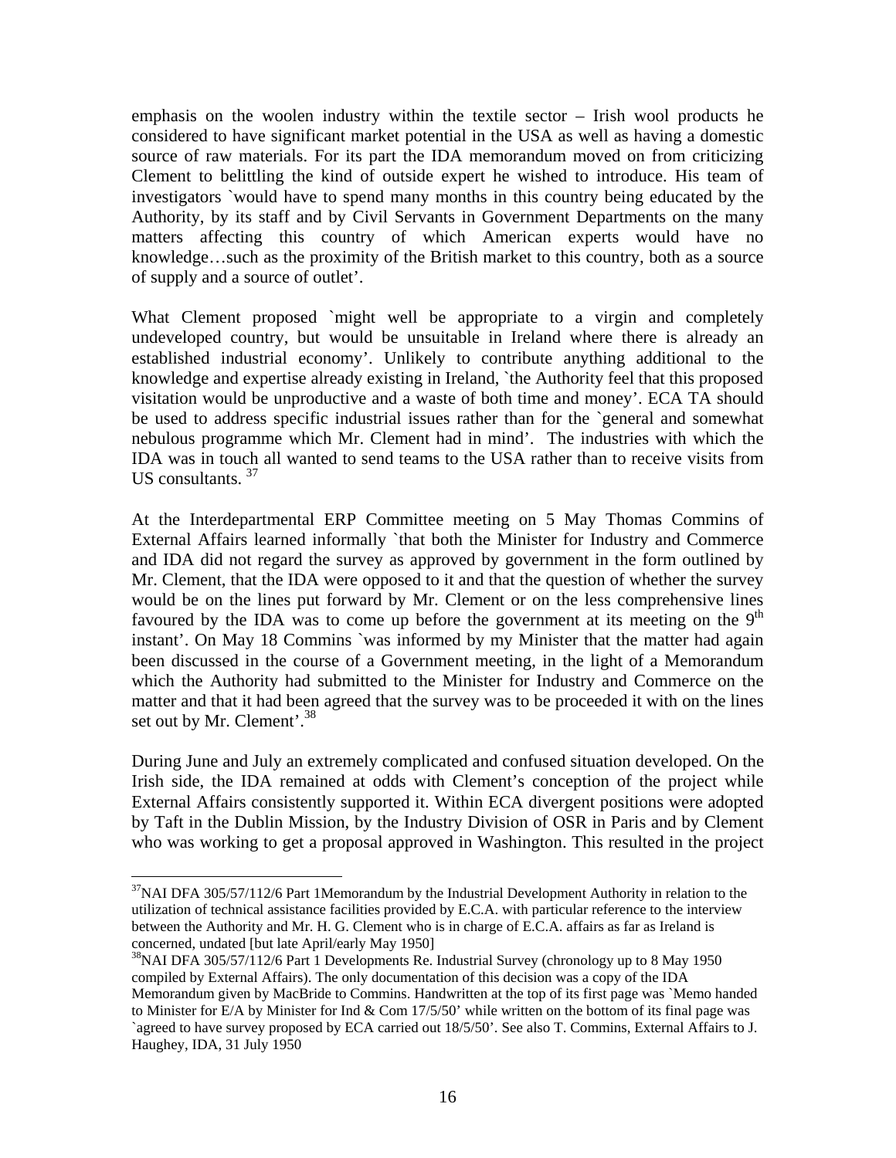emphasis on the woolen industry within the textile sector – Irish wool products he considered to have significant market potential in the USA as well as having a domestic source of raw materials. For its part the IDA memorandum moved on from criticizing Clement to belittling the kind of outside expert he wished to introduce. His team of investigators `would have to spend many months in this country being educated by the Authority, by its staff and by Civil Servants in Government Departments on the many matters affecting this country of which American experts would have no knowledge…such as the proximity of the British market to this country, both as a source of supply and a source of outlet'.

What Clement proposed `might well be appropriate to a virgin and completely undeveloped country, but would be unsuitable in Ireland where there is already an established industrial economy'. Unlikely to contribute anything additional to the knowledge and expertise already existing in Ireland, `the Authority feel that this proposed visitation would be unproductive and a waste of both time and money'. ECA TA should be used to address specific industrial issues rather than for the `general and somewhat nebulous programme which Mr. Clement had in mind'. The industries with which the IDA was in touch all wanted to send teams to the USA rather than to receive visits from US consultants.  $37$ 

At the Interdepartmental ERP Committee meeting on 5 May Thomas Commins of External Affairs learned informally `that both the Minister for Industry and Commerce and IDA did not regard the survey as approved by government in the form outlined by Mr. Clement, that the IDA were opposed to it and that the question of whether the survey would be on the lines put forward by Mr. Clement or on the less comprehensive lines favoured by the IDA was to come up before the government at its meeting on the  $9<sup>th</sup>$ instant'. On May 18 Commins `was informed by my Minister that the matter had again been discussed in the course of a Government meeting, in the light of a Memorandum which the Authority had submitted to the Minister for Industry and Commerce on the matter and that it had been agreed that the survey was to be proceeded it with on the lines set out by Mr. Clement'. $38$ 

During June and July an extremely complicated and confused situation developed. On the Irish side, the IDA remained at odds with Clement's conception of the project while External Affairs consistently supported it. Within ECA divergent positions were adopted by Taft in the Dublin Mission, by the Industry Division of OSR in Paris and by Clement who was working to get a proposal approved in Washington. This resulted in the project

 $37$ NAI DFA 305/57/112/6 Part 1Memorandum by the Industrial Development Authority in relation to the utilization of technical assistance facilities provided by E.C.A. with particular reference to the interview between the Authority and Mr. H. G. Clement who is in charge of E.C.A. affairs as far as Ireland is concerned, undated [but late April/early May 1950]<br><sup>38</sup>NAI DFA 305/57/112/6 Part 1 Developments Re. Industrial Survey (chronology up to 8 May 1950

compiled by External Affairs). The only documentation of this decision was a copy of the IDA Memorandum given by MacBride to Commins. Handwritten at the top of its first page was `Memo handed to Minister for E/A by Minister for Ind  $& Com 17/5/50'$  while written on the bottom of its final page was `agreed to have survey proposed by ECA carried out 18/5/50'. See also T. Commins, External Affairs to J. Haughey, IDA, 31 July 1950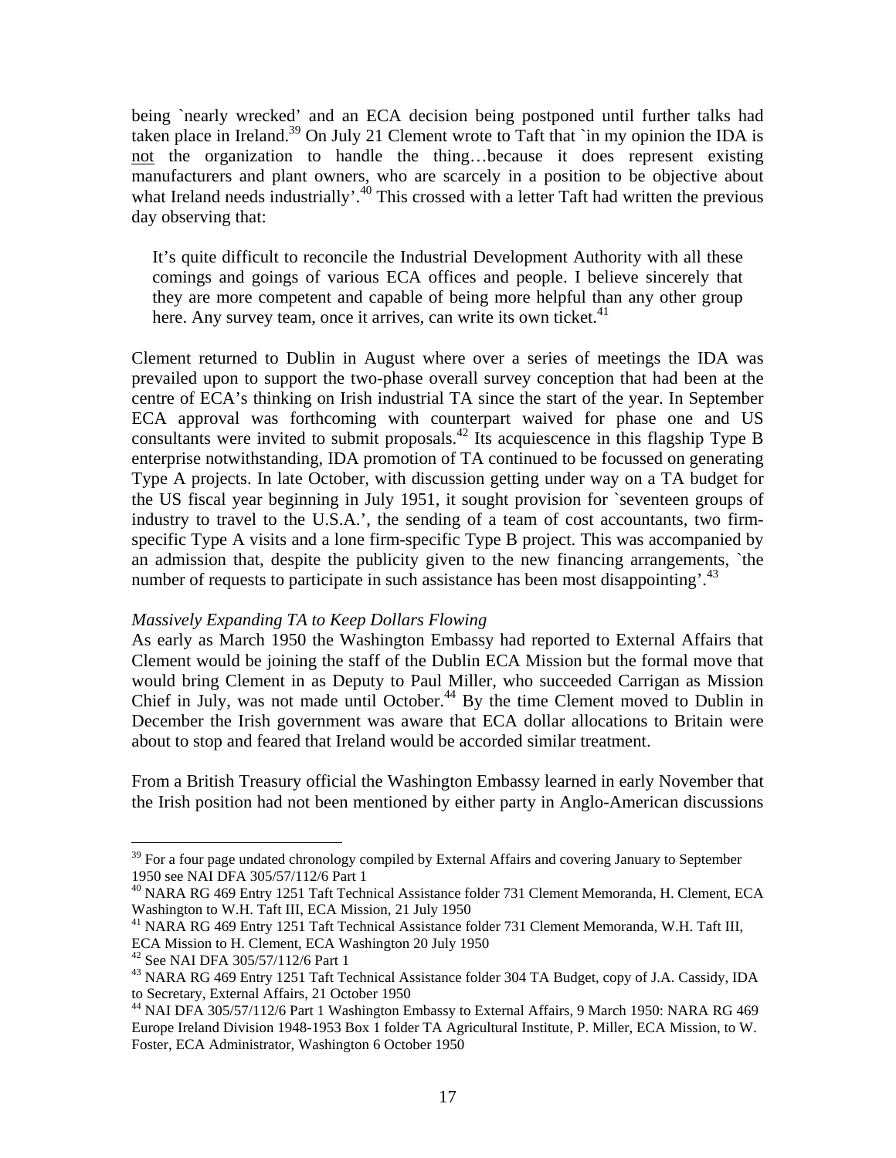being `nearly wrecked' and an ECA decision being postponed until further talks had taken place in Ireland.<sup>39</sup> On July 21 Clement wrote to Taft that `in my opinion the IDA is not the organization to handle the thing…because it does represent existing manufacturers and plant owners, who are scarcely in a position to be objective about what Ireland needs industrially'.<sup>40</sup> This crossed with a letter Taft had written the previous day observing that:

It's quite difficult to reconcile the Industrial Development Authority with all these comings and goings of various ECA offices and people. I believe sincerely that they are more competent and capable of being more helpful than any other group here. Any survey team, once it arrives, can write its own ticket.<sup>41</sup>

Clement returned to Dublin in August where over a series of meetings the IDA was prevailed upon to support the two-phase overall survey conception that had been at the centre of ECA's thinking on Irish industrial TA since the start of the year. In September ECA approval was forthcoming with counterpart waived for phase one and US consultants were invited to submit proposals.<sup>42</sup> Its acquiescence in this flagship Type B enterprise notwithstanding, IDA promotion of TA continued to be focussed on generating Type A projects. In late October, with discussion getting under way on a TA budget for the US fiscal year beginning in July 1951, it sought provision for `seventeen groups of industry to travel to the U.S.A.', the sending of a team of cost accountants, two firmspecific Type A visits and a lone firm-specific Type B project. This was accompanied by an admission that, despite the publicity given to the new financing arrangements, `the number of requests to participate in such assistance has been most disappointing'.<sup>43</sup>

### *Massively Expanding TA to Keep Dollars Flowing*

As early as March 1950 the Washington Embassy had reported to External Affairs that Clement would be joining the staff of the Dublin ECA Mission but the formal move that would bring Clement in as Deputy to Paul Miller, who succeeded Carrigan as Mission Chief in July, was not made until October.<sup>44</sup> By the time Clement moved to Dublin in December the Irish government was aware that ECA dollar allocations to Britain were about to stop and feared that Ireland would be accorded similar treatment.

From a British Treasury official the Washington Embassy learned in early November that the Irish position had not been mentioned by either party in Anglo-American discussions

 $39$  For a four page undated chronology compiled by External Affairs and covering January to September 1950 see NAI DFA 305/57/112/6 Part 1

<sup>40</sup> NARA RG 469 Entry 1251 Taft Technical Assistance folder 731 Clement Memoranda, H. Clement, ECA Washington to W.H. Taft III, ECA Mission, 21 July 1950

<sup>41</sup> NARA RG 469 Entry 1251 Taft Technical Assistance folder 731 Clement Memoranda, W.H. Taft III, ECA Mission to H. Clement, ECA Washington 20 July 1950

<sup>42</sup> See NAI DFA 305/57/112/6 Part 1

<sup>&</sup>lt;sup>43</sup> NARA RG 469 Entry 1251 Taft Technical Assistance folder 304 TA Budget, copy of J.A. Cassidy, IDA to Secretary, External Affairs, 21 October 1950

<sup>&</sup>lt;sup>44</sup> NAI DFA 305/57/112/6 Part 1 Washington Embassy to External Affairs, 9 March 1950: NARA RG 469 Europe Ireland Division 1948-1953 Box 1 folder TA Agricultural Institute, P. Miller, ECA Mission, to W. Foster, ECA Administrator, Washington 6 October 1950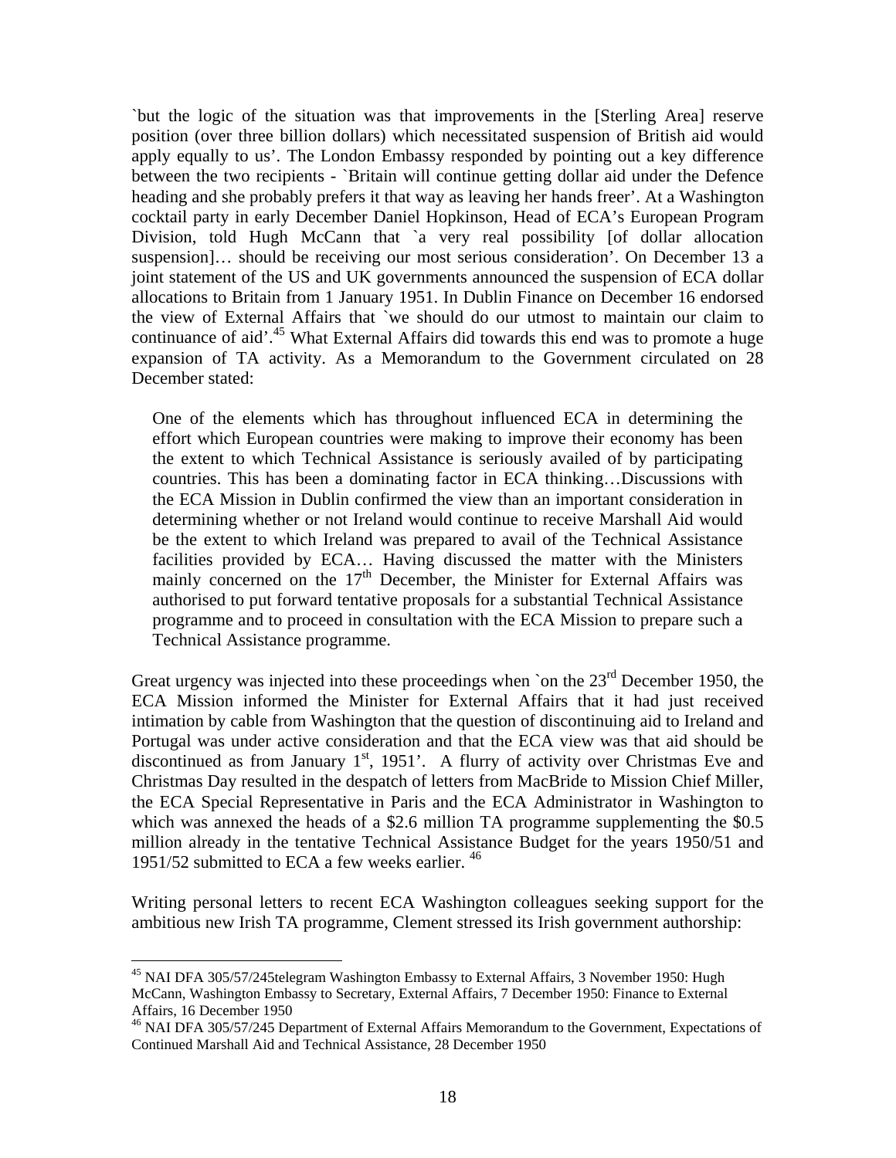`but the logic of the situation was that improvements in the [Sterling Area] reserve position (over three billion dollars) which necessitated suspension of British aid would apply equally to us'. The London Embassy responded by pointing out a key difference between the two recipients - `Britain will continue getting dollar aid under the Defence heading and she probably prefers it that way as leaving her hands freer'. At a Washington cocktail party in early December Daniel Hopkinson, Head of ECA's European Program Division, told Hugh McCann that `a very real possibility [of dollar allocation suspension]… should be receiving our most serious consideration'. On December 13 a joint statement of the US and UK governments announced the suspension of ECA dollar allocations to Britain from 1 January 1951. In Dublin Finance on December 16 endorsed the view of External Affairs that `we should do our utmost to maintain our claim to continuance of aid'.<sup>45</sup> What External Affairs did towards this end was to promote a huge expansion of TA activity. As a Memorandum to the Government circulated on 28 December stated:

One of the elements which has throughout influenced ECA in determining the effort which European countries were making to improve their economy has been the extent to which Technical Assistance is seriously availed of by participating countries. This has been a dominating factor in ECA thinking…Discussions with the ECA Mission in Dublin confirmed the view than an important consideration in determining whether or not Ireland would continue to receive Marshall Aid would be the extent to which Ireland was prepared to avail of the Technical Assistance facilities provided by ECA… Having discussed the matter with the Ministers mainly concerned on the  $17<sup>th</sup>$  December, the Minister for External Affairs was authorised to put forward tentative proposals for a substantial Technical Assistance programme and to proceed in consultation with the ECA Mission to prepare such a Technical Assistance programme.

Great urgency was injected into these proceedings when `on the  $23<sup>rd</sup>$  December 1950, the ECA Mission informed the Minister for External Affairs that it had just received intimation by cable from Washington that the question of discontinuing aid to Ireland and Portugal was under active consideration and that the ECA view was that aid should be discontinued as from January  $1<sup>st</sup>$ , 1951'. A flurry of activity over Christmas Eve and Christmas Day resulted in the despatch of letters from MacBride to Mission Chief Miller, the ECA Special Representative in Paris and the ECA Administrator in Washington to which was annexed the heads of a \$2.6 million TA programme supplementing the \$0.5 million already in the tentative Technical Assistance Budget for the years 1950/51 and 1951/52 submitted to ECA a few weeks earlier. <sup>46</sup>

Writing personal letters to recent ECA Washington colleagues seeking support for the ambitious new Irish TA programme, Clement stressed its Irish government authorship:

<sup>&</sup>lt;sup>45</sup> NAI DFA 305/57/245telegram Washington Embassy to External Affairs, 3 November 1950: Hugh McCann, Washington Embassy to Secretary, External Affairs, 7 December 1950: Finance to External Affairs, 16 December 1950

<sup>46</sup> NAI DFA 305/57/245 Department of External Affairs Memorandum to the Government, Expectations of Continued Marshall Aid and Technical Assistance, 28 December 1950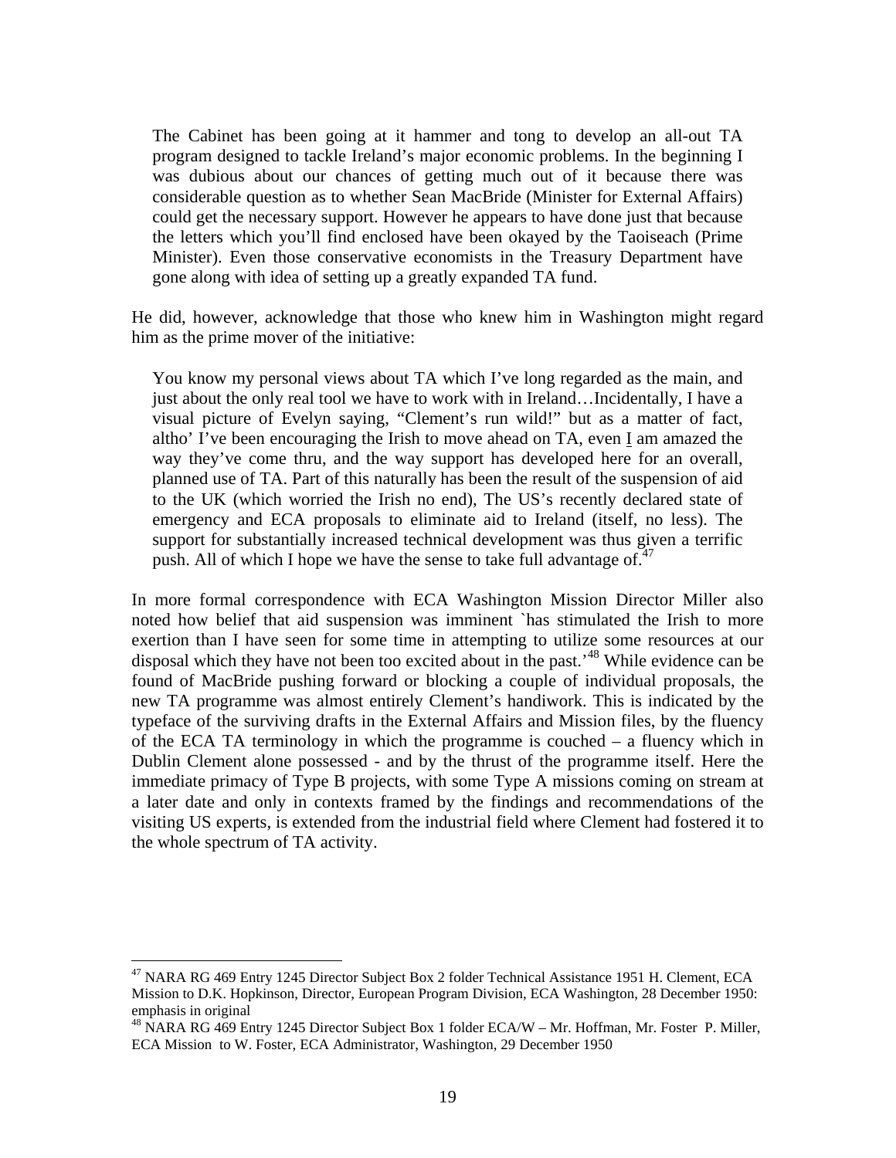The Cabinet has been going at it hammer and tong to develop an all-out TA program designed to tackle Ireland's major economic problems. In the beginning I was dubious about our chances of getting much out of it because there was considerable question as to whether Sean MacBride (Minister for External Affairs) could get the necessary support. However he appears to have done just that because the letters which you'll find enclosed have been okayed by the Taoiseach (Prime Minister). Even those conservative economists in the Treasury Department have gone along with idea of setting up a greatly expanded TA fund.

He did, however, acknowledge that those who knew him in Washington might regard him as the prime mover of the initiative:

You know my personal views about TA which I've long regarded as the main, and just about the only real tool we have to work with in Ireland…Incidentally, I have a visual picture of Evelyn saying, "Clement's run wild!" but as a matter of fact, altho' I've been encouraging the Irish to move ahead on TA, even I am amazed the way they've come thru, and the way support has developed here for an overall, planned use of TA. Part of this naturally has been the result of the suspension of aid to the UK (which worried the Irish no end), The US's recently declared state of emergency and ECA proposals to eliminate aid to Ireland (itself, no less). The support for substantially increased technical development was thus given a terrific push. All of which I hope we have the sense to take full advantage of. $47$ 

In more formal correspondence with ECA Washington Mission Director Miller also noted how belief that aid suspension was imminent `has stimulated the Irish to more exertion than I have seen for some time in attempting to utilize some resources at our disposal which they have not been too excited about in the past.'48 While evidence can be found of MacBride pushing forward or blocking a couple of individual proposals, the new TA programme was almost entirely Clement's handiwork. This is indicated by the typeface of the surviving drafts in the External Affairs and Mission files, by the fluency of the ECA TA terminology in which the programme is couched – a fluency which in Dublin Clement alone possessed - and by the thrust of the programme itself. Here the immediate primacy of Type B projects, with some Type A missions coming on stream at a later date and only in contexts framed by the findings and recommendations of the visiting US experts, is extended from the industrial field where Clement had fostered it to the whole spectrum of TA activity.

<sup>&</sup>lt;sup>47</sup> NARA RG 469 Entry 1245 Director Subject Box 2 folder Technical Assistance 1951 H. Clement, ECA Mission to D.K. Hopkinson, Director, European Program Division, ECA Washington, 28 December 1950: emphasis in original

<sup>&</sup>lt;sup>48</sup> NARA RG 469 Entry 1245 Director Subject Box 1 folder ECA/W – Mr. Hoffman, Mr. Foster P. Miller, ECA Mission to W. Foster, ECA Administrator, Washington, 29 December 1950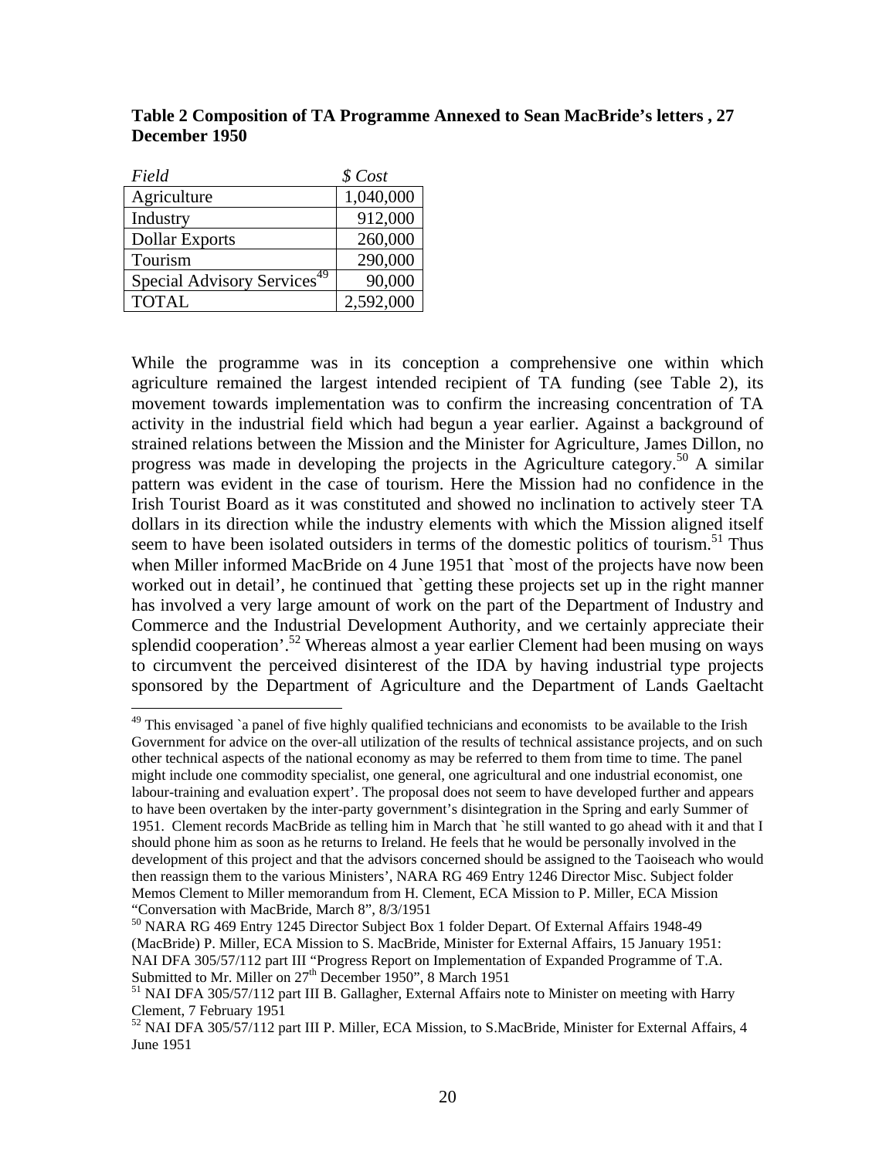| Field                                   | \$Cost    |
|-----------------------------------------|-----------|
| Agriculture                             | 1,040,000 |
| Industry                                | 912,000   |
| <b>Dollar Exports</b>                   | 260,000   |
| Tourism                                 | 290,000   |
| Special Advisory Services <sup>49</sup> | 90,000    |
| <b>TOTAL</b>                            | 2,592,000 |

 $\overline{a}$ 

**Table 2 Composition of TA Programme Annexed to Sean MacBride's letters , 27 December 1950** 

While the programme was in its conception a comprehensive one within which agriculture remained the largest intended recipient of TA funding (see Table 2), its movement towards implementation was to confirm the increasing concentration of TA activity in the industrial field which had begun a year earlier. Against a background of strained relations between the Mission and the Minister for Agriculture, James Dillon, no progress was made in developing the projects in the Agriculture category.50 A similar pattern was evident in the case of tourism. Here the Mission had no confidence in the Irish Tourist Board as it was constituted and showed no inclination to actively steer TA dollars in its direction while the industry elements with which the Mission aligned itself seem to have been isolated outsiders in terms of the domestic politics of tourism.<sup>51</sup> Thus when Miller informed MacBride on 4 June 1951 that `most of the projects have now been worked out in detail', he continued that `getting these projects set up in the right manner has involved a very large amount of work on the part of the Department of Industry and Commerce and the Industrial Development Authority, and we certainly appreciate their splendid cooperation'.<sup>52</sup> Whereas almost a year earlier Clement had been musing on ways to circumvent the perceived disinterest of the IDA by having industrial type projects sponsored by the Department of Agriculture and the Department of Lands Gaeltacht

 $49$  This envisaged `a panel of five highly qualified technicians and economists to be available to the Irish Government for advice on the over-all utilization of the results of technical assistance projects, and on such other technical aspects of the national economy as may be referred to them from time to time. The panel might include one commodity specialist, one general, one agricultural and one industrial economist, one labour-training and evaluation expert'. The proposal does not seem to have developed further and appears to have been overtaken by the inter-party government's disintegration in the Spring and early Summer of 1951. Clement records MacBride as telling him in March that `he still wanted to go ahead with it and that I should phone him as soon as he returns to Ireland. He feels that he would be personally involved in the development of this project and that the advisors concerned should be assigned to the Taoiseach who would then reassign them to the various Ministers', NARA RG 469 Entry 1246 Director Misc. Subject folder Memos Clement to Miller memorandum from H. Clement, ECA Mission to P. Miller, ECA Mission "Conversation with MacBride, March 8", 8/3/1951

<sup>50</sup> NARA RG 469 Entry 1245 Director Subject Box 1 folder Depart. Of External Affairs 1948-49 (MacBride) P. Miller, ECA Mission to S. MacBride, Minister for External Affairs, 15 January 1951: NAI DFA 305/57/112 part III "Progress Report on Implementation of Expanded Programme of T.A. Submitted to Mr. Miller on  $27<sup>th</sup>$  December 1950", 8 March 1951<br><sup>51</sup> NAI DFA 305/57/112 part III B. Gallagher, External Affairs note to Minister on meeting with Harry

Clement, 7 February 1951

<sup>52</sup> NAI DFA 305/57/112 part III P. Miller, ECA Mission, to S. MacBride, Minister for External Affairs, 4 June 1951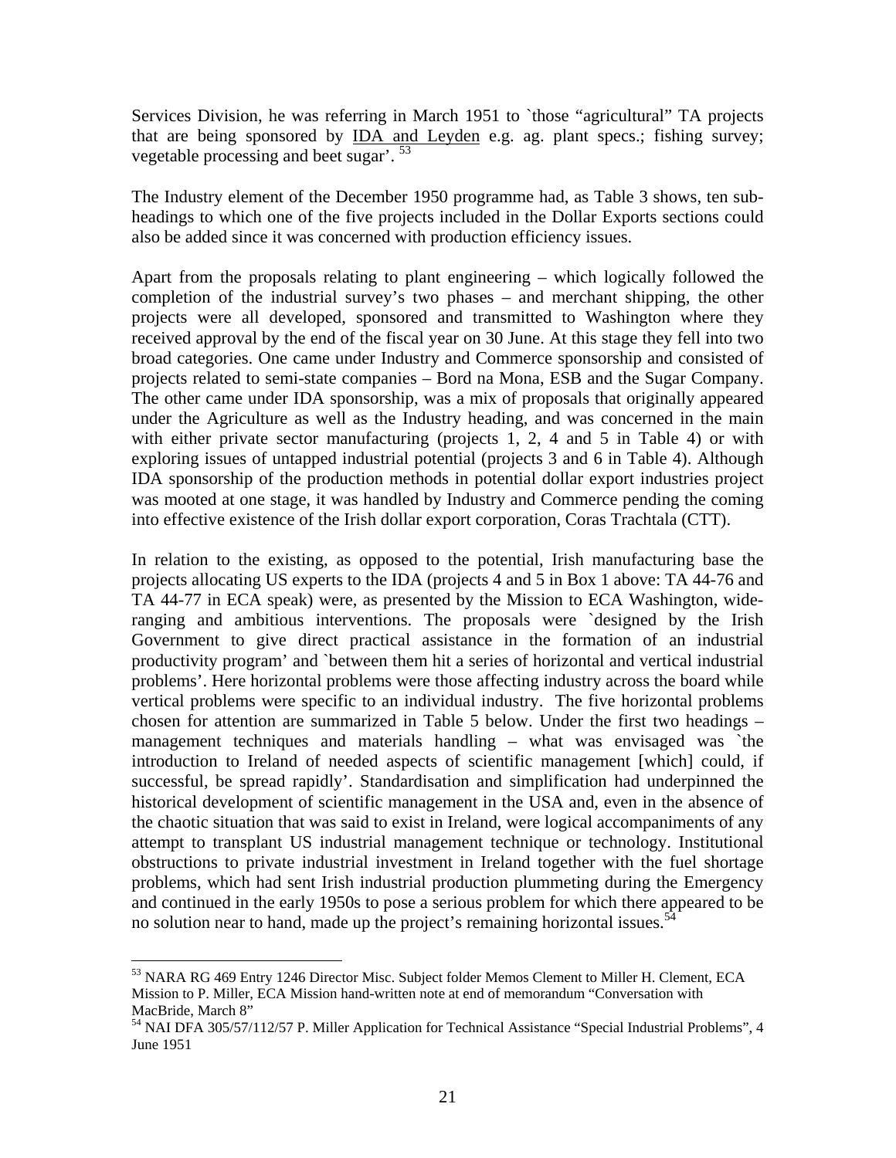Services Division, he was referring in March 1951 to `those "agricultural" TA projects that are being sponsored by IDA and Leyden e.g. ag. plant specs.; fishing survey; vegetable processing and beet sugar'. <sup>53</sup>

The Industry element of the December 1950 programme had, as Table 3 shows, ten subheadings to which one of the five projects included in the Dollar Exports sections could also be added since it was concerned with production efficiency issues.

Apart from the proposals relating to plant engineering – which logically followed the completion of the industrial survey's two phases – and merchant shipping, the other projects were all developed, sponsored and transmitted to Washington where they received approval by the end of the fiscal year on 30 June. At this stage they fell into two broad categories. One came under Industry and Commerce sponsorship and consisted of projects related to semi-state companies – Bord na Mona, ESB and the Sugar Company. The other came under IDA sponsorship, was a mix of proposals that originally appeared under the Agriculture as well as the Industry heading, and was concerned in the main with either private sector manufacturing (projects 1, 2, 4 and 5 in Table 4) or with exploring issues of untapped industrial potential (projects 3 and 6 in Table 4). Although IDA sponsorship of the production methods in potential dollar export industries project was mooted at one stage, it was handled by Industry and Commerce pending the coming into effective existence of the Irish dollar export corporation, Coras Trachtala (CTT).

In relation to the existing, as opposed to the potential, Irish manufacturing base the projects allocating US experts to the IDA (projects 4 and 5 in Box 1 above: TA 44-76 and TA 44-77 in ECA speak) were, as presented by the Mission to ECA Washington, wideranging and ambitious interventions. The proposals were `designed by the Irish Government to give direct practical assistance in the formation of an industrial productivity program' and `between them hit a series of horizontal and vertical industrial problems'. Here horizontal problems were those affecting industry across the board while vertical problems were specific to an individual industry. The five horizontal problems chosen for attention are summarized in Table 5 below. Under the first two headings – management techniques and materials handling – what was envisaged was `the introduction to Ireland of needed aspects of scientific management [which] could, if successful, be spread rapidly'. Standardisation and simplification had underpinned the historical development of scientific management in the USA and, even in the absence of the chaotic situation that was said to exist in Ireland, were logical accompaniments of any attempt to transplant US industrial management technique or technology. Institutional obstructions to private industrial investment in Ireland together with the fuel shortage problems, which had sent Irish industrial production plummeting during the Emergency and continued in the early 1950s to pose a serious problem for which there appeared to be no solution near to hand, made up the project's remaining horizontal issues.<sup>54</sup>

<sup>&</sup>lt;sup>53</sup> NARA RG 469 Entry 1246 Director Misc. Subject folder Memos Clement to Miller H. Clement, ECA Mission to P. Miller, ECA Mission hand-written note at end of memorandum "Conversation with MacBride, March 8"

<sup>54</sup> NAI DFA 305/57/112/57 P. Miller Application for Technical Assistance "Special Industrial Problems", 4 June 1951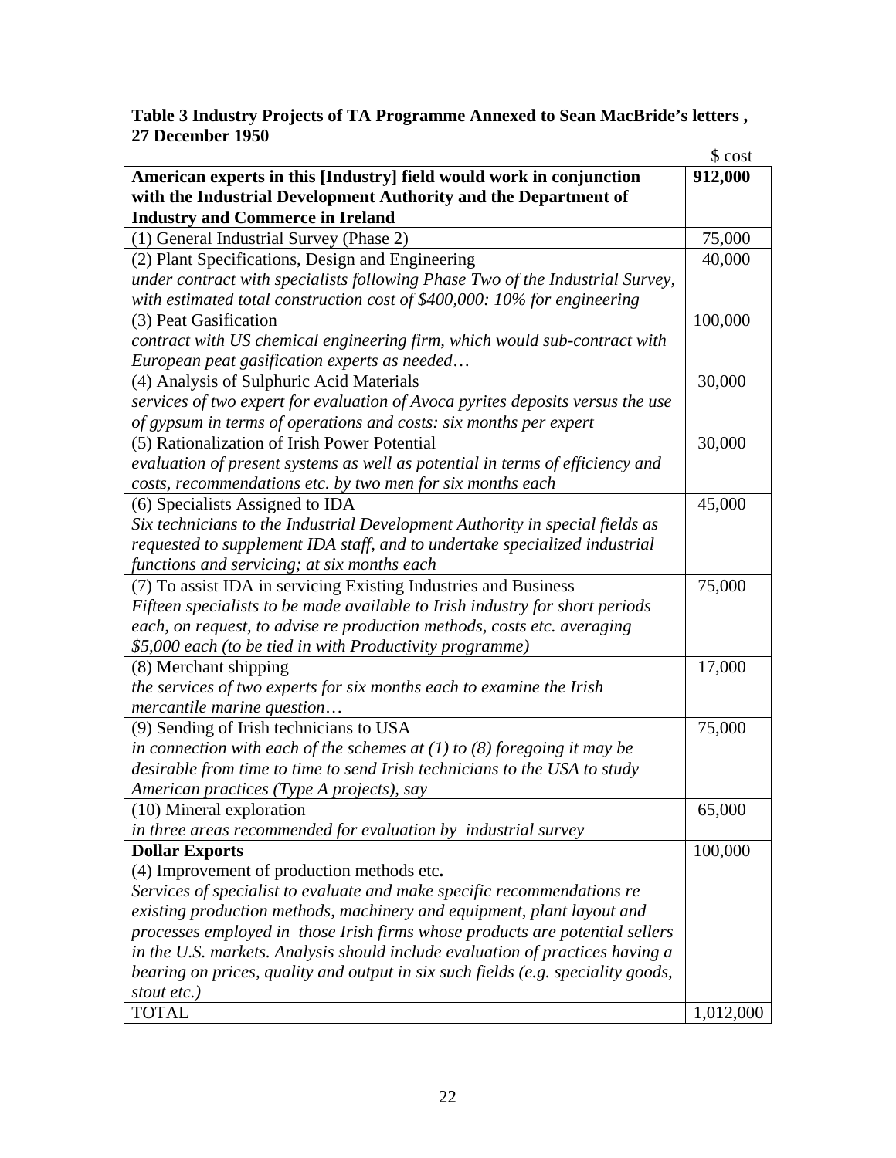# **Table 3 Industry Projects of TA Programme Annexed to Sean MacBride's letters , 27 December 1950**

|                                                                                  | \$ cost   |
|----------------------------------------------------------------------------------|-----------|
| American experts in this [Industry] field would work in conjunction              | 912,000   |
| with the Industrial Development Authority and the Department of                  |           |
| <b>Industry and Commerce in Ireland</b>                                          |           |
| (1) General Industrial Survey (Phase 2)                                          | 75,000    |
| (2) Plant Specifications, Design and Engineering                                 | 40,000    |
| under contract with specialists following Phase Two of the Industrial Survey,    |           |
| with estimated total construction cost of \$400,000: 10% for engineering         |           |
| (3) Peat Gasification                                                            | 100,000   |
| contract with US chemical engineering firm, which would sub-contract with        |           |
| European peat gasification experts as needed                                     |           |
| (4) Analysis of Sulphuric Acid Materials                                         | 30,000    |
| services of two expert for evaluation of Avoca pyrites deposits versus the use   |           |
| of gypsum in terms of operations and costs: six months per expert                |           |
| (5) Rationalization of Irish Power Potential                                     | 30,000    |
| evaluation of present systems as well as potential in terms of efficiency and    |           |
| costs, recommendations etc. by two men for six months each                       |           |
| (6) Specialists Assigned to IDA                                                  | 45,000    |
| Six technicians to the Industrial Development Authority in special fields as     |           |
| requested to supplement IDA staff, and to undertake specialized industrial       |           |
| functions and servicing; at six months each                                      |           |
| (7) To assist IDA in servicing Existing Industries and Business                  | 75,000    |
| Fifteen specialists to be made available to Irish industry for short periods     |           |
| each, on request, to advise re production methods, costs etc. averaging          |           |
| \$5,000 each (to be tied in with Productivity programme)                         |           |
| (8) Merchant shipping                                                            | 17,000    |
| the services of two experts for six months each to examine the Irish             |           |
| mercantile marine question                                                       |           |
| (9) Sending of Irish technicians to USA                                          | 75,000    |
| in connection with each of the schemes at $(1)$ to $(8)$ foregoing it may be     |           |
| desirable from time to time to send Irish technicians to the USA to study        |           |
|                                                                                  |           |
| American practices (Type A projects), say                                        |           |
| (10) Mineral exploration                                                         | 65,000    |
| in three areas recommended for evaluation by industrial survey                   |           |
| <b>Dollar Exports</b>                                                            | 100,000   |
| (4) Improvement of production methods etc.                                       |           |
| Services of specialist to evaluate and make specific recommendations re          |           |
| existing production methods, machinery and equipment, plant layout and           |           |
| processes employed in those Irish firms whose products are potential sellers     |           |
| in the U.S. markets. Analysis should include evaluation of practices having a    |           |
| bearing on prices, quality and output in six such fields (e.g. speciality goods, |           |
| stout etc.)                                                                      |           |
| <b>TOTAL</b>                                                                     | 1,012,000 |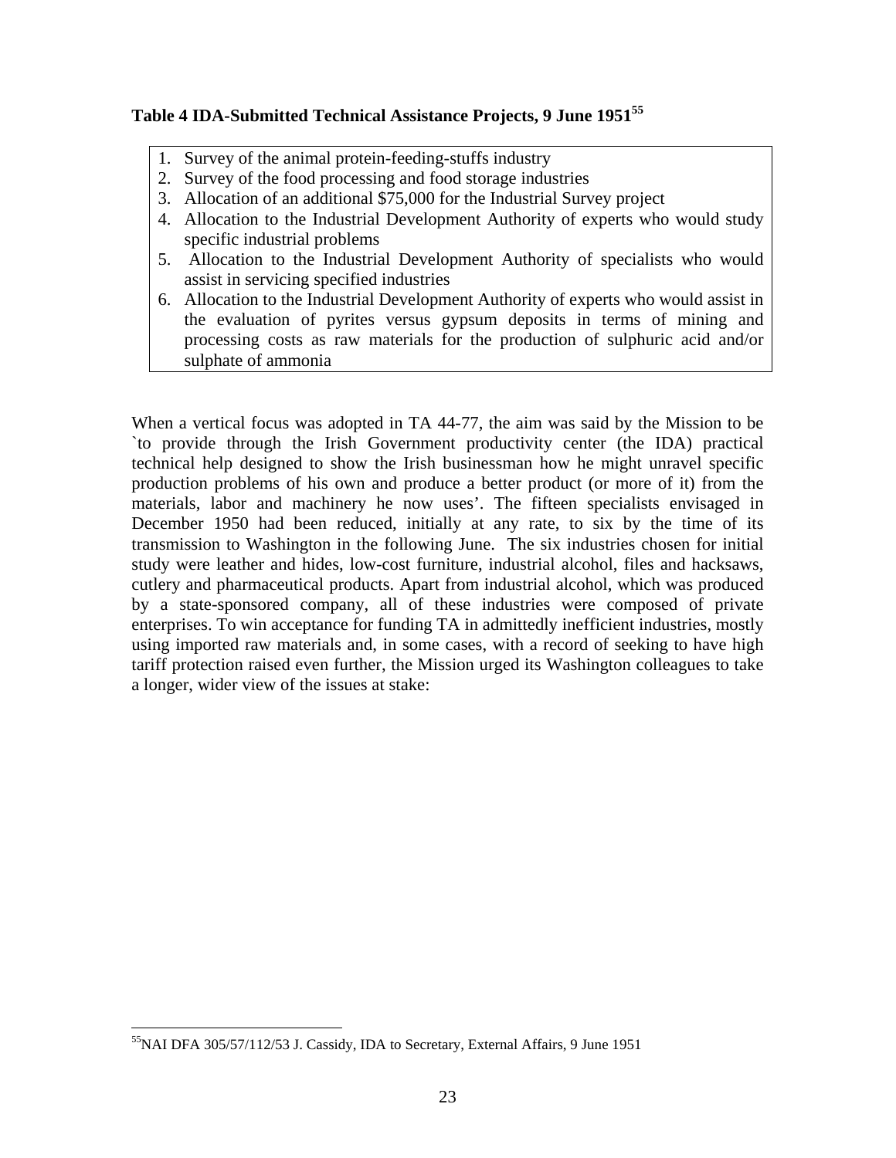# **Table 4 IDA-Submitted Technical Assistance Projects, 9 June 1951<sup>55</sup>**

- 1. Survey of the animal protein-feeding-stuffs industry
- 2. Survey of the food processing and food storage industries
- 3. Allocation of an additional \$75,000 for the Industrial Survey project
- 4. Allocation to the Industrial Development Authority of experts who would study specific industrial problems
- 5. Allocation to the Industrial Development Authority of specialists who would assist in servicing specified industries
- 6. Allocation to the Industrial Development Authority of experts who would assist in the evaluation of pyrites versus gypsum deposits in terms of mining and processing costs as raw materials for the production of sulphuric acid and/or sulphate of ammonia

When a vertical focus was adopted in TA 44-77, the aim was said by the Mission to be `to provide through the Irish Government productivity center (the IDA) practical technical help designed to show the Irish businessman how he might unravel specific production problems of his own and produce a better product (or more of it) from the materials, labor and machinery he now uses'. The fifteen specialists envisaged in December 1950 had been reduced, initially at any rate, to six by the time of its transmission to Washington in the following June. The six industries chosen for initial study were leather and hides, low-cost furniture, industrial alcohol, files and hacksaws, cutlery and pharmaceutical products. Apart from industrial alcohol, which was produced by a state-sponsored company, all of these industries were composed of private enterprises. To win acceptance for funding TA in admittedly inefficient industries, mostly using imported raw materials and, in some cases, with a record of seeking to have high tariff protection raised even further, the Mission urged its Washington colleagues to take a longer, wider view of the issues at stake:

<sup>&</sup>lt;sup>55</sup>NAI DFA 305/57/112/53 J. Cassidy, IDA to Secretary, External Affairs, 9 June 1951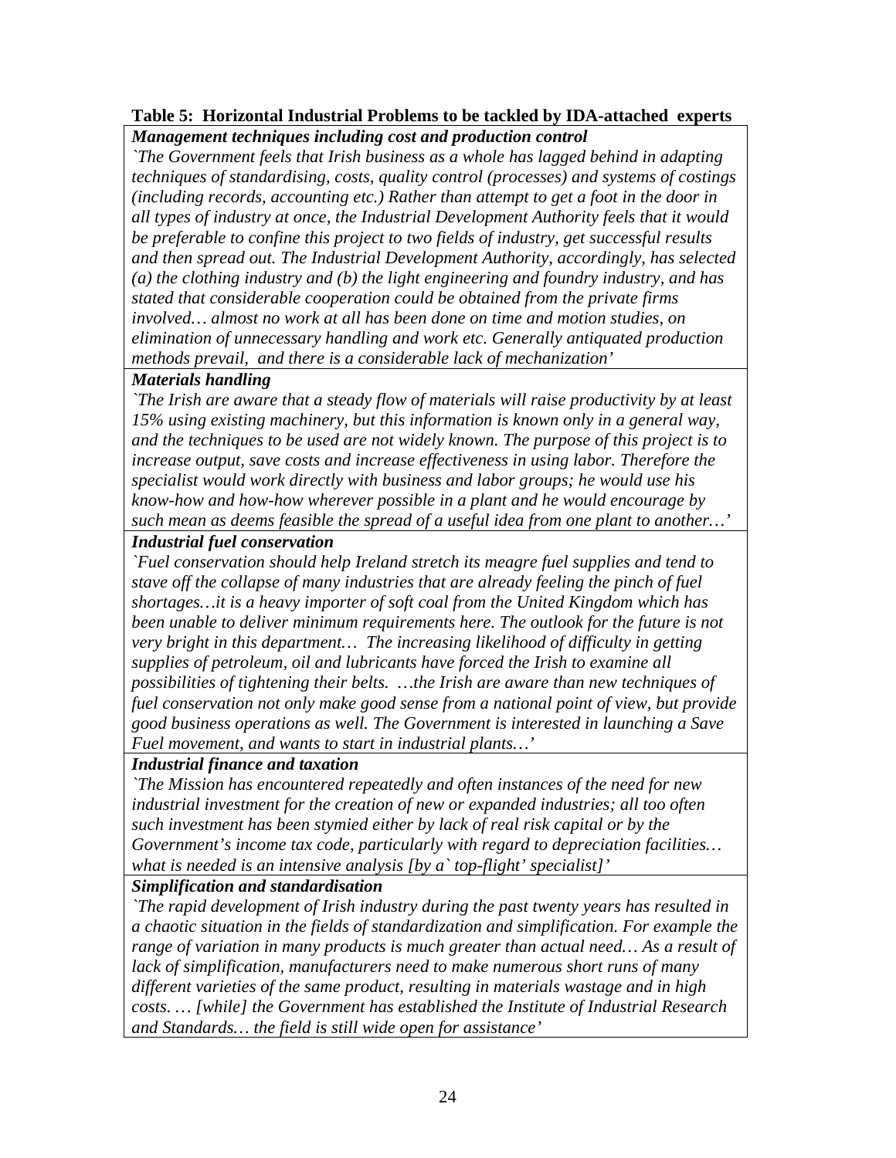# **Table 5: Horizontal Industrial Problems to be tackled by IDA-attached experts**

*Management techniques including cost and production control* 

*`The Government feels that Irish business as a whole has lagged behind in adapting techniques of standardising, costs, quality control (processes) and systems of costings (including records, accounting etc.) Rather than attempt to get a foot in the door in all types of industry at once, the Industrial Development Authority feels that it would be preferable to confine this project to two fields of industry, get successful results and then spread out. The Industrial Development Authority, accordingly, has selected (a) the clothing industry and (b) the light engineering and foundry industry, and has stated that considerable cooperation could be obtained from the private firms involved… almost no work at all has been done on time and motion studies, on elimination of unnecessary handling and work etc. Generally antiquated production methods prevail, and there is a considerable lack of mechanization'* 

## *Materials handling*

*`The Irish are aware that a steady flow of materials will raise productivity by at least 15% using existing machinery, but this information is known only in a general way, and the techniques to be used are not widely known. The purpose of this project is to increase output, save costs and increase effectiveness in using labor. Therefore the specialist would work directly with business and labor groups; he would use his know-how and how-how wherever possible in a plant and he would encourage by such mean as deems feasible the spread of a useful idea from one plant to another…'* 

# *Industrial fuel conservation*

*`Fuel conservation should help Ireland stretch its meagre fuel supplies and tend to stave off the collapse of many industries that are already feeling the pinch of fuel shortages…it is a heavy importer of soft coal from the United Kingdom which has been unable to deliver minimum requirements here. The outlook for the future is not very bright in this department… The increasing likelihood of difficulty in getting supplies of petroleum, oil and lubricants have forced the Irish to examine all possibilities of tightening their belts. …the Irish are aware than new techniques of fuel conservation not only make good sense from a national point of view, but provide good business operations as well. The Government is interested in launching a Save Fuel movement, and wants to start in industrial plants…'*

# *Industrial finance and taxation*

*`The Mission has encountered repeatedly and often instances of the need for new industrial investment for the creation of new or expanded industries; all too often such investment has been stymied either by lack of real risk capital or by the Government's income tax code, particularly with regard to depreciation facilities… what is needed is an intensive analysis [by a` top-flight' specialist]'* 

# *Simplification and standardisation*

*`The rapid development of Irish industry during the past twenty years has resulted in a chaotic situation in the fields of standardization and simplification. For example the range of variation in many products is much greater than actual need... As a result of lack of simplification, manufacturers need to make numerous short runs of many different varieties of the same product, resulting in materials wastage and in high costs. … [while] the Government has established the Institute of Industrial Research and Standards… the field is still wide open for assistance'*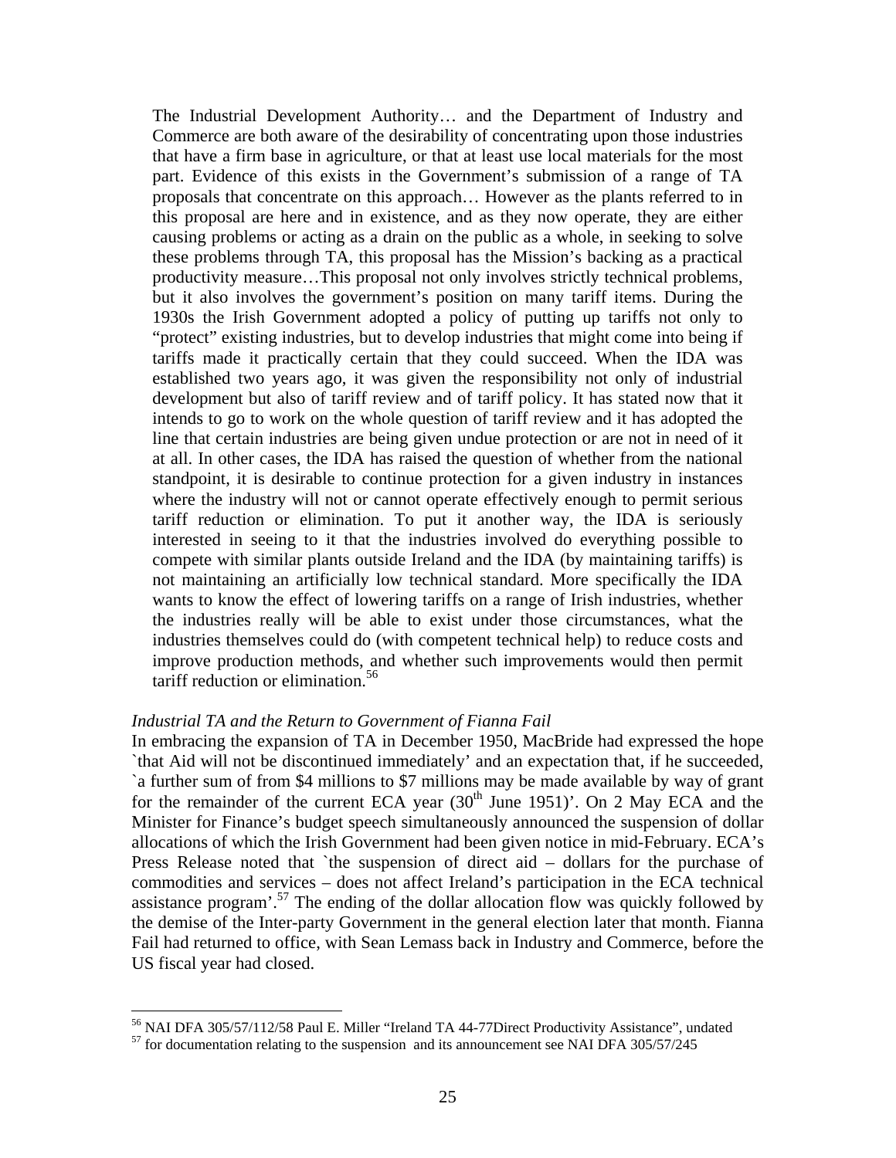The Industrial Development Authority… and the Department of Industry and Commerce are both aware of the desirability of concentrating upon those industries that have a firm base in agriculture, or that at least use local materials for the most part. Evidence of this exists in the Government's submission of a range of TA proposals that concentrate on this approach… However as the plants referred to in this proposal are here and in existence, and as they now operate, they are either causing problems or acting as a drain on the public as a whole, in seeking to solve these problems through TA, this proposal has the Mission's backing as a practical productivity measure…This proposal not only involves strictly technical problems, but it also involves the government's position on many tariff items. During the 1930s the Irish Government adopted a policy of putting up tariffs not only to "protect" existing industries, but to develop industries that might come into being if tariffs made it practically certain that they could succeed. When the IDA was established two years ago, it was given the responsibility not only of industrial development but also of tariff review and of tariff policy. It has stated now that it intends to go to work on the whole question of tariff review and it has adopted the line that certain industries are being given undue protection or are not in need of it at all. In other cases, the IDA has raised the question of whether from the national standpoint, it is desirable to continue protection for a given industry in instances where the industry will not or cannot operate effectively enough to permit serious tariff reduction or elimination. To put it another way, the IDA is seriously interested in seeing to it that the industries involved do everything possible to compete with similar plants outside Ireland and the IDA (by maintaining tariffs) is not maintaining an artificially low technical standard. More specifically the IDA wants to know the effect of lowering tariffs on a range of Irish industries, whether the industries really will be able to exist under those circumstances, what the industries themselves could do (with competent technical help) to reduce costs and improve production methods, and whether such improvements would then permit tariff reduction or elimination.<sup>56</sup>

#### *Industrial TA and the Return to Government of Fianna Fail*

In embracing the expansion of TA in December 1950, MacBride had expressed the hope `that Aid will not be discontinued immediately' and an expectation that, if he succeeded, `a further sum of from \$4 millions to \$7 millions may be made available by way of grant for the remainder of the current ECA year  $(30<sup>th</sup>$  June 1951)'. On 2 May ECA and the Minister for Finance's budget speech simultaneously announced the suspension of dollar allocations of which the Irish Government had been given notice in mid-February. ECA's Press Release noted that `the suspension of direct aid – dollars for the purchase of commodities and services – does not affect Ireland's participation in the ECA technical assistance program<sup>'.57</sup> The ending of the dollar allocation flow was quickly followed by the demise of the Inter-party Government in the general election later that month. Fianna Fail had returned to office, with Sean Lemass back in Industry and Commerce, before the US fiscal year had closed.

<sup>&</sup>lt;sup>56</sup> NAI DFA 305/57/112/58 Paul E. Miller "Ireland TA 44-77Direct Productivity Assistance", undated

 $57$  for documentation relating to the suspension and its announcement see NAI DFA 305/57/245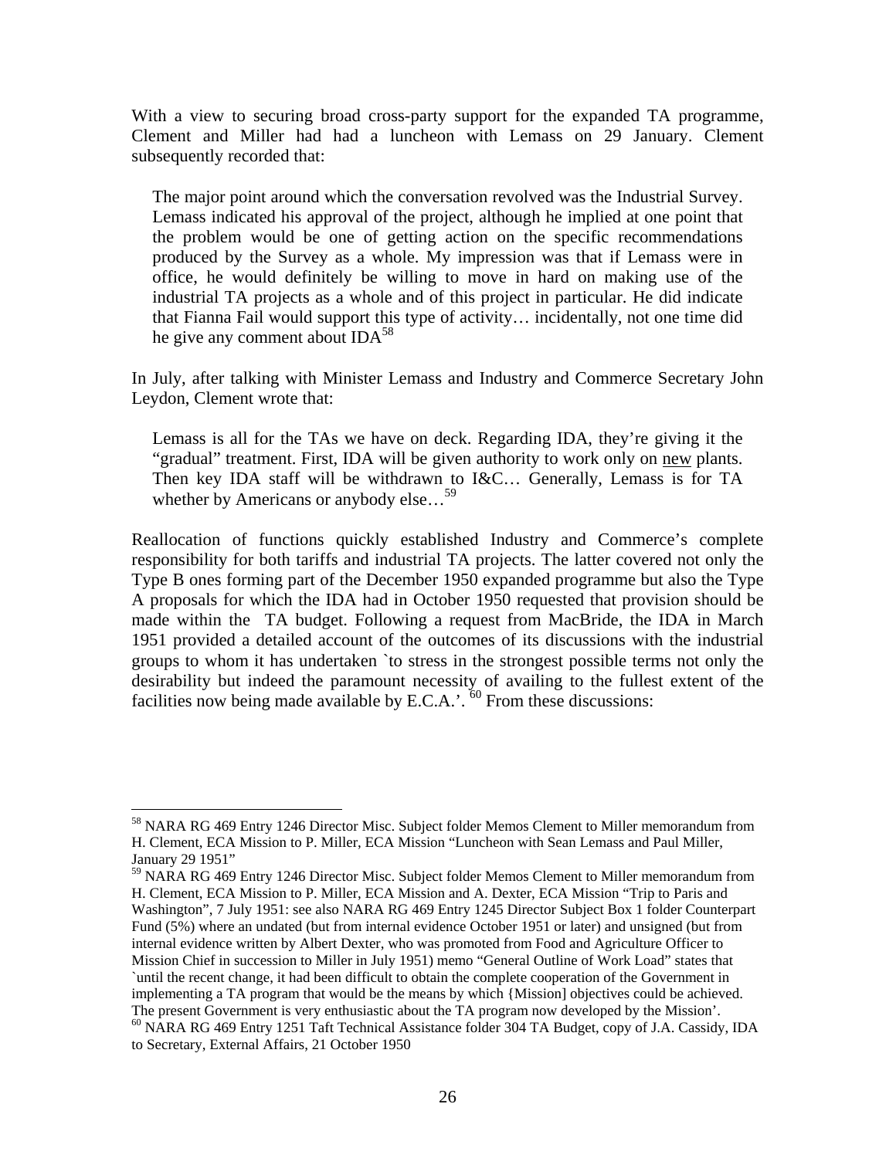With a view to securing broad cross-party support for the expanded TA programme, Clement and Miller had had a luncheon with Lemass on 29 January. Clement subsequently recorded that:

The major point around which the conversation revolved was the Industrial Survey. Lemass indicated his approval of the project, although he implied at one point that the problem would be one of getting action on the specific recommendations produced by the Survey as a whole. My impression was that if Lemass were in office, he would definitely be willing to move in hard on making use of the industrial TA projects as a whole and of this project in particular. He did indicate that Fianna Fail would support this type of activity… incidentally, not one time did he give any comment about  $IDA^{58}$ 

In July, after talking with Minister Lemass and Industry and Commerce Secretary John Leydon, Clement wrote that:

Lemass is all for the TAs we have on deck. Regarding IDA, they're giving it the "gradual" treatment. First, IDA will be given authority to work only on new plants. Then key IDA staff will be withdrawn to I&C… Generally, Lemass is for TA whether by Americans or anybody else...<sup>59</sup>

Reallocation of functions quickly established Industry and Commerce's complete responsibility for both tariffs and industrial TA projects. The latter covered not only the Type B ones forming part of the December 1950 expanded programme but also the Type A proposals for which the IDA had in October 1950 requested that provision should be made within the TA budget. Following a request from MacBride, the IDA in March 1951 provided a detailed account of the outcomes of its discussions with the industrial groups to whom it has undertaken `to stress in the strongest possible terms not only the desirability but indeed the paramount necessity of availing to the fullest extent of the facilities now being made available by E.C.A.'.  $^{60}$  From these discussions:

<sup>58</sup> NARA RG 469 Entry 1246 Director Misc. Subject folder Memos Clement to Miller memorandum from H. Clement, ECA Mission to P. Miller, ECA Mission "Luncheon with Sean Lemass and Paul Miller, January 29 1951"

<sup>&</sup>lt;sup>59</sup> NARA RG 469 Entry 1246 Director Misc. Subject folder Memos Clement to Miller memorandum from H. Clement, ECA Mission to P. Miller, ECA Mission and A. Dexter, ECA Mission "Trip to Paris and Washington", 7 July 1951: see also NARA RG 469 Entry 1245 Director Subject Box 1 folder Counterpart Fund (5%) where an undated (but from internal evidence October 1951 or later) and unsigned (but from internal evidence written by Albert Dexter, who was promoted from Food and Agriculture Officer to Mission Chief in succession to Miller in July 1951) memo "General Outline of Work Load" states that `until the recent change, it had been difficult to obtain the complete cooperation of the Government in implementing a TA program that would be the means by which {Mission] objectives could be achieved. The present Government is very enthusiastic about the TA program now developed by the Mission'. 60 NARA RG 469 Entry 1251 Taft Technical Assistance folder 304 TA Budget, copy of J.A. Cassidy, IDA to Secretary, External Affairs, 21 October 1950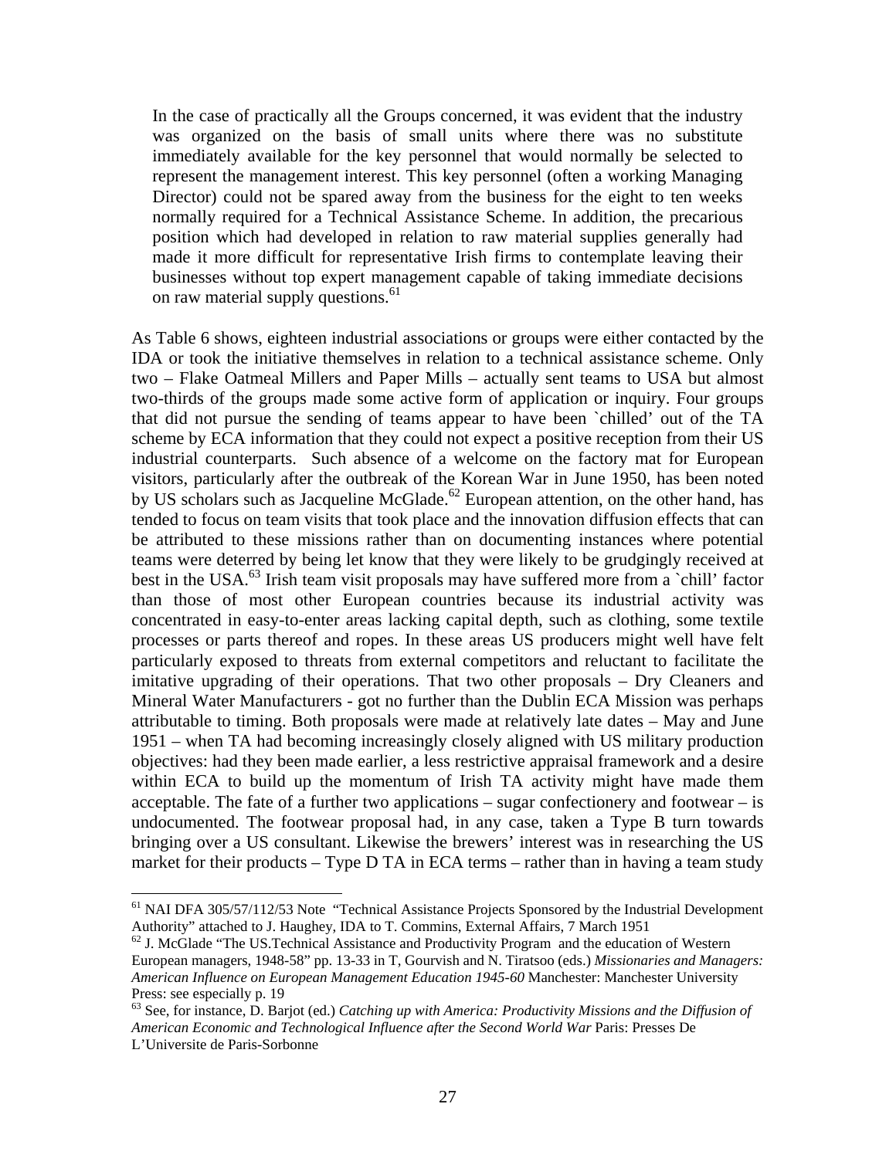In the case of practically all the Groups concerned, it was evident that the industry was organized on the basis of small units where there was no substitute immediately available for the key personnel that would normally be selected to represent the management interest. This key personnel (often a working Managing Director) could not be spared away from the business for the eight to ten weeks normally required for a Technical Assistance Scheme. In addition, the precarious position which had developed in relation to raw material supplies generally had made it more difficult for representative Irish firms to contemplate leaving their businesses without top expert management capable of taking immediate decisions on raw material supply questions.<sup>61</sup>

As Table 6 shows, eighteen industrial associations or groups were either contacted by the IDA or took the initiative themselves in relation to a technical assistance scheme. Only two – Flake Oatmeal Millers and Paper Mills – actually sent teams to USA but almost two-thirds of the groups made some active form of application or inquiry. Four groups that did not pursue the sending of teams appear to have been `chilled' out of the TA scheme by ECA information that they could not expect a positive reception from their US industrial counterparts. Such absence of a welcome on the factory mat for European visitors, particularly after the outbreak of the Korean War in June 1950, has been noted by US scholars such as Jacqueline McGlade.<sup>62</sup> European attention, on the other hand, has tended to focus on team visits that took place and the innovation diffusion effects that can be attributed to these missions rather than on documenting instances where potential teams were deterred by being let know that they were likely to be grudgingly received at best in the USA.<sup>63</sup> Irish team visit proposals may have suffered more from a `chill' factor than those of most other European countries because its industrial activity was concentrated in easy-to-enter areas lacking capital depth, such as clothing, some textile processes or parts thereof and ropes. In these areas US producers might well have felt particularly exposed to threats from external competitors and reluctant to facilitate the imitative upgrading of their operations. That two other proposals – Dry Cleaners and Mineral Water Manufacturers - got no further than the Dublin ECA Mission was perhaps attributable to timing. Both proposals were made at relatively late dates – May and June 1951 – when TA had becoming increasingly closely aligned with US military production objectives: had they been made earlier, a less restrictive appraisal framework and a desire within ECA to build up the momentum of Irish TA activity might have made them acceptable. The fate of a further two applications – sugar confectionery and footwear – is undocumented. The footwear proposal had, in any case, taken a Type B turn towards bringing over a US consultant. Likewise the brewers' interest was in researching the US market for their products – Type D TA in ECA terms – rather than in having a team study

<sup>&</sup>lt;sup>61</sup> NAI DFA 305/57/112/53 Note "Technical Assistance Projects Sponsored by the Industrial Development Authority" attached to J. Haughey, IDA to T. Commins, External Affairs, 7 March 1951

 $62$  J. McGlade "The US. Technical Assistance and Productivity Program and the education of Western European managers, 1948-58" pp. 13-33 in T, Gourvish and N. Tiratsoo (eds.) *Missionaries and Managers: American Influence on European Management Education 1945-60* Manchester: Manchester University Press: see especially p. 19

<sup>63</sup> See, for instance, D. Barjot (ed.) *Catching up with America: Productivity Missions and the Diffusion of American Economic and Technological Influence after the Second World War* Paris: Presses De L'Universite de Paris-Sorbonne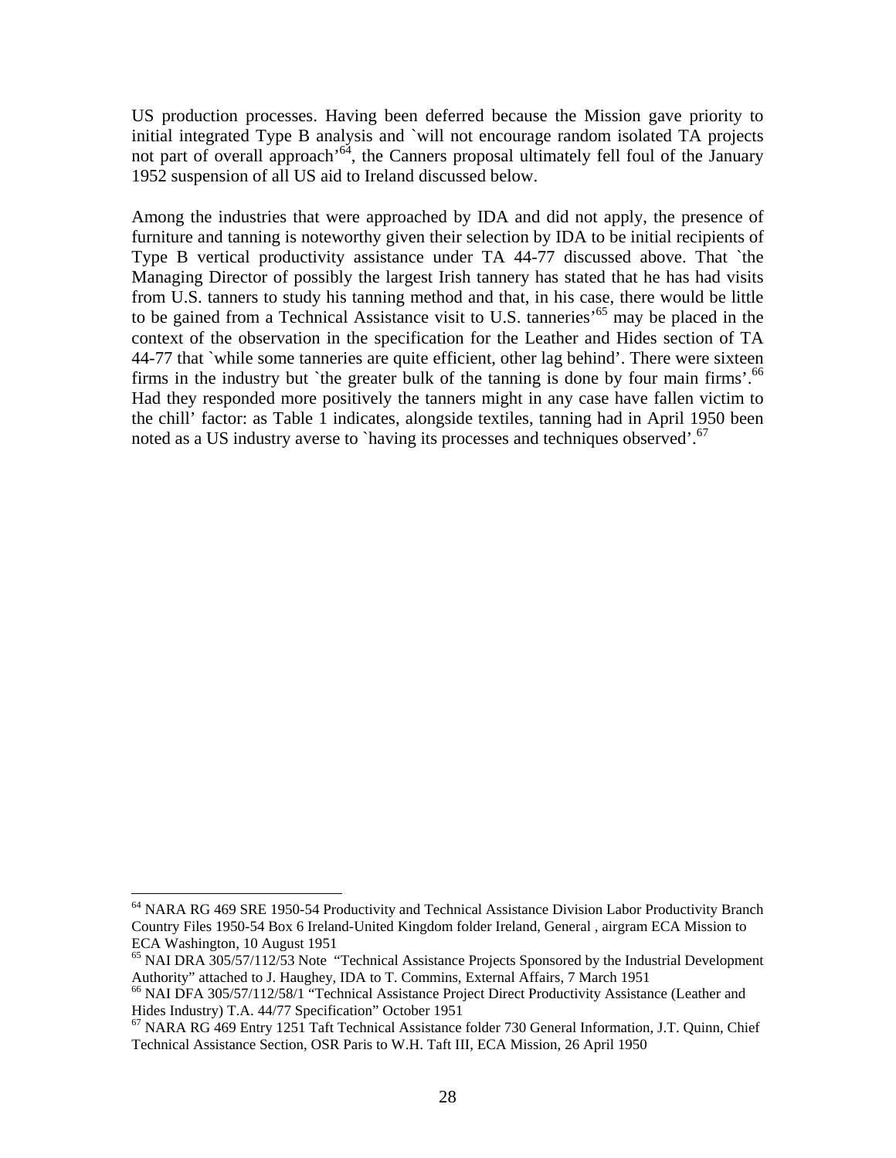US production processes. Having been deferred because the Mission gave priority to initial integrated Type B analysis and `will not encourage random isolated TA projects not part of overall approach<sup> $64$ </sup>, the Canners proposal ultimately fell foul of the January 1952 suspension of all US aid to Ireland discussed below.

Among the industries that were approached by IDA and did not apply, the presence of furniture and tanning is noteworthy given their selection by IDA to be initial recipients of Type B vertical productivity assistance under TA 44-77 discussed above. That `the Managing Director of possibly the largest Irish tannery has stated that he has had visits from U.S. tanners to study his tanning method and that, in his case, there would be little to be gained from a Technical Assistance visit to U.S. tanneries<sup>, 65</sup> may be placed in the context of the observation in the specification for the Leather and Hides section of TA 44-77 that `while some tanneries are quite efficient, other lag behind'. There were sixteen firms in the industry but 'the greater bulk of the tanning is done by four main firms'.<sup>66</sup> Had they responded more positively the tanners might in any case have fallen victim to the chill' factor: as Table 1 indicates, alongside textiles, tanning had in April 1950 been noted as a US industry averse to `having its processes and techniques observed'.<sup>67</sup>

<sup>&</sup>lt;sup>64</sup> NARA RG 469 SRE 1950-54 Productivity and Technical Assistance Division Labor Productivity Branch Country Files 1950-54 Box 6 Ireland-United Kingdom folder Ireland, General , airgram ECA Mission to ECA Washington, 10 August 1951

<sup>&</sup>lt;sup>65</sup> NAI DRA 305/57/112/53 Note "Technical Assistance Projects Sponsored by the Industrial Development Authority" attached to J. Haughey, IDA to T. Commins, External Affairs, 7 March 1951

<sup>&</sup>lt;sup>66</sup> NAI DFA 305/57/112/58/1 "Technical Assistance Project Direct Productivity Assistance (Leather and Hides Industry) T.A. 44/77 Specification" October 1951

 $67$  NARA RG 469 Entry 1251 Taft Technical Assistance folder 730 General Information, J.T. Quinn, Chief Technical Assistance Section, OSR Paris to W.H. Taft III, ECA Mission, 26 April 1950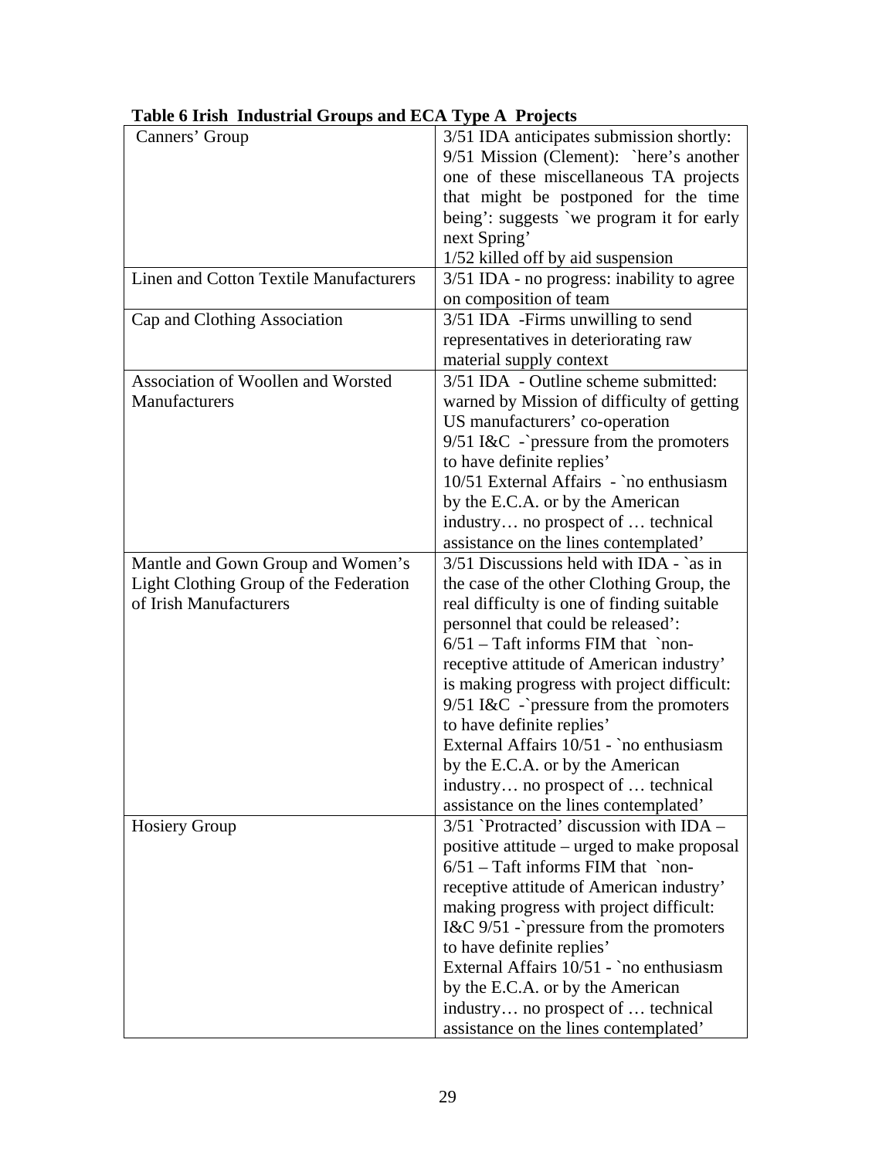| Canners' Group                                | 3/51 IDA anticipates submission shortly:   |
|-----------------------------------------------|--------------------------------------------|
|                                               |                                            |
|                                               | 9/51 Mission (Clement): `here's another    |
|                                               | one of these miscellaneous TA projects     |
|                                               | that might be postponed for the time       |
|                                               | being': suggests `we program it for early  |
|                                               | next Spring'                               |
|                                               | 1/52 killed off by aid suspension          |
| <b>Linen and Cotton Textile Manufacturers</b> | 3/51 IDA - no progress: inability to agree |
|                                               | on composition of team                     |
| Cap and Clothing Association                  | 3/51 IDA -Firms unwilling to send          |
|                                               | representatives in deteriorating raw       |
|                                               | material supply context                    |
| Association of Woollen and Worsted            | 3/51 IDA - Outline scheme submitted:       |
| Manufacturers                                 | warned by Mission of difficulty of getting |
|                                               | US manufacturers' co-operation             |
|                                               |                                            |
|                                               | $9/51$ I&C -`pressure from the promoters   |
|                                               | to have definite replies'                  |
|                                               | 10/51 External Affairs - `no enthusiasm    |
|                                               | by the E.C.A. or by the American           |
|                                               | industry no prospect of  technical         |
|                                               | assistance on the lines contemplated'      |
| Mantle and Gown Group and Women's             | $3/51$ Discussions held with IDA - `as in  |
| Light Clothing Group of the Federation        | the case of the other Clothing Group, the  |
| of Irish Manufacturers                        | real difficulty is one of finding suitable |
|                                               | personnel that could be released':         |
|                                               | $6/51$ – Taft informs FIM that `non-       |
|                                               | receptive attitude of American industry'   |
|                                               | is making progress with project difficult: |
|                                               | $9/51$ I&C -`pressure from the promoters   |
|                                               | to have definite replies'                  |
|                                               | External Affairs 10/51 - `no enthusiasm    |
|                                               | by the E.C.A. or by the American           |
|                                               | industry no prospect of  technical         |
|                                               |                                            |
|                                               | assistance on the lines contemplated'      |
| <b>Hosiery Group</b>                          | $3/51$ Protracted' discussion with IDA –   |
|                                               | positive attitude – urged to make proposal |
|                                               | $6/51$ – Taft informs FIM that `non-       |
|                                               | receptive attitude of American industry'   |
|                                               | making progress with project difficult:    |
|                                               | I&C $9/51$ -`pressure from the promoters   |
|                                               | to have definite replies'                  |
|                                               | External Affairs 10/51 - `no enthusiasm    |
|                                               | by the E.C.A. or by the American           |
|                                               | industry no prospect of  technical         |
|                                               | assistance on the lines contemplated'      |

# **Table 6 Irish Industrial Groups and ECA Type A Projects**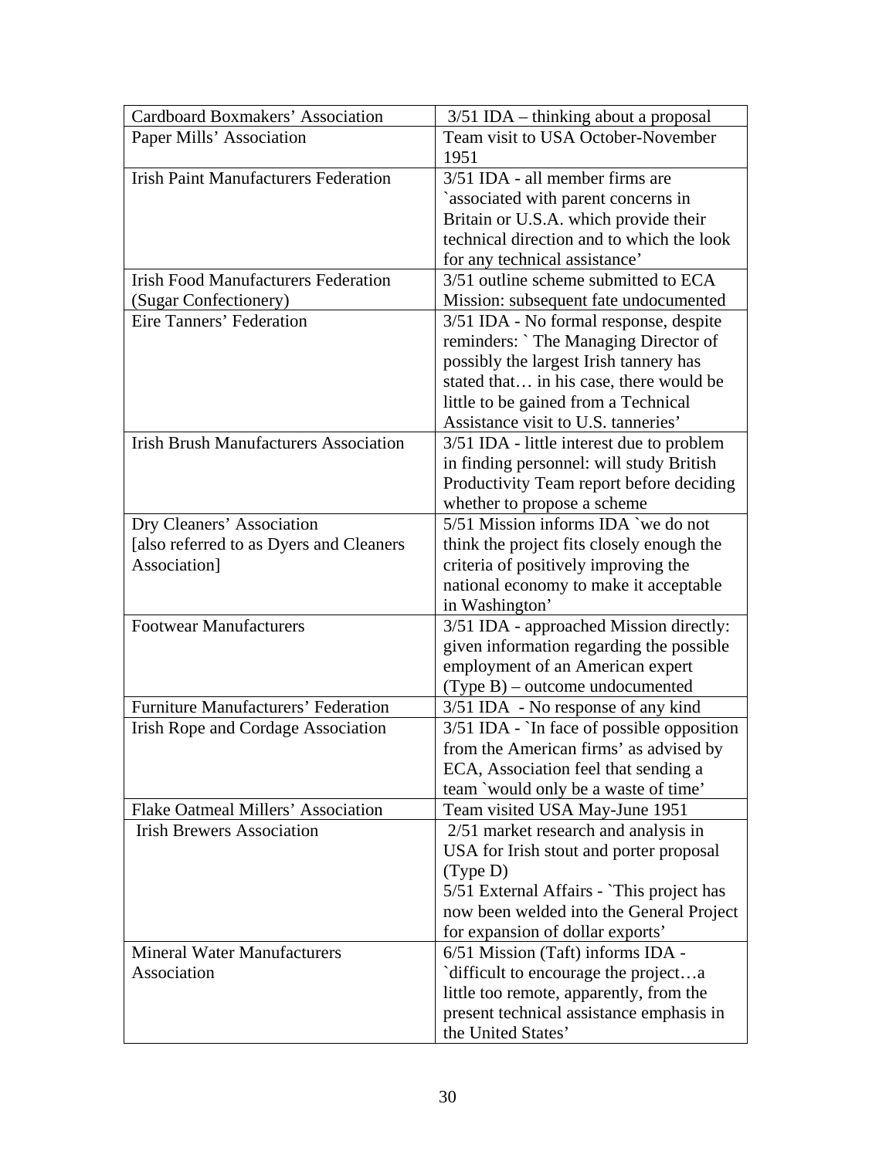| Cardboard Boxmakers' Association             | $3/51$ IDA – thinking about a proposal       |
|----------------------------------------------|----------------------------------------------|
| Paper Mills' Association                     | Team visit to USA October-November           |
|                                              | 1951                                         |
| <b>Irish Paint Manufacturers Federation</b>  | 3/51 IDA - all member firms are              |
|                                              | `associated with parent concerns in          |
|                                              | Britain or U.S.A. which provide their        |
|                                              | technical direction and to which the look    |
|                                              | for any technical assistance'                |
| <b>Irish Food Manufacturers Federation</b>   | 3/51 outline scheme submitted to ECA         |
| (Sugar Confectionery)                        | Mission: subsequent fate undocumented        |
| Eire Tanners' Federation                     | 3/51 IDA - No formal response, despite       |
|                                              | reminders: `The Managing Director of         |
|                                              | possibly the largest Irish tannery has       |
|                                              | stated that in his case, there would be      |
|                                              | little to be gained from a Technical         |
|                                              | Assistance visit to U.S. tanneries'          |
| <b>Irish Brush Manufacturers Association</b> | 3/51 IDA - little interest due to problem    |
|                                              | in finding personnel: will study British     |
|                                              | Productivity Team report before deciding     |
|                                              | whether to propose a scheme                  |
| Dry Cleaners' Association                    | 5/51 Mission informs IDA `we do not          |
| [also referred to as Dyers and Cleaners      | think the project fits closely enough the    |
| Association]                                 | criteria of positively improving the         |
|                                              |                                              |
|                                              | national economy to make it acceptable       |
| <b>Footwear Manufacturers</b>                | in Washington'                               |
|                                              | 3/51 IDA - approached Mission directly:      |
|                                              | given information regarding the possible     |
|                                              | employment of an American expert             |
| <b>Furniture Manufacturers' Federation</b>   | $(Type B)$ – outcome undocumented            |
|                                              | 3/51 IDA - No response of any kind           |
| Irish Rope and Cordage Association           | $3/51$ IDA - `In face of possible opposition |
|                                              | from the American firms' as advised by       |
|                                              | ECA, Association feel that sending a         |
|                                              | team `would only be a waste of time'         |
| <b>Flake Oatmeal Millers' Association</b>    | Team visited USA May-June 1951               |
| <b>Irish Brewers Association</b>             | 2/51 market research and analysis in         |
|                                              | USA for Irish stout and porter proposal      |
|                                              | (Type D)                                     |
|                                              | 5/51 External Affairs - `This project has    |
|                                              | now been welded into the General Project     |
|                                              | for expansion of dollar exports'             |
| <b>Mineral Water Manufacturers</b>           | 6/51 Mission (Taft) informs IDA -            |
| Association                                  | difficult to encourage the projecta          |
|                                              | little too remote, apparently, from the      |
|                                              | present technical assistance emphasis in     |
|                                              | the United States'                           |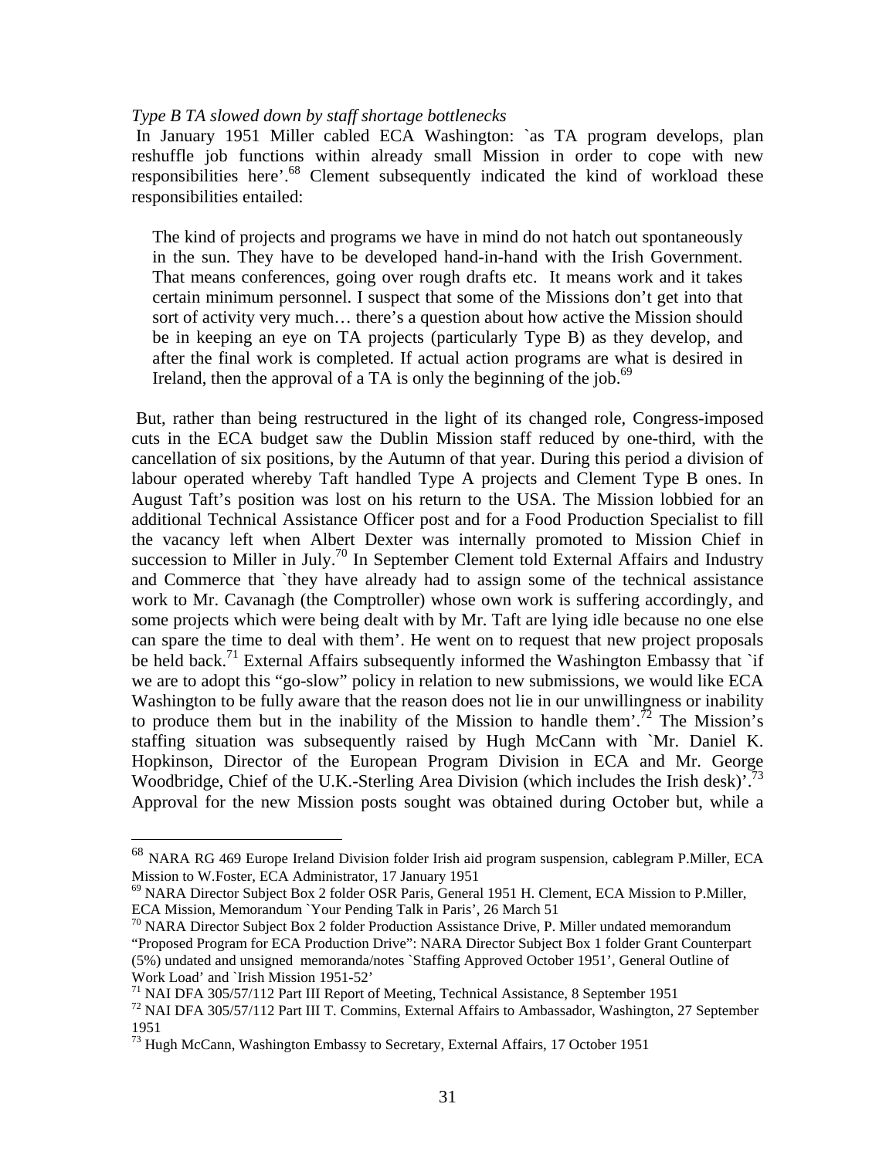### *Type B TA slowed down by staff shortage bottlenecks*

In January 1951 Miller cabled ECA Washington: `as TA program develops, plan reshuffle job functions within already small Mission in order to cope with new responsibilities here'.<sup>68</sup> Clement subsequently indicated the kind of workload these responsibilities entailed:

The kind of projects and programs we have in mind do not hatch out spontaneously in the sun. They have to be developed hand-in-hand with the Irish Government. That means conferences, going over rough drafts etc. It means work and it takes certain minimum personnel. I suspect that some of the Missions don't get into that sort of activity very much… there's a question about how active the Mission should be in keeping an eye on TA projects (particularly Type B) as they develop, and after the final work is completed. If actual action programs are what is desired in Ireland, then the approval of a TA is only the beginning of the job. $69$ 

 But, rather than being restructured in the light of its changed role, Congress-imposed cuts in the ECA budget saw the Dublin Mission staff reduced by one-third, with the cancellation of six positions, by the Autumn of that year. During this period a division of labour operated whereby Taft handled Type A projects and Clement Type B ones. In August Taft's position was lost on his return to the USA. The Mission lobbied for an additional Technical Assistance Officer post and for a Food Production Specialist to fill the vacancy left when Albert Dexter was internally promoted to Mission Chief in succession to Miller in July.<sup>70</sup> In September Clement told External Affairs and Industry and Commerce that `they have already had to assign some of the technical assistance work to Mr. Cavanagh (the Comptroller) whose own work is suffering accordingly, and some projects which were being dealt with by Mr. Taft are lying idle because no one else can spare the time to deal with them'. He went on to request that new project proposals be held back.<sup>71</sup> External Affairs subsequently informed the Washington Embassy that `if we are to adopt this "go-slow" policy in relation to new submissions, we would like ECA Washington to be fully aware that the reason does not lie in our unwillingness or inability to produce them but in the inability of the Mission to handle them'.<sup>72</sup> The Mission's staffing situation was subsequently raised by Hugh McCann with `Mr. Daniel K. Hopkinson, Director of the European Program Division in ECA and Mr. George Woodbridge, Chief of the U.K.-Sterling Area Division (which includes the Irish desk)<sup>73</sup> Approval for the new Mission posts sought was obtained during October but, while a

<u>.</u>

 $^{68}$  NARA RG 469 Europe Ireland Division folder Irish aid program suspension, cablegram P.Miller, ECA Mission to W.Foster, ECA Administrator, 17 January 1951<br><sup>69</sup> NARA Director Subject Box 2 folder OSR Paris, General 1951 H. Clement, ECA Mission to P.Miller,

ECA Mission, Memorandum `Your Pending Talk in Paris', 26 March 51

 $70$  NARA Director Subject Box 2 folder Production Assistance Drive, P. Miller undated memorandum "Proposed Program for ECA Production Drive": NARA Director Subject Box 1 folder Grant Counterpart (5%) undated and unsigned memoranda/notes `Staffing Approved October 1951', General Outline of Work Load' and `Irish Mission 1951-52'

<sup>&</sup>lt;sup>71</sup> NAI DFA 305/57/112 Part III Report of Meeting, Technical Assistance, 8 September 1951

<sup>72</sup> NAI DFA 305/57/112 Part III T. Commins, External Affairs to Ambassador, Washington, 27 September 1951

 $^{73}$  Hugh McCann, Washington Embassy to Secretary, External Affairs, 17 October 1951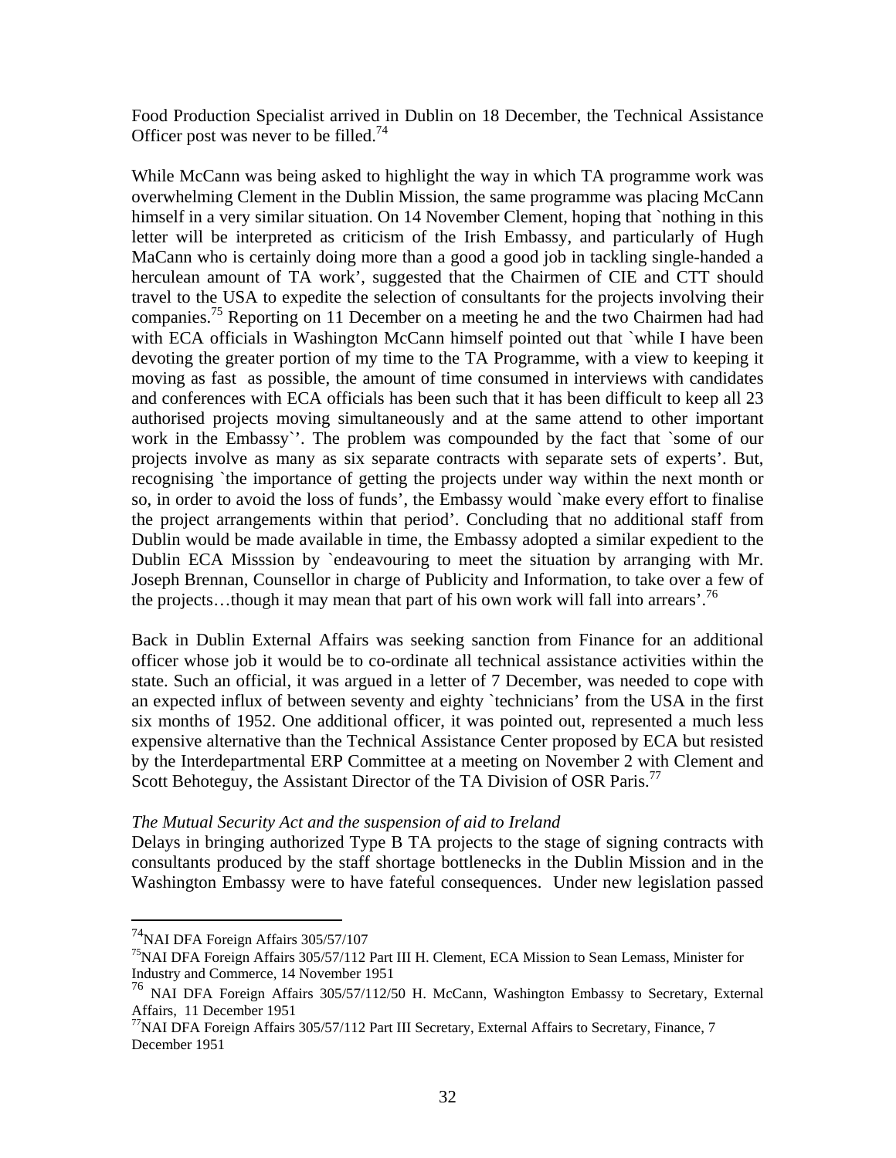Food Production Specialist arrived in Dublin on 18 December, the Technical Assistance Officer post was never to be filled.<sup>74</sup>

While McCann was being asked to highlight the way in which TA programme work was overwhelming Clement in the Dublin Mission, the same programme was placing McCann himself in a very similar situation. On 14 November Clement, hoping that `nothing in this letter will be interpreted as criticism of the Irish Embassy, and particularly of Hugh MaCann who is certainly doing more than a good a good job in tackling single-handed a herculean amount of TA work', suggested that the Chairmen of CIE and CTT should travel to the USA to expedite the selection of consultants for the projects involving their companies.<sup>75</sup> Reporting on 11 December on a meeting he and the two Chairmen had had with ECA officials in Washington McCann himself pointed out that `while I have been devoting the greater portion of my time to the TA Programme, with a view to keeping it moving as fast as possible, the amount of time consumed in interviews with candidates and conferences with ECA officials has been such that it has been difficult to keep all 23 authorised projects moving simultaneously and at the same attend to other important work in the Embassy`'. The problem was compounded by the fact that `some of our projects involve as many as six separate contracts with separate sets of experts'. But, recognising `the importance of getting the projects under way within the next month or so, in order to avoid the loss of funds', the Embassy would `make every effort to finalise the project arrangements within that period'. Concluding that no additional staff from Dublin would be made available in time, the Embassy adopted a similar expedient to the Dublin ECA Misssion by `endeavouring to meet the situation by arranging with Mr. Joseph Brennan, Counsellor in charge of Publicity and Information, to take over a few of the projects...though it may mean that part of his own work will fall into arrears'.<sup>76</sup>

Back in Dublin External Affairs was seeking sanction from Finance for an additional officer whose job it would be to co-ordinate all technical assistance activities within the state. Such an official, it was argued in a letter of 7 December, was needed to cope with an expected influx of between seventy and eighty `technicians' from the USA in the first six months of 1952. One additional officer, it was pointed out, represented a much less expensive alternative than the Technical Assistance Center proposed by ECA but resisted by the Interdepartmental ERP Committee at a meeting on November 2 with Clement and Scott Behoteguy, the Assistant Director of the TA Division of OSR Paris.<sup>77</sup>

### *The Mutual Security Act and the suspension of aid to Ireland*

Delays in bringing authorized Type B TA projects to the stage of signing contracts with consultants produced by the staff shortage bottlenecks in the Dublin Mission and in the Washington Embassy were to have fateful consequences. Under new legislation passed

 $^{74}$  NAI DFA Foreign Affairs 305/57/107

 $<sup>75</sup>NAI DFA Foreign Affairs 305/57/112 Part III H. Clement, ECA Mission to Sean Lemass, Minister for$ </sup> Industry and Commerce, 14 November 1951

<sup>&</sup>lt;sup>76</sup> NAI DFA Foreign Affairs 305/57/112/50 H. McCann, Washington Embassy to Secretary, External Affairs, 11 December 1951

 $^{77}$ NAI DFA Foreign Affairs 305/57/112 Part III Secretary, External Affairs to Secretary, Finance, 7 December 1951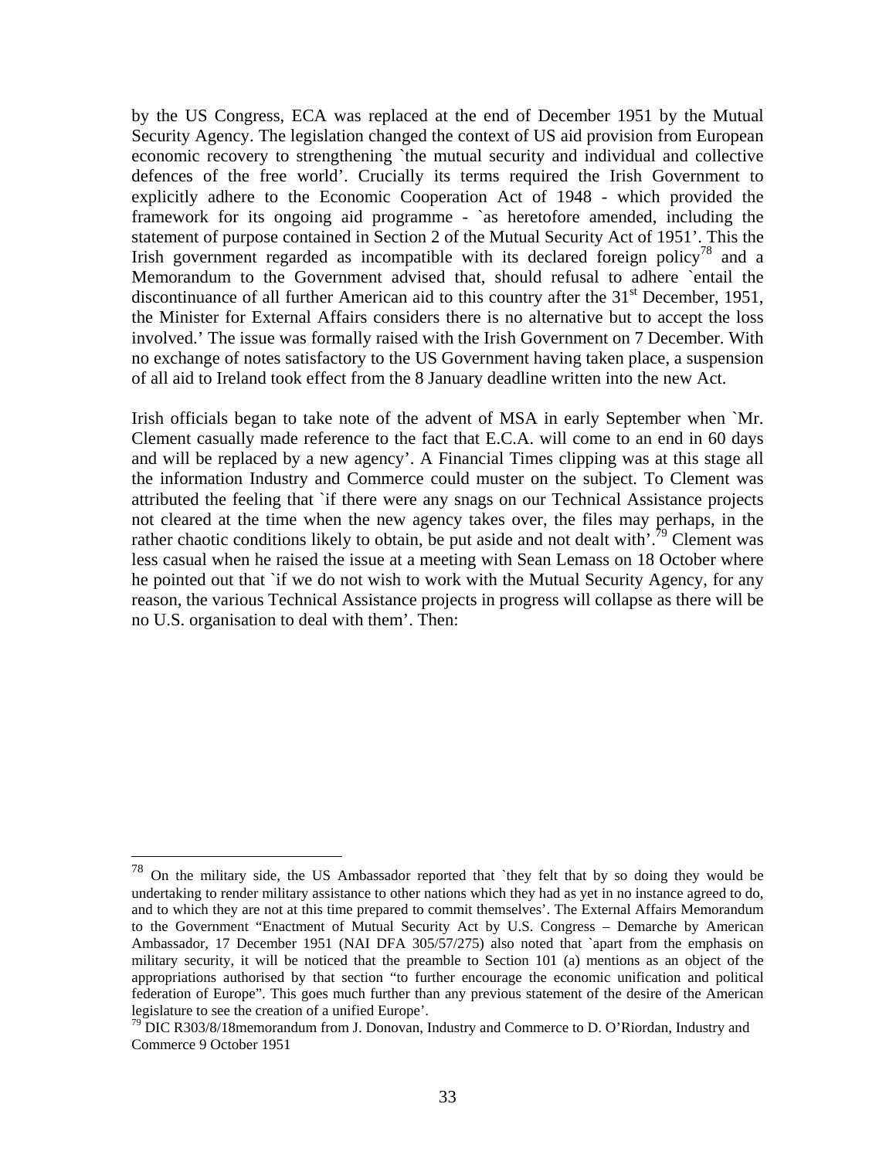by the US Congress, ECA was replaced at the end of December 1951 by the Mutual Security Agency. The legislation changed the context of US aid provision from European economic recovery to strengthening `the mutual security and individual and collective defences of the free world'. Crucially its terms required the Irish Government to explicitly adhere to the Economic Cooperation Act of 1948 - which provided the framework for its ongoing aid programme - `as heretofore amended, including the statement of purpose contained in Section 2 of the Mutual Security Act of 1951'. This the Irish government regarded as incompatible with its declared foreign policy<sup>78</sup> and a Memorandum to the Government advised that, should refusal to adhere `entail the discontinuance of all further American aid to this country after the  $31<sup>st</sup>$  December, 1951, the Minister for External Affairs considers there is no alternative but to accept the loss involved.' The issue was formally raised with the Irish Government on 7 December. With no exchange of notes satisfactory to the US Government having taken place, a suspension of all aid to Ireland took effect from the 8 January deadline written into the new Act.

Irish officials began to take note of the advent of MSA in early September when `Mr. Clement casually made reference to the fact that E.C.A. will come to an end in 60 days and will be replaced by a new agency'. A Financial Times clipping was at this stage all the information Industry and Commerce could muster on the subject. To Clement was attributed the feeling that `if there were any snags on our Technical Assistance projects not cleared at the time when the new agency takes over, the files may perhaps, in the rather chaotic conditions likely to obtain, be put aside and not dealt with<sup> $\cdot$ , <sup>79</sup> Clement was</sup> less casual when he raised the issue at a meeting with Sean Lemass on 18 October where he pointed out that `if we do not wish to work with the Mutual Security Agency, for any reason, the various Technical Assistance projects in progress will collapse as there will be no U.S. organisation to deal with them'. Then:

 $78$  On the military side, the US Ambassador reported that `they felt that by so doing they would be undertaking to render military assistance to other nations which they had as yet in no instance agreed to do, and to which they are not at this time prepared to commit themselves'. The External Affairs Memorandum to the Government "Enactment of Mutual Security Act by U.S. Congress – Demarche by American Ambassador, 17 December 1951 (NAI DFA 305/57/275) also noted that `apart from the emphasis on military security, it will be noticed that the preamble to Section 101 (a) mentions as an object of the appropriations authorised by that section "to further encourage the economic unification and political federation of Europe". This goes much further than any previous statement of the desire of the American legislature to see the creation of a unified Europe'.<br><sup>79</sup> DIC R303/8/18memorandum from J. Donovan, Industry and Commerce to D. O'Riordan, Industry and

Commerce 9 October 1951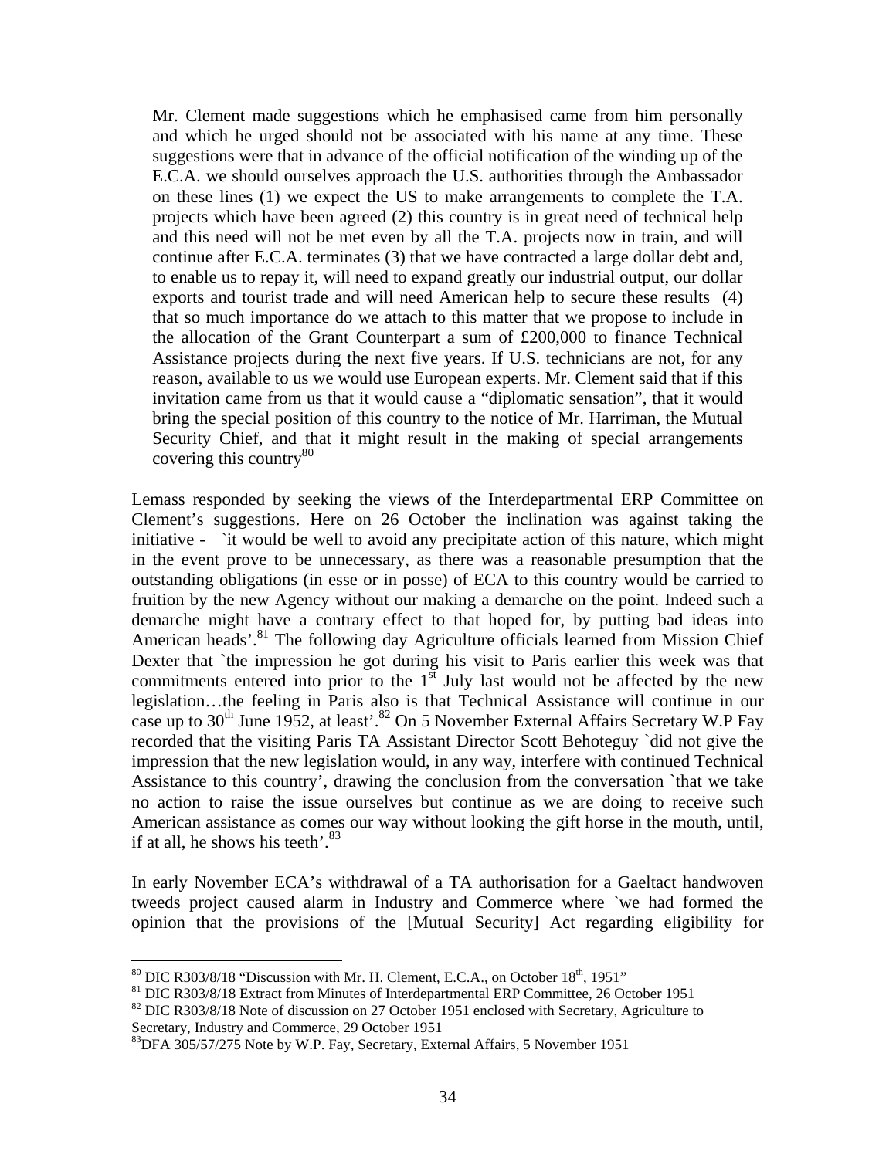Mr. Clement made suggestions which he emphasised came from him personally and which he urged should not be associated with his name at any time. These suggestions were that in advance of the official notification of the winding up of the E.C.A. we should ourselves approach the U.S. authorities through the Ambassador on these lines (1) we expect the US to make arrangements to complete the T.A. projects which have been agreed (2) this country is in great need of technical help and this need will not be met even by all the T.A. projects now in train, and will continue after E.C.A. terminates (3) that we have contracted a large dollar debt and, to enable us to repay it, will need to expand greatly our industrial output, our dollar exports and tourist trade and will need American help to secure these results (4) that so much importance do we attach to this matter that we propose to include in the allocation of the Grant Counterpart a sum of £200,000 to finance Technical Assistance projects during the next five years. If U.S. technicians are not, for any reason, available to us we would use European experts. Mr. Clement said that if this invitation came from us that it would cause a "diplomatic sensation", that it would bring the special position of this country to the notice of Mr. Harriman, the Mutual Security Chief, and that it might result in the making of special arrangements covering this country<sup>80</sup>

Lemass responded by seeking the views of the Interdepartmental ERP Committee on Clement's suggestions. Here on 26 October the inclination was against taking the initiative - `it would be well to avoid any precipitate action of this nature, which might in the event prove to be unnecessary, as there was a reasonable presumption that the outstanding obligations (in esse or in posse) of ECA to this country would be carried to fruition by the new Agency without our making a demarche on the point. Indeed such a demarche might have a contrary effect to that hoped for, by putting bad ideas into American heads'.<sup>81</sup> The following day Agriculture officials learned from Mission Chief Dexter that `the impression he got during his visit to Paris earlier this week was that commitments entered into prior to the  $1<sup>st</sup>$  July last would not be affected by the new legislation…the feeling in Paris also is that Technical Assistance will continue in our case up to  $30^{th}$  June 1952, at least'.<sup>82</sup> On 5 November External Affairs Secretary W.P Fay recorded that the visiting Paris TA Assistant Director Scott Behoteguy `did not give the impression that the new legislation would, in any way, interfere with continued Technical Assistance to this country', drawing the conclusion from the conversation `that we take no action to raise the issue ourselves but continue as we are doing to receive such American assistance as comes our way without looking the gift horse in the mouth, until, if at all, he shows his teeth'. $83$ 

In early November ECA's withdrawal of a TA authorisation for a Gaeltact handwoven tweeds project caused alarm in Industry and Commerce where `we had formed the opinion that the provisions of the [Mutual Security] Act regarding eligibility for

<sup>&</sup>lt;sup>80</sup> DIC R303/8/18 "Discussion with Mr. H. Clement, E.C.A., on October 18<sup>th</sup>, 1951"<br><sup>81</sup> DIC R303/8/18 Extract from Minutes of Interdepartmental ERP Committee, 26 October 1951<br><sup>82</sup> DIC R303/8/18 Note of discussion on 27 O

Secretary, Industry and Commerce, 29 October 1951

<sup>&</sup>lt;sup>83</sup>DFA 305/57/275 Note by W.P. Fay, Secretary, External Affairs, 5 November 1951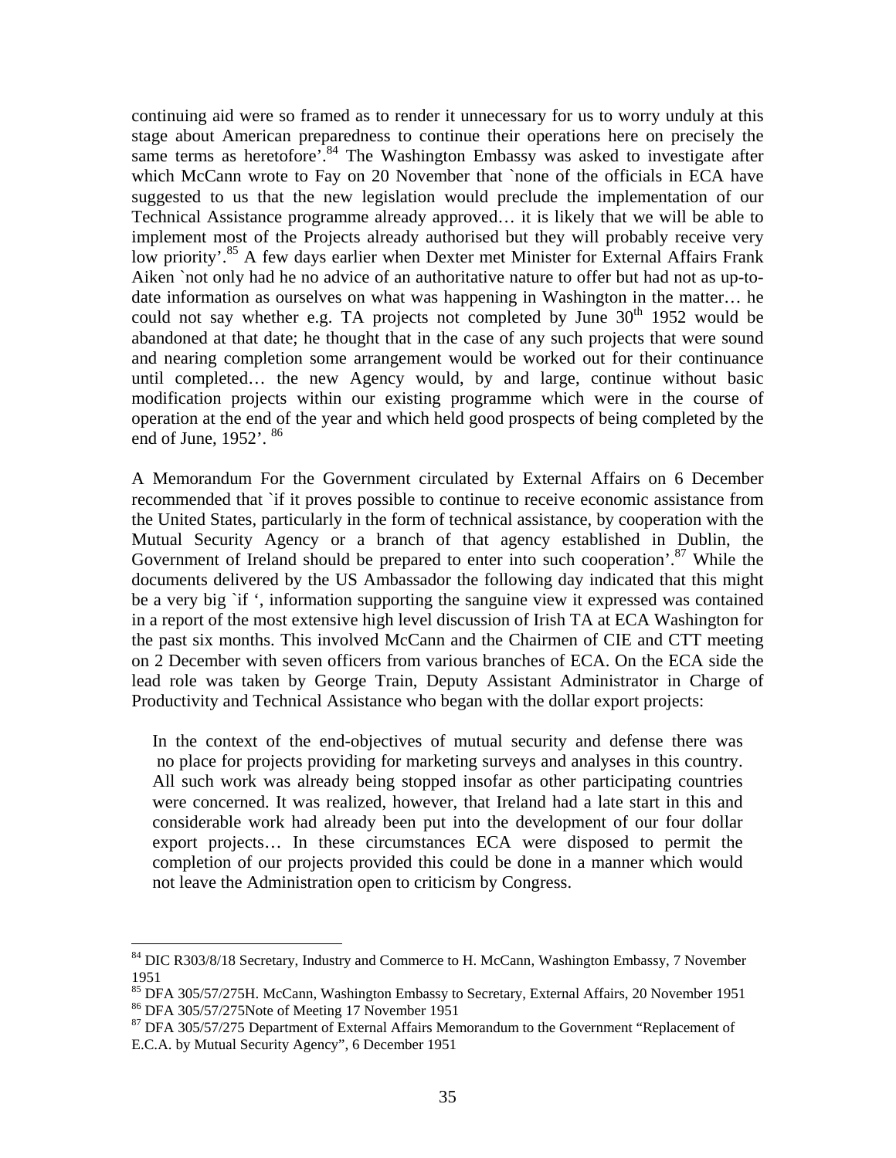continuing aid were so framed as to render it unnecessary for us to worry unduly at this stage about American preparedness to continue their operations here on precisely the same terms as heretofore<sup>7.84</sup> The Washington Embassy was asked to investigate after which McCann wrote to Fay on 20 November that `none of the officials in ECA have suggested to us that the new legislation would preclude the implementation of our Technical Assistance programme already approved… it is likely that we will be able to implement most of the Projects already authorised but they will probably receive very low priority'.<sup>85</sup> A few days earlier when Dexter met Minister for External Affairs Frank Aiken `not only had he no advice of an authoritative nature to offer but had not as up-todate information as ourselves on what was happening in Washington in the matter… he could not say whether e.g. TA projects not completed by June  $30<sup>th</sup>$  1952 would be abandoned at that date; he thought that in the case of any such projects that were sound and nearing completion some arrangement would be worked out for their continuance until completed… the new Agency would, by and large, continue without basic modification projects within our existing programme which were in the course of operation at the end of the year and which held good prospects of being completed by the end of June,  $1952'$ ,  $86$ 

A Memorandum For the Government circulated by External Affairs on 6 December recommended that `if it proves possible to continue to receive economic assistance from the United States, particularly in the form of technical assistance, by cooperation with the Mutual Security Agency or a branch of that agency established in Dublin, the Government of Ireland should be prepared to enter into such cooperation'.<sup>87</sup> While the documents delivered by the US Ambassador the following day indicated that this might be a very big `if ', information supporting the sanguine view it expressed was contained in a report of the most extensive high level discussion of Irish TA at ECA Washington for the past six months. This involved McCann and the Chairmen of CIE and CTT meeting on 2 December with seven officers from various branches of ECA. On the ECA side the lead role was taken by George Train, Deputy Assistant Administrator in Charge of Productivity and Technical Assistance who began with the dollar export projects:

In the context of the end-objectives of mutual security and defense there was no place for projects providing for marketing surveys and analyses in this country. All such work was already being stopped insofar as other participating countries were concerned. It was realized, however, that Ireland had a late start in this and considerable work had already been put into the development of our four dollar export projects… In these circumstances ECA were disposed to permit the completion of our projects provided this could be done in a manner which would not leave the Administration open to criticism by Congress.

<sup>&</sup>lt;sup>84</sup> DIC R303/8/18 Secretary, Industry and Commerce to H. McCann, Washington Embassy, 7 November 1951

<sup>85</sup> DFA 305/57/275H. McCann, Washington Embassy to Secretary, External Affairs, 20 November 1951 86 DFA 305/57/275Note of Meeting 17 November 1951

<sup>&</sup>lt;sup>87</sup> DFA 305/57/275 Department of External Affairs Memorandum to the Government "Replacement of E.C.A. by Mutual Security Agency", 6 December 1951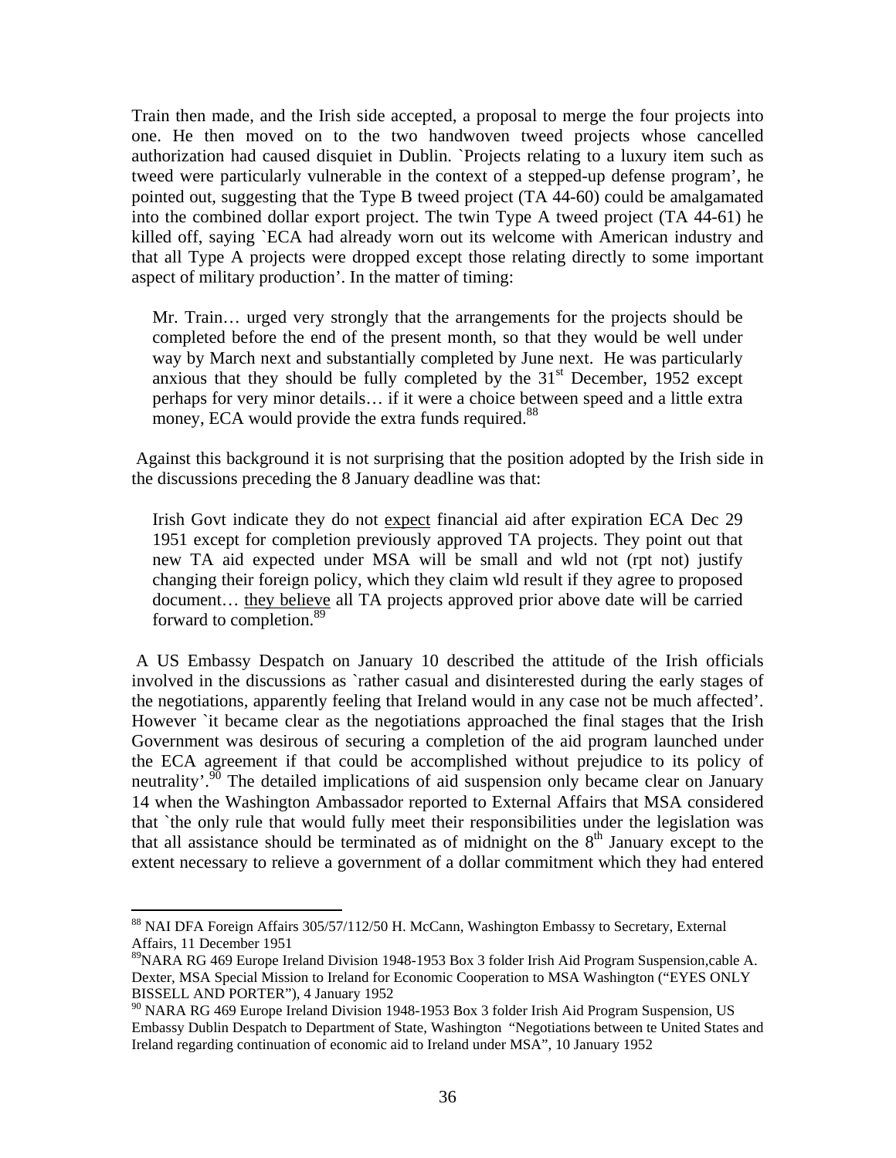Train then made, and the Irish side accepted, a proposal to merge the four projects into one. He then moved on to the two handwoven tweed projects whose cancelled authorization had caused disquiet in Dublin. `Projects relating to a luxury item such as tweed were particularly vulnerable in the context of a stepped-up defense program', he pointed out, suggesting that the Type B tweed project (TA 44-60) could be amalgamated into the combined dollar export project. The twin Type A tweed project (TA 44-61) he killed off, saying `ECA had already worn out its welcome with American industry and that all Type A projects were dropped except those relating directly to some important aspect of military production'. In the matter of timing:

Mr. Train… urged very strongly that the arrangements for the projects should be completed before the end of the present month, so that they would be well under way by March next and substantially completed by June next. He was particularly anxious that they should be fully completed by the  $31<sup>st</sup>$  December, 1952 except perhaps for very minor details… if it were a choice between speed and a little extra money, ECA would provide the extra funds required.<sup>88</sup>

 Against this background it is not surprising that the position adopted by the Irish side in the discussions preceding the 8 January deadline was that:

Irish Govt indicate they do not expect financial aid after expiration ECA Dec 29 1951 except for completion previously approved TA projects. They point out that new TA aid expected under MSA will be small and wld not (rpt not) justify changing their foreign policy, which they claim wld result if they agree to proposed document… they believe all TA projects approved prior above date will be carried forward to completion.<sup>89</sup>

 A US Embassy Despatch on January 10 described the attitude of the Irish officials involved in the discussions as `rather casual and disinterested during the early stages of the negotiations, apparently feeling that Ireland would in any case not be much affected'. However `it became clear as the negotiations approached the final stages that the Irish Government was desirous of securing a completion of the aid program launched under the ECA agreement if that could be accomplished without prejudice to its policy of neutrality'.<sup>90</sup> The detailed implications of aid suspension only became clear on January 14 when the Washington Ambassador reported to External Affairs that MSA considered that `the only rule that would fully meet their responsibilities under the legislation was that all assistance should be terminated as of midnight on the  $8<sup>th</sup>$  January except to the extent necessary to relieve a government of a dollar commitment which they had entered

<sup>&</sup>lt;sup>88</sup> NAI DFA Foreign Affairs 305/57/112/50 H. McCann, Washington Embassy to Secretary, External Affairs, 11 December 1951

<sup>&</sup>lt;sup>89</sup>NARA RG 469 Europe Ireland Division 1948-1953 Box 3 folder Irish Aid Program Suspension, cable A. Dexter, MSA Special Mission to Ireland for Economic Cooperation to MSA Washington ("EYES ONLY BISSELL AND PORTER"), 4 January 1952

<sup>&</sup>lt;sup>90</sup> NARA RG 469 Europe Ireland Division 1948-1953 Box 3 folder Irish Aid Program Suspension, US Embassy Dublin Despatch to Department of State, Washington "Negotiations between te United States and Ireland regarding continuation of economic aid to Ireland under MSA", 10 January 1952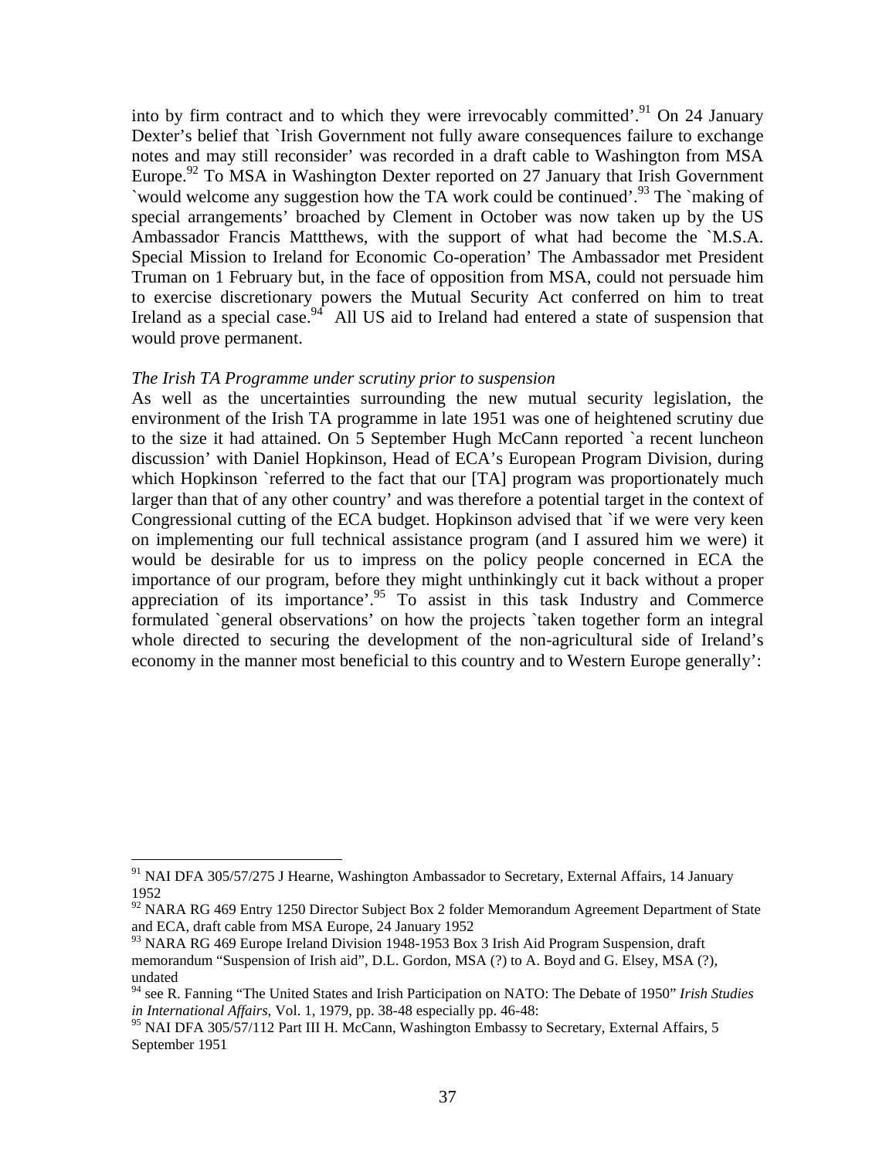into by firm contract and to which they were irrevocably committed'.<sup>91</sup> On 24 January Dexter's belief that `Irish Government not fully aware consequences failure to exchange notes and may still reconsider' was recorded in a draft cable to Washington from MSA Europe.<sup>92</sup> To MSA in Washington Dexter reported on 27 January that Irish Government `would welcome any suggestion how the TA work could be continued'.93 The `making of special arrangements' broached by Clement in October was now taken up by the US Ambassador Francis Mattthews, with the support of what had become the `M.S.A. Special Mission to Ireland for Economic Co-operation' The Ambassador met President Truman on 1 February but, in the face of opposition from MSA, could not persuade him to exercise discretionary powers the Mutual Security Act conferred on him to treat Ireland as a special case.  $94$  All US aid to Ireland had entered a state of suspension that would prove permanent.

### *The Irish TA Programme under scrutiny prior to suspension*

 $\overline{a}$ 

As well as the uncertainties surrounding the new mutual security legislation, the environment of the Irish TA programme in late 1951 was one of heightened scrutiny due to the size it had attained. On 5 September Hugh McCann reported `a recent luncheon discussion' with Daniel Hopkinson, Head of ECA's European Program Division, during which Hopkinson `referred to the fact that our [TA] program was proportionately much larger than that of any other country' and was therefore a potential target in the context of Congressional cutting of the ECA budget. Hopkinson advised that `if we were very keen on implementing our full technical assistance program (and I assured him we were) it would be desirable for us to impress on the policy people concerned in ECA the importance of our program, before they might unthinkingly cut it back without a proper appreciation of its importance'.<sup>95</sup> To assist in this task Industry and Commerce formulated `general observations' on how the projects `taken together form an integral whole directed to securing the development of the non-agricultural side of Ireland's economy in the manner most beneficial to this country and to Western Europe generally':

<sup>&</sup>lt;sup>91</sup> NAI DFA 305/57/275 J Hearne, Washington Ambassador to Secretary, External Affairs, 14 January 1952

<sup>&</sup>lt;sup>92</sup> NARA RG 469 Entry 1250 Director Subject Box 2 folder Memorandum Agreement Department of State and ECA, draft cable from MSA Europe, 24 January 1952

<sup>&</sup>lt;sup>93</sup> NARA RG 469 Europe Ireland Division 1948-1953 Box 3 Irish Aid Program Suspension, draft memorandum "Suspension of Irish aid", D.L. Gordon, MSA (?) to A. Boyd and G. Elsey, MSA (?), undated

<sup>94</sup> see R. Fanning "The United States and Irish Participation on NATO: The Debate of 1950" *Irish Studies in International Affairs*, Vol. 1, 1979, pp. 38-48 especially pp. 46-48:

<sup>&</sup>lt;sup>95</sup> NAI DFA 305/57/112 Part III H. McCann, Washington Embassy to Secretary, External Affairs, 5 September 1951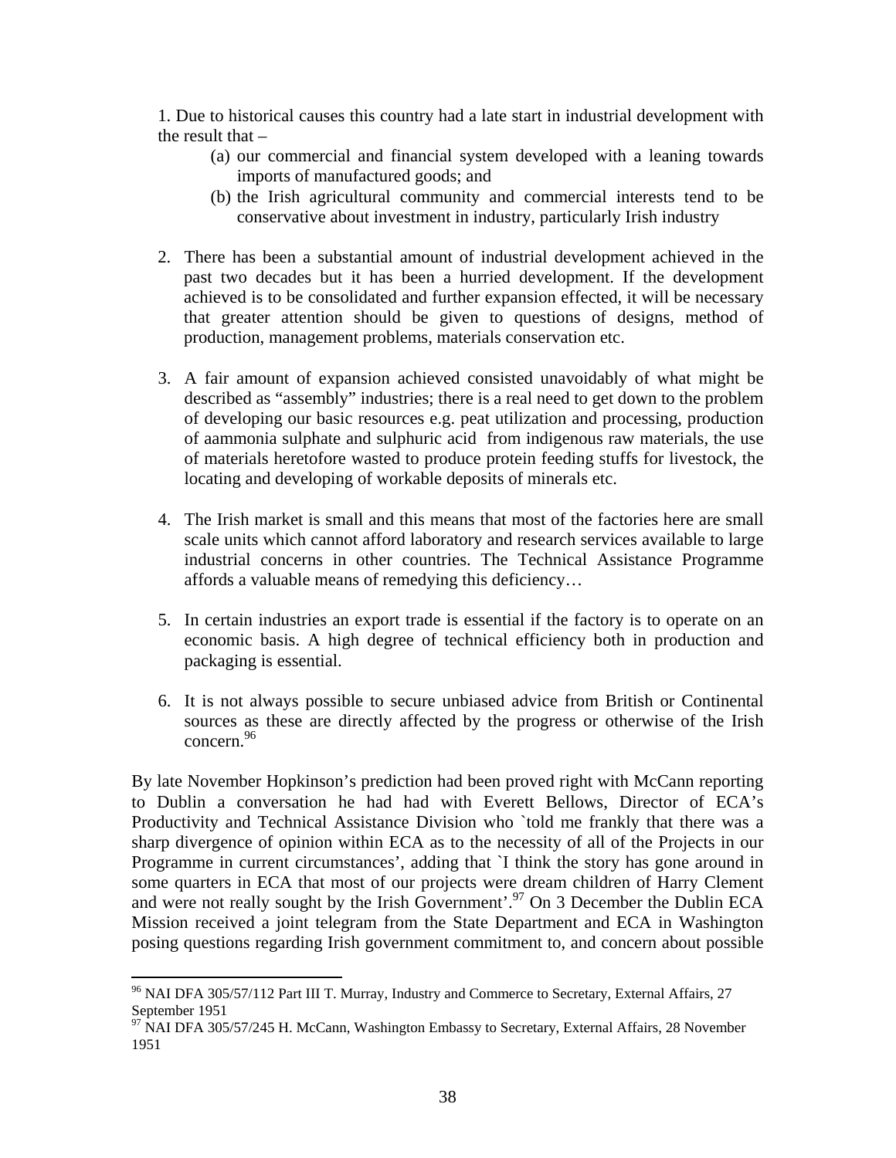1. Due to historical causes this country had a late start in industrial development with the result that  $-$ 

- (a) our commercial and financial system developed with a leaning towards imports of manufactured goods; and
- (b) the Irish agricultural community and commercial interests tend to be conservative about investment in industry, particularly Irish industry
- 2. There has been a substantial amount of industrial development achieved in the past two decades but it has been a hurried development. If the development achieved is to be consolidated and further expansion effected, it will be necessary that greater attention should be given to questions of designs, method of production, management problems, materials conservation etc.
- 3. A fair amount of expansion achieved consisted unavoidably of what might be described as "assembly" industries; there is a real need to get down to the problem of developing our basic resources e.g. peat utilization and processing, production of aammonia sulphate and sulphuric acid from indigenous raw materials, the use of materials heretofore wasted to produce protein feeding stuffs for livestock, the locating and developing of workable deposits of minerals etc.
- 4. The Irish market is small and this means that most of the factories here are small scale units which cannot afford laboratory and research services available to large industrial concerns in other countries. The Technical Assistance Programme affords a valuable means of remedying this deficiency…
- 5. In certain industries an export trade is essential if the factory is to operate on an economic basis. A high degree of technical efficiency both in production and packaging is essential.
- 6. It is not always possible to secure unbiased advice from British or Continental sources as these are directly affected by the progress or otherwise of the Irish concern.<sup>96</sup>

By late November Hopkinson's prediction had been proved right with McCann reporting to Dublin a conversation he had had with Everett Bellows, Director of ECA's Productivity and Technical Assistance Division who `told me frankly that there was a sharp divergence of opinion within ECA as to the necessity of all of the Projects in our Programme in current circumstances', adding that `I think the story has gone around in some quarters in ECA that most of our projects were dream children of Harry Clement and were not really sought by the Irish Government'.<sup>97</sup> On 3 December the Dublin ECA Mission received a joint telegram from the State Department and ECA in Washington posing questions regarding Irish government commitment to, and concern about possible

<sup>&</sup>lt;sup>96</sup> NAI DFA 305/57/112 Part III T. Murray, Industry and Commerce to Secretary, External Affairs, 27 September 1951

<sup>&</sup>lt;sup>97</sup> NAI DFA 305/57/245 H. McCann, Washington Embassy to Secretary, External Affairs, 28 November 1951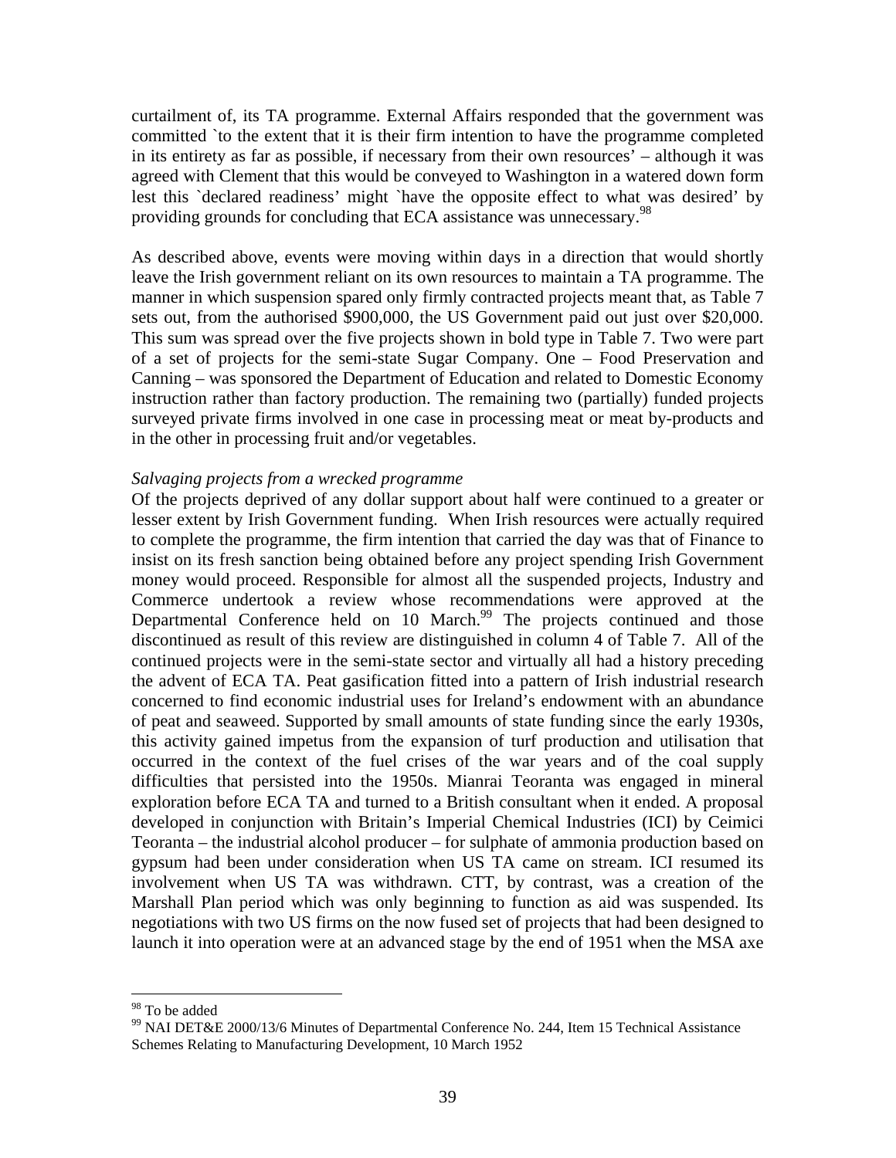curtailment of, its TA programme. External Affairs responded that the government was committed `to the extent that it is their firm intention to have the programme completed in its entirety as far as possible, if necessary from their own resources' – although it was agreed with Clement that this would be conveyed to Washington in a watered down form lest this `declared readiness' might `have the opposite effect to what was desired' by providing grounds for concluding that ECA assistance was unnecessary.<sup>98</sup>

As described above, events were moving within days in a direction that would shortly leave the Irish government reliant on its own resources to maintain a TA programme. The manner in which suspension spared only firmly contracted projects meant that, as Table 7 sets out, from the authorised \$900,000, the US Government paid out just over \$20,000. This sum was spread over the five projects shown in bold type in Table 7. Two were part of a set of projects for the semi-state Sugar Company. One – Food Preservation and Canning – was sponsored the Department of Education and related to Domestic Economy instruction rather than factory production. The remaining two (partially) funded projects surveyed private firms involved in one case in processing meat or meat by-products and in the other in processing fruit and/or vegetables.

### *Salvaging projects from a wrecked programme*

Of the projects deprived of any dollar support about half were continued to a greater or lesser extent by Irish Government funding. When Irish resources were actually required to complete the programme, the firm intention that carried the day was that of Finance to insist on its fresh sanction being obtained before any project spending Irish Government money would proceed. Responsible for almost all the suspended projects, Industry and Commerce undertook a review whose recommendations were approved at the Departmental Conference held on 10 March.<sup>99</sup> The projects continued and those discontinued as result of this review are distinguished in column 4 of Table 7. All of the continued projects were in the semi-state sector and virtually all had a history preceding the advent of ECA TA. Peat gasification fitted into a pattern of Irish industrial research concerned to find economic industrial uses for Ireland's endowment with an abundance of peat and seaweed. Supported by small amounts of state funding since the early 1930s, this activity gained impetus from the expansion of turf production and utilisation that occurred in the context of the fuel crises of the war years and of the coal supply difficulties that persisted into the 1950s. Mianrai Teoranta was engaged in mineral exploration before ECA TA and turned to a British consultant when it ended. A proposal developed in conjunction with Britain's Imperial Chemical Industries (ICI) by Ceimici Teoranta – the industrial alcohol producer – for sulphate of ammonia production based on gypsum had been under consideration when US TA came on stream. ICI resumed its involvement when US TA was withdrawn. CTT, by contrast, was a creation of the Marshall Plan period which was only beginning to function as aid was suspended. Its negotiations with two US firms on the now fused set of projects that had been designed to launch it into operation were at an advanced stage by the end of 1951 when the MSA axe

<u>.</u>

<sup>98</sup> To be added

<sup>99</sup> NAI DET&E 2000/13/6 Minutes of Departmental Conference No. 244, Item 15 Technical Assistance Schemes Relating to Manufacturing Development, 10 March 1952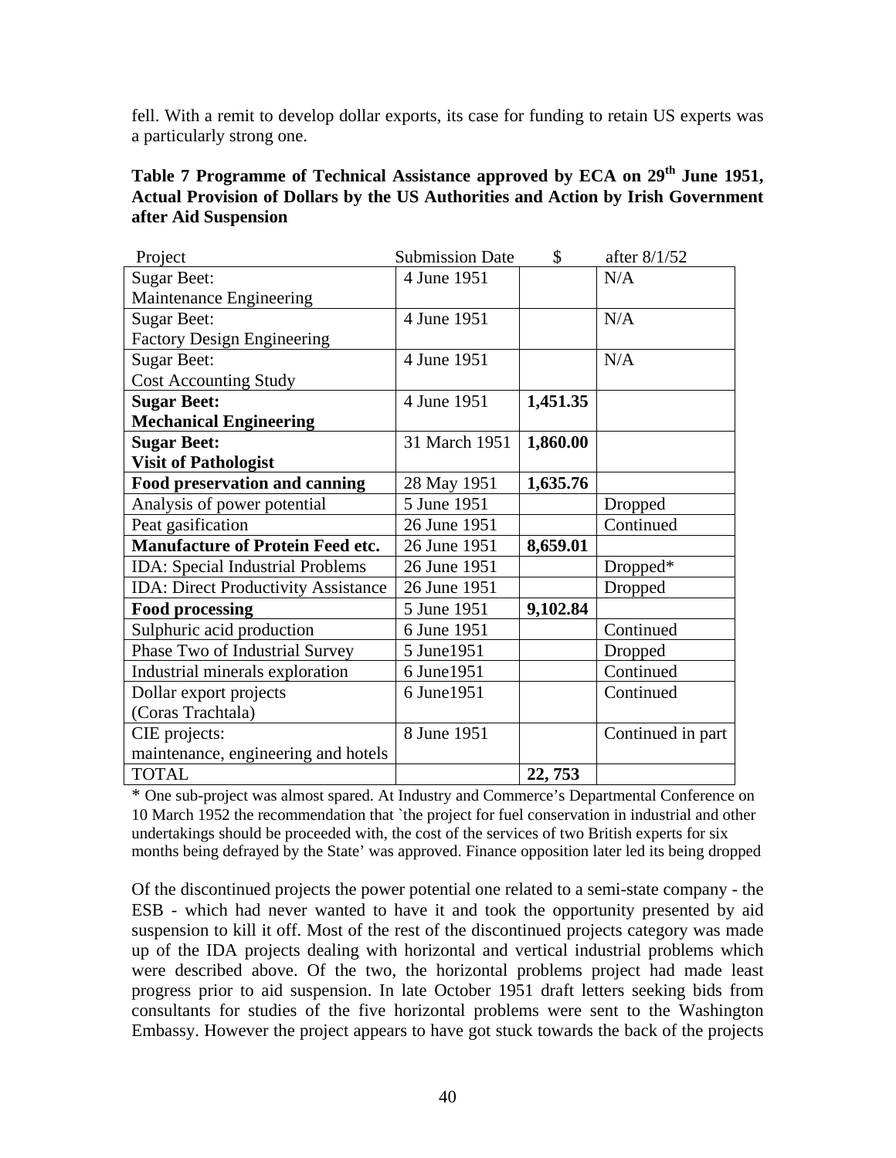fell. With a remit to develop dollar exports, its case for funding to retain US experts was a particularly strong one.

| Table 7 Programme of Technical Assistance approved by ECA on 29 <sup>th</sup> June 1951, |
|------------------------------------------------------------------------------------------|
| Actual Provision of Dollars by the US Authorities and Action by Irish Government         |
| after Aid Suspension                                                                     |

| Project                                    | <b>Submission Date</b> | \$       | after 8/1/52      |
|--------------------------------------------|------------------------|----------|-------------------|
| <b>Sugar Beet:</b>                         | 4 June 1951            |          | N/A               |
| Maintenance Engineering                    |                        |          |                   |
| <b>Sugar Beet:</b>                         | 4 June 1951            |          | N/A               |
| <b>Factory Design Engineering</b>          |                        |          |                   |
| <b>Sugar Beet:</b>                         | 4 June 1951            |          | N/A               |
| <b>Cost Accounting Study</b>               |                        |          |                   |
| <b>Sugar Beet:</b>                         | 4 June 1951            | 1,451.35 |                   |
| <b>Mechanical Engineering</b>              |                        |          |                   |
| <b>Sugar Beet:</b>                         | 31 March 1951          | 1,860.00 |                   |
| <b>Visit of Pathologist</b>                |                        |          |                   |
| Food preservation and canning              | 28 May 1951            | 1,635.76 |                   |
| Analysis of power potential                | 5 June 1951            |          | Dropped           |
| Peat gasification                          | 26 June 1951           |          | Continued         |
| <b>Manufacture of Protein Feed etc.</b>    | 26 June 1951           | 8,659.01 |                   |
| <b>IDA:</b> Special Industrial Problems    | 26 June 1951           |          | Dropped*          |
| <b>IDA: Direct Productivity Assistance</b> | 26 June 1951           |          | Dropped           |
| <b>Food processing</b>                     | 5 June 1951            | 9,102.84 |                   |
| Sulphuric acid production                  | 6 June 1951            |          | Continued         |
| Phase Two of Industrial Survey             | 5 June1951             |          | Dropped           |
| Industrial minerals exploration            | 6 June 1951            |          | Continued         |
| Dollar export projects                     | 6 June 1951            |          | Continued         |
| (Coras Trachtala)                          |                        |          |                   |
| CIE projects:                              | 8 June 1951            |          | Continued in part |
| maintenance, engineering and hotels        |                        |          |                   |
| <b>TOTAL</b>                               |                        | 22, 753  |                   |

\* One sub-project was almost spared. At Industry and Commerce's Departmental Conference on 10 March 1952 the recommendation that `the project for fuel conservation in industrial and other undertakings should be proceeded with, the cost of the services of two British experts for six months being defrayed by the State' was approved. Finance opposition later led its being dropped

Of the discontinued projects the power potential one related to a semi-state company - the ESB - which had never wanted to have it and took the opportunity presented by aid suspension to kill it off. Most of the rest of the discontinued projects category was made up of the IDA projects dealing with horizontal and vertical industrial problems which were described above. Of the two, the horizontal problems project had made least progress prior to aid suspension. In late October 1951 draft letters seeking bids from consultants for studies of the five horizontal problems were sent to the Washington Embassy. However the project appears to have got stuck towards the back of the projects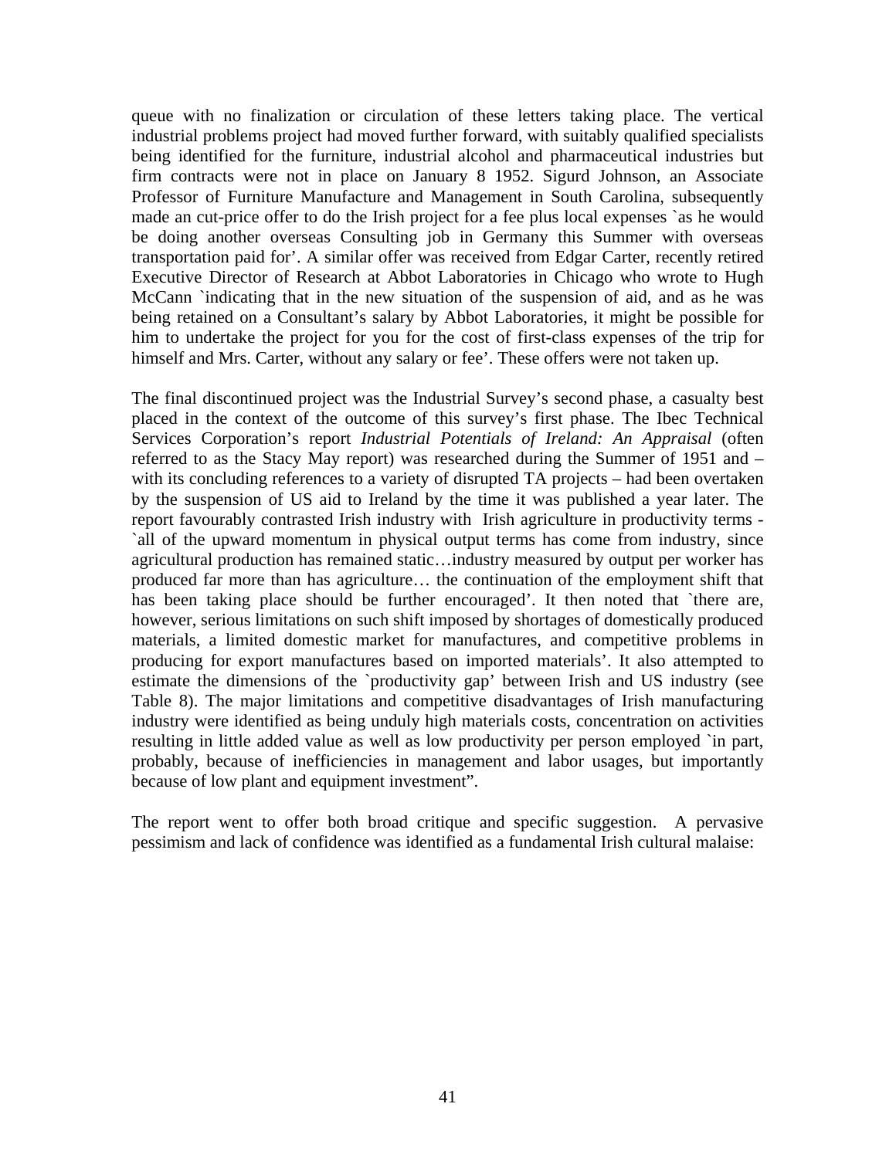queue with no finalization or circulation of these letters taking place. The vertical industrial problems project had moved further forward, with suitably qualified specialists being identified for the furniture, industrial alcohol and pharmaceutical industries but firm contracts were not in place on January 8 1952. Sigurd Johnson, an Associate Professor of Furniture Manufacture and Management in South Carolina, subsequently made an cut-price offer to do the Irish project for a fee plus local expenses `as he would be doing another overseas Consulting job in Germany this Summer with overseas transportation paid for'. A similar offer was received from Edgar Carter, recently retired Executive Director of Research at Abbot Laboratories in Chicago who wrote to Hugh McCann `indicating that in the new situation of the suspension of aid, and as he was being retained on a Consultant's salary by Abbot Laboratories, it might be possible for him to undertake the project for you for the cost of first-class expenses of the trip for himself and Mrs. Carter, without any salary or fee'. These offers were not taken up.

The final discontinued project was the Industrial Survey's second phase, a casualty best placed in the context of the outcome of this survey's first phase. The Ibec Technical Services Corporation's report *Industrial Potentials of Ireland: An Appraisal* (often referred to as the Stacy May report) was researched during the Summer of 1951 and – with its concluding references to a variety of disrupted TA projects – had been overtaken by the suspension of US aid to Ireland by the time it was published a year later. The report favourably contrasted Irish industry with Irish agriculture in productivity terms - `all of the upward momentum in physical output terms has come from industry, since agricultural production has remained static…industry measured by output per worker has produced far more than has agriculture… the continuation of the employment shift that has been taking place should be further encouraged'. It then noted that `there are, however, serious limitations on such shift imposed by shortages of domestically produced materials, a limited domestic market for manufactures, and competitive problems in producing for export manufactures based on imported materials'. It also attempted to estimate the dimensions of the `productivity gap' between Irish and US industry (see Table 8). The major limitations and competitive disadvantages of Irish manufacturing industry were identified as being unduly high materials costs, concentration on activities resulting in little added value as well as low productivity per person employed `in part, probably, because of inefficiencies in management and labor usages, but importantly because of low plant and equipment investment".

The report went to offer both broad critique and specific suggestion. A pervasive pessimism and lack of confidence was identified as a fundamental Irish cultural malaise: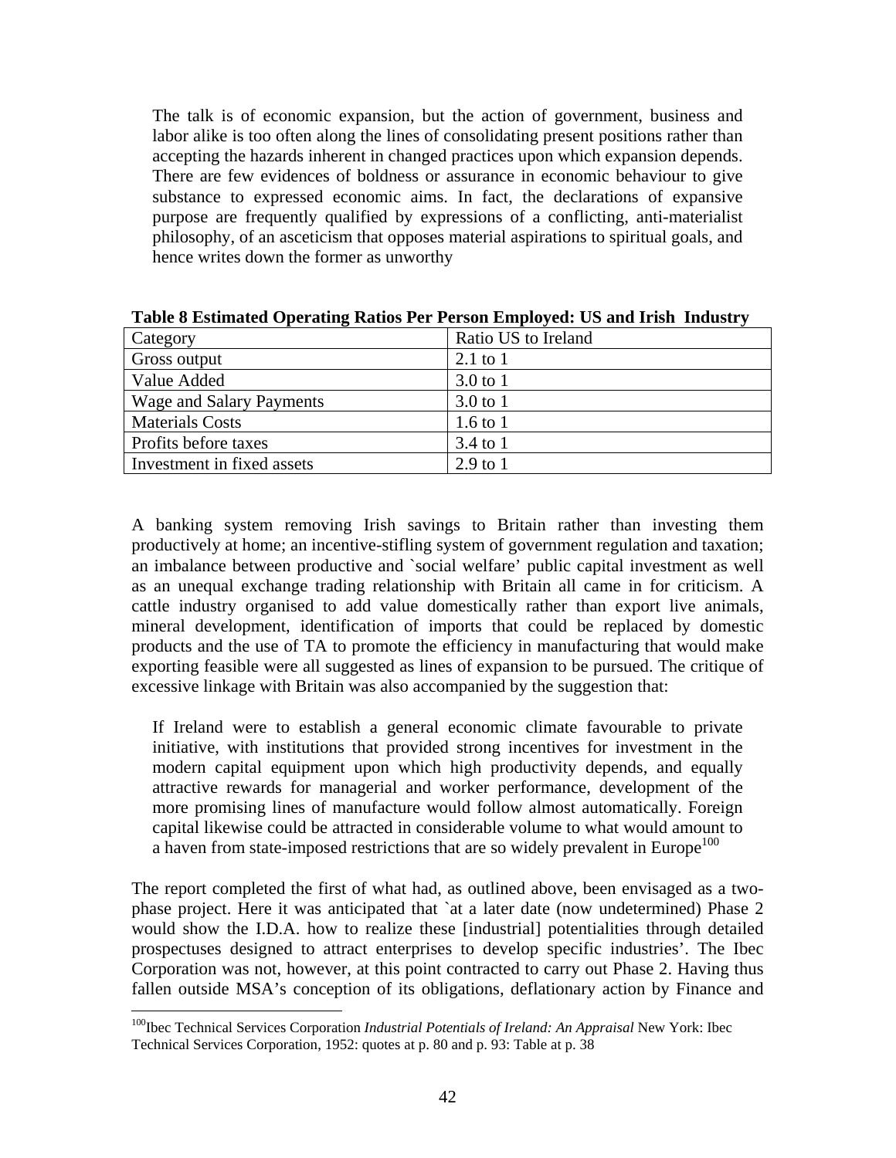The talk is of economic expansion, but the action of government, business and labor alike is too often along the lines of consolidating present positions rather than accepting the hazards inherent in changed practices upon which expansion depends. There are few evidences of boldness or assurance in economic behaviour to give substance to expressed economic aims. In fact, the declarations of expansive purpose are frequently qualified by expressions of a conflicting, anti-materialist philosophy, of an asceticism that opposes material aspirations to spiritual goals, and hence writes down the former as unworthy

| Category                        | Ratio US to Ireland |
|---------------------------------|---------------------|
| Gross output                    | $2.1$ to $1$        |
| Value Added                     | $3.0 \text{ to } 1$ |
| <b>Wage and Salary Payments</b> | $3.0 \text{ to } 1$ |
| <b>Materials Costs</b>          | 1.6 to $1$          |
| Profits before taxes            | 3.4 to 1            |
| Investment in fixed assets      | $2.9 \text{ to } 1$ |

**Table 8 Estimated Operating Ratios Per Person Employed: US and Irish Industry** 

A banking system removing Irish savings to Britain rather than investing them productively at home; an incentive-stifling system of government regulation and taxation; an imbalance between productive and `social welfare' public capital investment as well as an unequal exchange trading relationship with Britain all came in for criticism. A cattle industry organised to add value domestically rather than export live animals, mineral development, identification of imports that could be replaced by domestic products and the use of TA to promote the efficiency in manufacturing that would make exporting feasible were all suggested as lines of expansion to be pursued. The critique of excessive linkage with Britain was also accompanied by the suggestion that:

If Ireland were to establish a general economic climate favourable to private initiative, with institutions that provided strong incentives for investment in the modern capital equipment upon which high productivity depends, and equally attractive rewards for managerial and worker performance, development of the more promising lines of manufacture would follow almost automatically. Foreign capital likewise could be attracted in considerable volume to what would amount to a haven from state-imposed restrictions that are so widely prevalent in Europe<sup>100</sup>

The report completed the first of what had, as outlined above, been envisaged as a twophase project. Here it was anticipated that 'at a later date (now undetermined) Phase 2 would show the I.D.A. how to realize these [industrial] potentialities through detailed prospectuses designed to attract enterprises to develop specific industries'. The Ibec Corporation was not, however, at this point contracted to carry out Phase 2. Having thus fallen outside MSA's conception of its obligations, deflationary action by Finance and

<sup>&</sup>lt;sup>100</sup>Ibec Technical Services Corporation *Industrial Potentials of Ireland: An Appraisal* New York: Ibec Technical Services Corporation, 1952: quotes at p. 80 and p. 93: Table at p. 38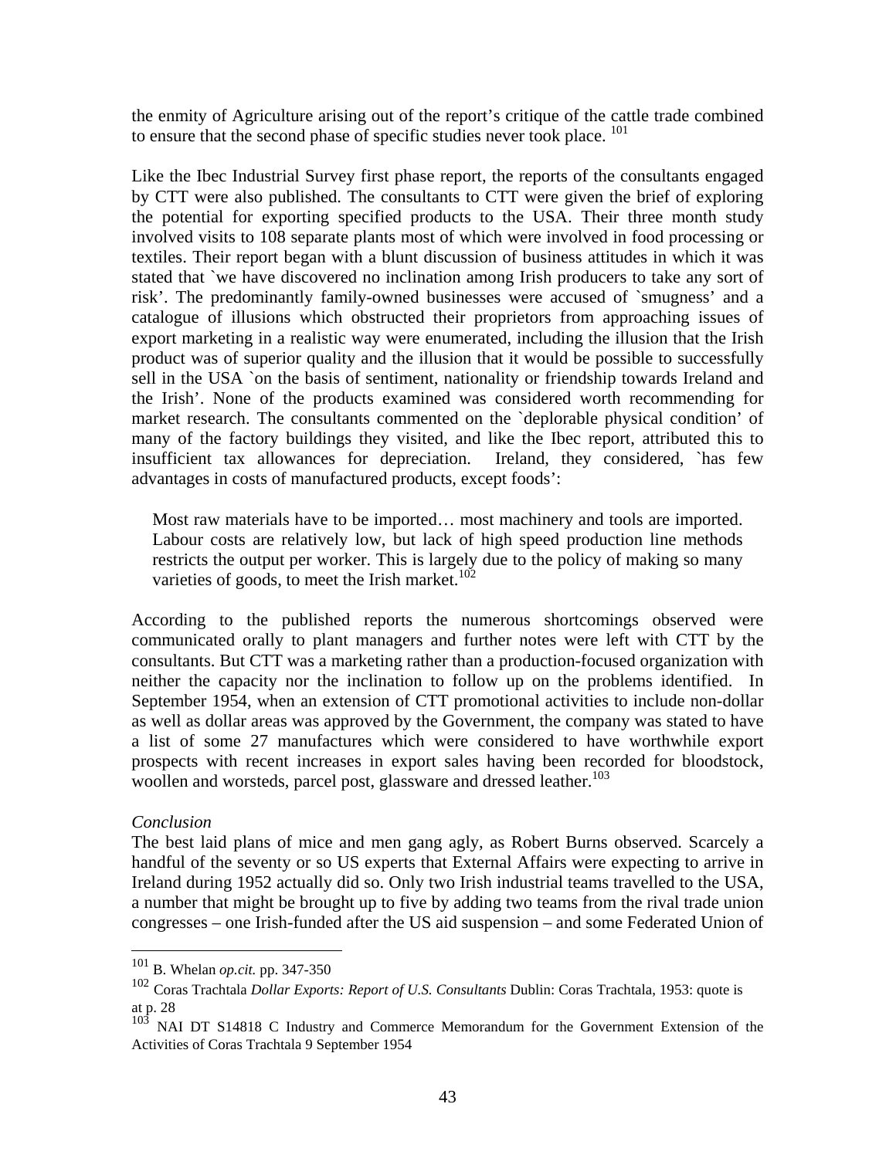the enmity of Agriculture arising out of the report's critique of the cattle trade combined to ensure that the second phase of specific studies never took place. <sup>101</sup>

Like the Ibec Industrial Survey first phase report, the reports of the consultants engaged by CTT were also published. The consultants to CTT were given the brief of exploring the potential for exporting specified products to the USA. Their three month study involved visits to 108 separate plants most of which were involved in food processing or textiles. Their report began with a blunt discussion of business attitudes in which it was stated that `we have discovered no inclination among Irish producers to take any sort of risk'. The predominantly family-owned businesses were accused of `smugness' and a catalogue of illusions which obstructed their proprietors from approaching issues of export marketing in a realistic way were enumerated, including the illusion that the Irish product was of superior quality and the illusion that it would be possible to successfully sell in the USA `on the basis of sentiment, nationality or friendship towards Ireland and the Irish'. None of the products examined was considered worth recommending for market research. The consultants commented on the `deplorable physical condition' of many of the factory buildings they visited, and like the Ibec report, attributed this to insufficient tax allowances for depreciation. Ireland, they considered, `has few advantages in costs of manufactured products, except foods':

Most raw materials have to be imported… most machinery and tools are imported. Labour costs are relatively low, but lack of high speed production line methods restricts the output per worker. This is largely due to the policy of making so many varieties of goods, to meet the Irish market.<sup>102</sup>

According to the published reports the numerous shortcomings observed were communicated orally to plant managers and further notes were left with CTT by the consultants. But CTT was a marketing rather than a production-focused organization with neither the capacity nor the inclination to follow up on the problems identified. In September 1954, when an extension of CTT promotional activities to include non-dollar as well as dollar areas was approved by the Government, the company was stated to have a list of some 27 manufactures which were considered to have worthwhile export prospects with recent increases in export sales having been recorded for bloodstock, woollen and worsteds, parcel post, glassware and dressed leather.<sup>103</sup>

### *Conclusion*

The best laid plans of mice and men gang agly, as Robert Burns observed. Scarcely a handful of the seventy or so US experts that External Affairs were expecting to arrive in Ireland during 1952 actually did so. Only two Irish industrial teams travelled to the USA, a number that might be brought up to five by adding two teams from the rival trade union congresses – one Irish-funded after the US aid suspension – and some Federated Union of

 $101\,$ 101 B. Whelan *op.cit.* pp. 347-350

<sup>102</sup> Coras Trachtala *Dollar Exports: Report of U.S. Consultants* Dublin: Coras Trachtala, 1953: quote is at p. 28

<sup>&</sup>lt;sup>103</sup> NAI DT S14818 C Industry and Commerce Memorandum for the Government Extension of the Activities of Coras Trachtala 9 September 1954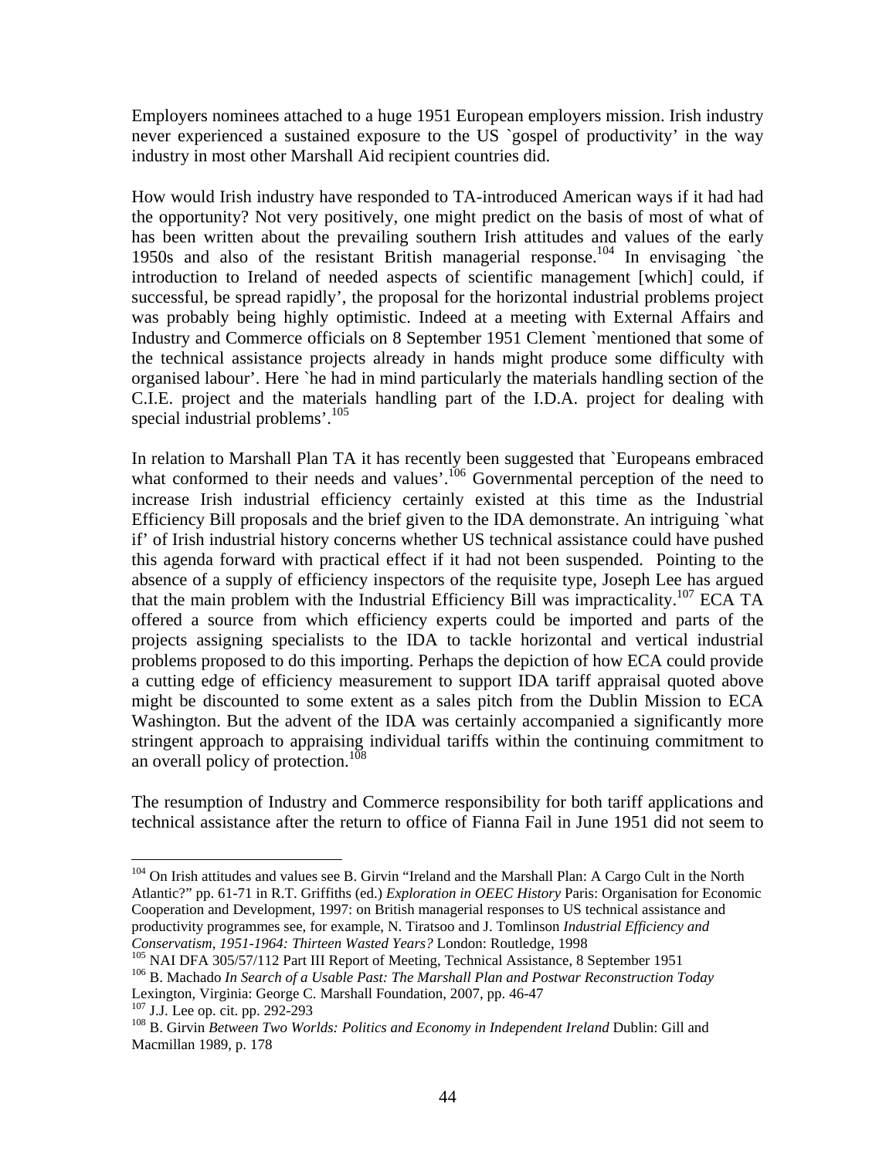Employers nominees attached to a huge 1951 European employers mission. Irish industry never experienced a sustained exposure to the US `gospel of productivity' in the way industry in most other Marshall Aid recipient countries did.

How would Irish industry have responded to TA-introduced American ways if it had had the opportunity? Not very positively, one might predict on the basis of most of what of has been written about the prevailing southern Irish attitudes and values of the early 1950s and also of the resistant British managerial response.104 In envisaging `the introduction to Ireland of needed aspects of scientific management [which] could, if successful, be spread rapidly', the proposal for the horizontal industrial problems project was probably being highly optimistic. Indeed at a meeting with External Affairs and Industry and Commerce officials on 8 September 1951 Clement `mentioned that some of the technical assistance projects already in hands might produce some difficulty with organised labour'. Here `he had in mind particularly the materials handling section of the C.I.E. project and the materials handling part of the I.D.A. project for dealing with special industrial problems'.<sup>105</sup>

In relation to Marshall Plan TA it has recently been suggested that `Europeans embraced what conformed to their needs and values'.<sup>106</sup> Governmental perception of the need to increase Irish industrial efficiency certainly existed at this time as the Industrial Efficiency Bill proposals and the brief given to the IDA demonstrate. An intriguing `what if' of Irish industrial history concerns whether US technical assistance could have pushed this agenda forward with practical effect if it had not been suspended. Pointing to the absence of a supply of efficiency inspectors of the requisite type, Joseph Lee has argued that the main problem with the Industrial Efficiency Bill was impracticality.<sup>107</sup> ECA TA offered a source from which efficiency experts could be imported and parts of the projects assigning specialists to the IDA to tackle horizontal and vertical industrial problems proposed to do this importing. Perhaps the depiction of how ECA could provide a cutting edge of efficiency measurement to support IDA tariff appraisal quoted above might be discounted to some extent as a sales pitch from the Dublin Mission to ECA Washington. But the advent of the IDA was certainly accompanied a significantly more stringent approach to appraising individual tariffs within the continuing commitment to an overall policy of protection.<sup>108</sup>

The resumption of Industry and Commerce responsibility for both tariff applications and technical assistance after the return to office of Fianna Fail in June 1951 did not seem to

<sup>&</sup>lt;sup>104</sup> On Irish attitudes and values see B. Girvin "Ireland and the Marshall Plan: A Cargo Cult in the North Atlantic?" pp. 61-71 in R.T. Griffiths (ed.) *Exploration in OEEC History* Paris: Organisation for Economic Cooperation and Development, 1997: on British managerial responses to US technical assistance and productivity programmes see, for example, N. Tiratsoo and J. Tomlinson *Industrial Efficiency and* 

 $^{105}$  NAI DFA 305/57/112 Part III Report of Meeting, Technical Assistance, 8 September 1951<br> $^{106}$  B. Machado In Search of a Usable Past: The Marshall Plan and Postwar Reconstruction Today Lexington, Virginia: George C. Marshall Foundation, 2007, pp. 46-47<br><sup>107</sup> J.J. Lee op. cit. pp. 292-293

<sup>&</sup>lt;sup>108</sup> B. Girvin *Between Two Worlds: Politics and Economy in Independent Ireland Dublin: Gill and* Macmillan 1989, p. 178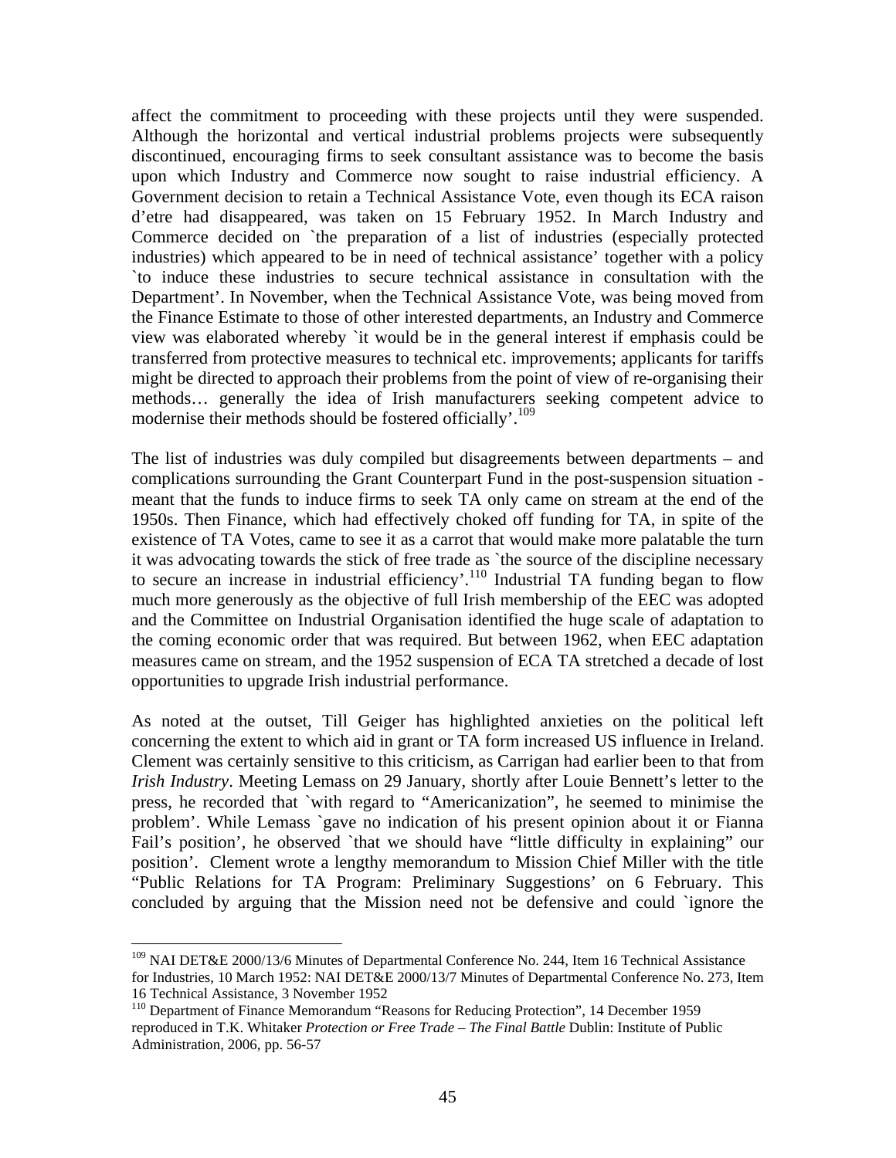affect the commitment to proceeding with these projects until they were suspended. Although the horizontal and vertical industrial problems projects were subsequently discontinued, encouraging firms to seek consultant assistance was to become the basis upon which Industry and Commerce now sought to raise industrial efficiency. A Government decision to retain a Technical Assistance Vote, even though its ECA raison d'etre had disappeared, was taken on 15 February 1952. In March Industry and Commerce decided on `the preparation of a list of industries (especially protected industries) which appeared to be in need of technical assistance' together with a policy `to induce these industries to secure technical assistance in consultation with the Department'. In November, when the Technical Assistance Vote, was being moved from the Finance Estimate to those of other interested departments, an Industry and Commerce view was elaborated whereby `it would be in the general interest if emphasis could be transferred from protective measures to technical etc. improvements; applicants for tariffs might be directed to approach their problems from the point of view of re-organising their methods… generally the idea of Irish manufacturers seeking competent advice to modernise their methods should be fostered officially'.<sup>109</sup>

The list of industries was duly compiled but disagreements between departments – and complications surrounding the Grant Counterpart Fund in the post-suspension situation meant that the funds to induce firms to seek TA only came on stream at the end of the 1950s. Then Finance, which had effectively choked off funding for TA, in spite of the existence of TA Votes, came to see it as a carrot that would make more palatable the turn it was advocating towards the stick of free trade as `the source of the discipline necessary to secure an increase in industrial efficiency'.<sup>110</sup> Industrial TA funding began to flow much more generously as the objective of full Irish membership of the EEC was adopted and the Committee on Industrial Organisation identified the huge scale of adaptation to the coming economic order that was required. But between 1962, when EEC adaptation measures came on stream, and the 1952 suspension of ECA TA stretched a decade of lost opportunities to upgrade Irish industrial performance.

As noted at the outset, Till Geiger has highlighted anxieties on the political left concerning the extent to which aid in grant or TA form increased US influence in Ireland. Clement was certainly sensitive to this criticism, as Carrigan had earlier been to that from *Irish Industry*. Meeting Lemass on 29 January, shortly after Louie Bennett's letter to the press, he recorded that `with regard to "Americanization", he seemed to minimise the problem'. While Lemass `gave no indication of his present opinion about it or Fianna Fail's position', he observed `that we should have "little difficulty in explaining" our position'. Clement wrote a lengthy memorandum to Mission Chief Miller with the title "Public Relations for TA Program: Preliminary Suggestions' on 6 February. This concluded by arguing that the Mission need not be defensive and could `ignore the

<sup>&</sup>lt;sup>109</sup> NAI DET&E 2000/13/6 Minutes of Departmental Conference No. 244, Item 16 Technical Assistance for Industries, 10 March 1952: NAI DET&E 2000/13/7 Minutes of Departmental Conference No. 273, Item 16 Technical Assistance, 3 November 1952

<sup>&</sup>lt;sup>110</sup> Department of Finance Memorandum "Reasons for Reducing Protection", 14 December 1959 reproduced in T.K. Whitaker *Protection or Free Trade – The Final Battle* Dublin: Institute of Public Administration, 2006, pp. 56-57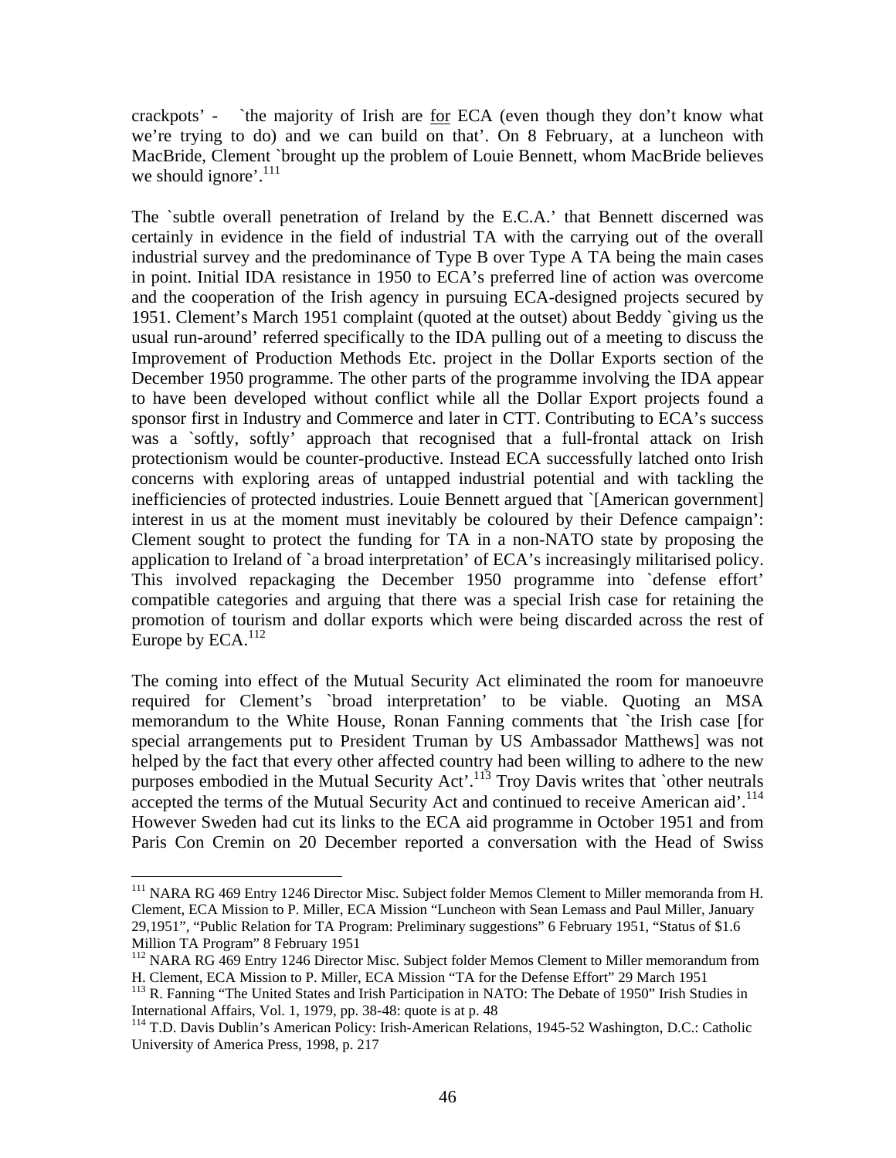crackpots' - `the majority of Irish are for ECA (even though they don't know what we're trying to do) and we can build on that'. On 8 February, at a luncheon with MacBride, Clement `brought up the problem of Louie Bennett, whom MacBride believes we should ignore'. $^{111}$ 

The `subtle overall penetration of Ireland by the E.C.A.' that Bennett discerned was certainly in evidence in the field of industrial TA with the carrying out of the overall industrial survey and the predominance of Type B over Type A TA being the main cases in point. Initial IDA resistance in 1950 to ECA's preferred line of action was overcome and the cooperation of the Irish agency in pursuing ECA-designed projects secured by 1951. Clement's March 1951 complaint (quoted at the outset) about Beddy `giving us the usual run-around' referred specifically to the IDA pulling out of a meeting to discuss the Improvement of Production Methods Etc. project in the Dollar Exports section of the December 1950 programme. The other parts of the programme involving the IDA appear to have been developed without conflict while all the Dollar Export projects found a sponsor first in Industry and Commerce and later in CTT. Contributing to ECA's success was a `softly, softly' approach that recognised that a full-frontal attack on Irish protectionism would be counter-productive. Instead ECA successfully latched onto Irish concerns with exploring areas of untapped industrial potential and with tackling the inefficiencies of protected industries. Louie Bennett argued that `[American government] interest in us at the moment must inevitably be coloured by their Defence campaign': Clement sought to protect the funding for TA in a non-NATO state by proposing the application to Ireland of `a broad interpretation' of ECA's increasingly militarised policy. This involved repackaging the December 1950 programme into `defense effort' compatible categories and arguing that there was a special Irish case for retaining the promotion of tourism and dollar exports which were being discarded across the rest of Europe by  $ECA.<sup>112</sup>$ 

The coming into effect of the Mutual Security Act eliminated the room for manoeuvre required for Clement's `broad interpretation' to be viable. Quoting an MSA memorandum to the White House, Ronan Fanning comments that `the Irish case [for special arrangements put to President Truman by US Ambassador Matthews] was not helped by the fact that every other affected country had been willing to adhere to the new purposes embodied in the Mutual Security Act<sup>'.113</sup> Troy Davis writes that `other neutrals accepted the terms of the Mutual Security Act and continued to receive American aid'.<sup>114</sup> However Sweden had cut its links to the ECA aid programme in October 1951 and from Paris Con Cremin on 20 December reported a conversation with the Head of Swiss

1

<sup>&</sup>lt;sup>111</sup> NARA RG 469 Entry 1246 Director Misc. Subject folder Memos Clement to Miller memoranda from H. Clement, ECA Mission to P. Miller, ECA Mission "Luncheon with Sean Lemass and Paul Miller, January 29,1951", "Public Relation for TA Program: Preliminary suggestions" 6 February 1951, "Status of \$1.6 Million TA Program" 8 February 1951

<sup>&</sup>lt;sup>112</sup> NARA RG 469 Entry 1246 Director Misc. Subject folder Memos Clement to Miller memorandum from

H. Clement, ECA Mission to P. Miller, ECA Mission "TA for the Defense Effort" 29 March 1951 <sup>113</sup> R. Fanning "The United States and Irish Participation in NATO: The Debate of 1950" Irish Studies in International Affairs, Vol. 1, 1979, pp. 38-48: quote is at p. 48

<sup>114</sup> T.D. Davis Dublin's American Policy: Irish-American Relations, 1945-52 Washington, D.C.: Catholic University of America Press, 1998, p. 217